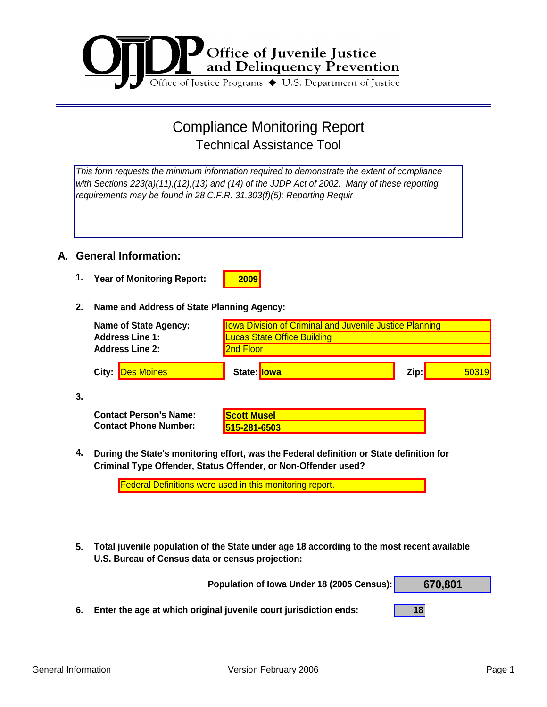

# Compliance Monitoring Report Technical Assistance Tool

*This form requests the minimum information required to demonstrate the extent of compliance with Sections 223(a)(11),(12),(13) and (14) of the JJDP Act of 2002. Many of these reporting requirements may be found in 28 C.F.R. 31.303(f)(5): Reporting Requir*

### **A. General Information:**

**1. 2009 Year of Monitoring Report:** 

#### **2. Name and Address of State Planning Agency:**

| <b>Name of State Agency:</b><br><b>Address Line 1:</b><br><b>Address Line 2:</b> | <b>Iowa Division of Criminal and Juvenile Justice Planning</b><br><b>Lucas State Office Building</b><br>2nd Floor |      |       |
|----------------------------------------------------------------------------------|-------------------------------------------------------------------------------------------------------------------|------|-------|
| City: Des Moines                                                                 | State: lowa                                                                                                       | Zip: | 50319 |

**3.**

| <b>Contact Person's Name:</b> | <b>Scott Musel</b> |
|-------------------------------|--------------------|
| <b>Contact Phone Number:</b>  | 515-281-6503       |

| <b>Scott Musel</b> |  |
|--------------------|--|
|                    |  |

**4. During the State's monitoring effort, was the Federal definition or State definition for Criminal Type Offender, Status Offender, or Non-Offender used?**

| <b>Federal Definitions were used in this monitoring report.</b> |  |
|-----------------------------------------------------------------|--|
|-----------------------------------------------------------------|--|

**5. Total juvenile population of the State under age 18 according to the most recent available U.S. Bureau of Census data or census projection:**

|    | Population of Iowa Under 18 (2005 Census):                        | 670.801 |
|----|-------------------------------------------------------------------|---------|
| 6. | Enter the age at which original juvenile court jurisdiction ends: |         |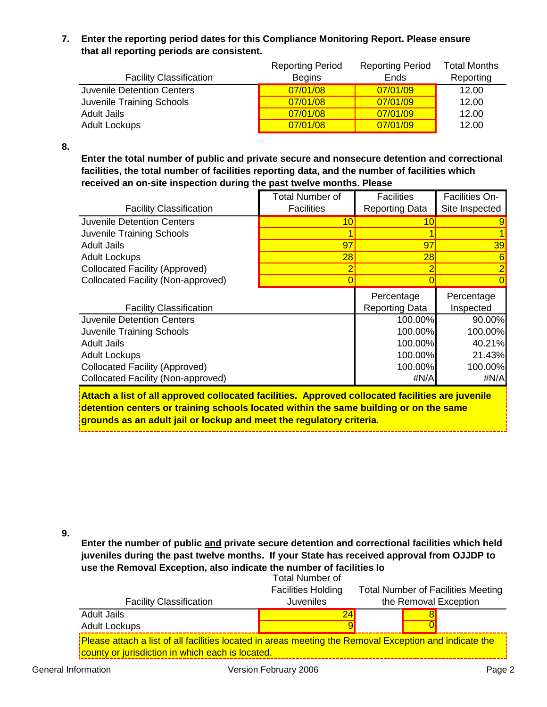#### **7. Enter the reporting period dates for this Compliance Monitoring Report. Please ensure that all reporting periods are consistent.**

|                                   | <b>Reporting Period</b> | <b>Reporting Period</b> | <b>Total Months</b> |
|-----------------------------------|-------------------------|-------------------------|---------------------|
| <b>Facility Classification</b>    | <b>Begins</b>           | <b>Ends</b>             | Reporting           |
| <b>Juvenile Detention Centers</b> | 07/01/08                | 07/01/09                | 12.00               |
| Juvenile Training Schools         | 07/01/08                | 07/01/09                | 12.00               |
| <b>Adult Jails</b>                | 07/01/08                | 07/01/09                | 12.00               |
| <b>Adult Lockups</b>              | 07/01/08                | 07/01/09                | 12.00               |

**8.**

**Enter the total number of public and private secure and nonsecure detention and correctional facilities, the total number of facilities reporting data, and the number of facilities which received an on-site inspection during the past twelve months. Please**

| <b>Facility Classification</b>        | <b>Total Number of</b><br><b>Facilities</b> | <b>Facilities</b><br><b>Reporting Data</b> | Facilities On-<br>Site Inspected |
|---------------------------------------|---------------------------------------------|--------------------------------------------|----------------------------------|
| Juvenile Detention Centers            | 10                                          | 10                                         |                                  |
| Juvenile Training Schools             |                                             |                                            |                                  |
| <b>Adult Jails</b>                    | 97                                          | 97                                         | 39                               |
| <b>Adult Lockups</b>                  | 28                                          | 28                                         |                                  |
| <b>Collocated Facility (Approved)</b> |                                             |                                            |                                  |
| Collocated Facility (Non-approved)    |                                             |                                            |                                  |
|                                       |                                             | Percentage                                 | Percentage                       |
| <b>Facility Classification</b>        |                                             | <b>Reporting Data</b>                      | Inspected                        |
| <b>Juvenile Detention Centers</b>     |                                             | 100.00%                                    | 90.00%                           |
| Juvenile Training Schools             |                                             | 100.00%                                    | 100.00%                          |
| <b>Adult Jails</b>                    |                                             | 100.00%                                    | 40.21%                           |
| <b>Adult Lockups</b>                  |                                             | 100.00%                                    | 21.43%                           |
| <b>Collocated Facility (Approved)</b> |                                             | 100.00%                                    | 100.00%                          |
| Collocated Facility (Non-approved)    |                                             | #N/A                                       | #N/A                             |

**Attach a list of all approved collocated facilities. Approved collocated facilities are juvenile detention centers or training schools located within the same building or on the same grounds as an adult jail or lockup and meet the regulatory criteria.**

**9.**

**Enter the number of public and private secure detention and correctional facilities which held juveniles during the past twelve months. If your State has received approval from OJJDP to use the Removal Exception, also indicate the number of facilities lo**

|                                                                                                                                                            | <b>Total Number of</b>    |  |                                           |  |
|------------------------------------------------------------------------------------------------------------------------------------------------------------|---------------------------|--|-------------------------------------------|--|
|                                                                                                                                                            | <b>Facilities Holding</b> |  | <b>Total Number of Facilities Meeting</b> |  |
| <b>Facility Classification</b>                                                                                                                             | <b>Juveniles</b>          |  | the Removal Exception                     |  |
| <b>Adult Jails</b>                                                                                                                                         |                           |  |                                           |  |
| <b>Adult Lockups</b>                                                                                                                                       |                           |  |                                           |  |
| Please attach a list of all facilities located in areas meeting the Removal Exception and indicate the<br>county or jurisdiction in which each is located. |                           |  |                                           |  |
|                                                                                                                                                            |                           |  |                                           |  |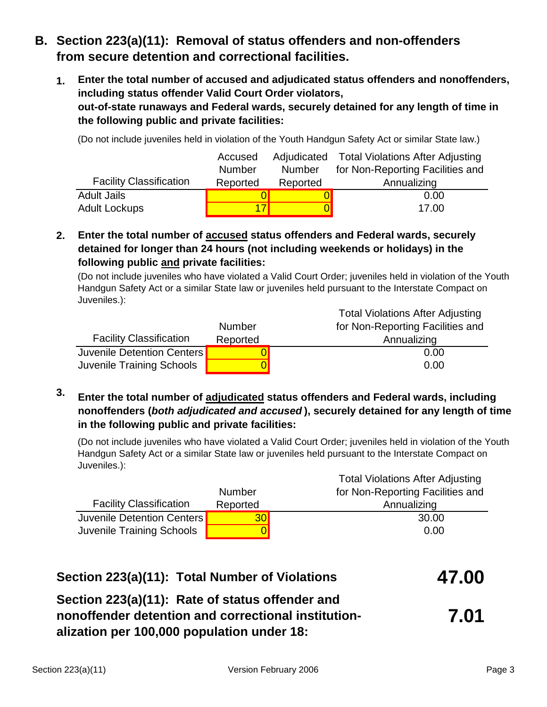# **B. Section 223(a)(11): Removal of status offenders and non-offenders from secure detention and correctional facilities.**

**1. out-of-state runaways and Federal wards, securely detained for any length of time in the following public and private facilities: Enter the total number of accused and adjudicated status offenders and nonoffenders, including status offender Valid Court Order violators,**

(Do not include juveniles held in violation of the Youth Handgun Safety Act or similar State law.)

|                                | Accused       |               | Adjudicated Total Violations After Adjusting |
|--------------------------------|---------------|---------------|----------------------------------------------|
|                                | <b>Number</b> | <b>Number</b> | for Non-Reporting Facilities and             |
| <b>Facility Classification</b> | Reported      | Reported      | Annualizing                                  |
| <b>Adult Jails</b>             |               |               | 0.00                                         |
| <b>Adult Lockups</b>           |               |               | 17.00                                        |

**2. Enter the total number of accused status offenders and Federal wards, securely detained for longer than 24 hours (not including weekends or holidays) in the following public and private facilities:**

(Do not include juveniles who have violated a Valid Court Order; juveniles held in violation of the Youth Handgun Safety Act or a similar State law or juveniles held pursuant to the Interstate Compact on Juveniles.):

|                                  |               | <b>Total Violations After Adjusting</b> |
|----------------------------------|---------------|-----------------------------------------|
|                                  | <b>Number</b> | for Non-Reporting Facilities and        |
| <b>Facility Classification</b>   | Reported      | Annualizing                             |
| Juvenile Detention Centers       |               | 0.00                                    |
| <b>Juvenile Training Schools</b> |               | 0.00                                    |

**3. Enter the total number of adjudicated status offenders and Federal wards, including nonoffenders (***both adjudicated and accused* **), securely detained for any length of time in the following public and private facilities:**

(Do not include juveniles who have violated a Valid Court Order; juveniles held in violation of the Youth Handgun Safety Act or a similar State law or juveniles held pursuant to the Interstate Compact on Juveniles.):

|                                |                 | <b>Total Violations After Adjusting</b> |
|--------------------------------|-----------------|-----------------------------------------|
|                                | <b>Number</b>   | for Non-Reporting Facilities and        |
| <b>Facility Classification</b> | Reported        | Annualizing                             |
| Juvenile Detention Centers     | 30 <sub>l</sub> | 30.00                                   |
| Juvenile Training Schools      |                 | 0.00                                    |

| Section 223(a)(11): Total Number of Violations                                                                                                       | 47.00 |
|------------------------------------------------------------------------------------------------------------------------------------------------------|-------|
| Section 223(a)(11): Rate of status offender and<br>nonoffender detention and correctional institution-<br>alization per 100,000 population under 18: | 7.01  |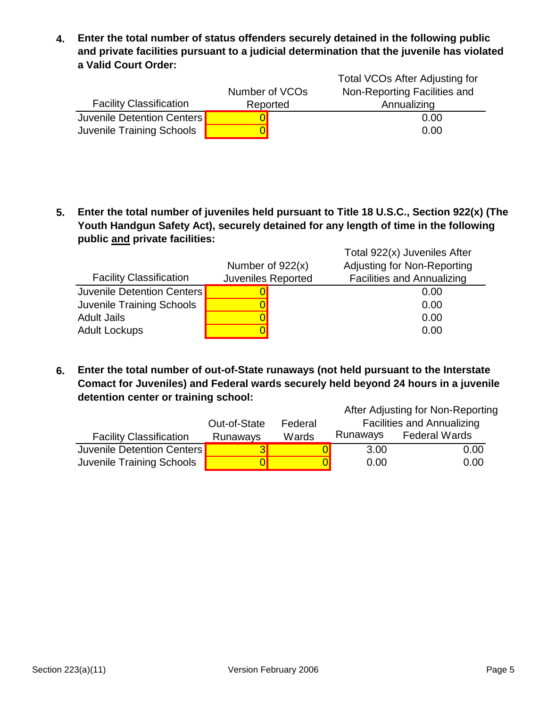**4. Enter the total number of status offenders securely detained in the following public and private facilities pursuant to a judicial determination that the juvenile has violated a Valid Court Order:**

|                                | Number of VCOs | Total VCOs After Adjusting for<br>Non-Reporting Facilities and |
|--------------------------------|----------------|----------------------------------------------------------------|
| <b>Facility Classification</b> | Reported       | Annualizing                                                    |
| Juvenile Detention Centers     |                | 0.00                                                           |
| Juvenile Training Schools      |                | 0.00                                                           |

**5. Enter the total number of juveniles held pursuant to Title 18 U.S.C., Section 922(x) (The Youth Handgun Safety Act), securely detained for any length of time in the following public and private facilities:**

| <b>Facility Classification</b>   | Number of $922(x)$<br>Juveniles Reported | Total 922(x) Juveniles After<br>Adjusting for Non-Reporting<br><b>Facilities and Annualizing</b> |
|----------------------------------|------------------------------------------|--------------------------------------------------------------------------------------------------|
| Juvenile Detention Centers       |                                          | 0.00                                                                                             |
| <b>Juvenile Training Schools</b> |                                          | 0.00                                                                                             |
| <b>Adult Jails</b>               |                                          | 0.00                                                                                             |
| <b>Adult Lockups</b>             |                                          | 0.00                                                                                             |

**6. Enter the total number of out-of-State runaways (not held pursuant to the Interstate Comact for Juveniles) and Federal wards securely held beyond 24 hours in a juvenile detention center or training school:**

| detention center or training school: |                            |          |                                                                        |  |  |  |
|--------------------------------------|----------------------------|----------|------------------------------------------------------------------------|--|--|--|
|                                      |                            |          |                                                                        |  |  |  |
| Out-of-State<br>Federal              |                            |          |                                                                        |  |  |  |
| Runaways                             | Wards                      | Runaways | <b>Federal Wards</b>                                                   |  |  |  |
|                                      |                            | 3.00     | 0.00                                                                   |  |  |  |
|                                      |                            | 0.00     | 0.00                                                                   |  |  |  |
|                                      | Juvenile Detention Centers |          | After Adjusting for Non-Reporting<br><b>Facilities and Annualizing</b> |  |  |  |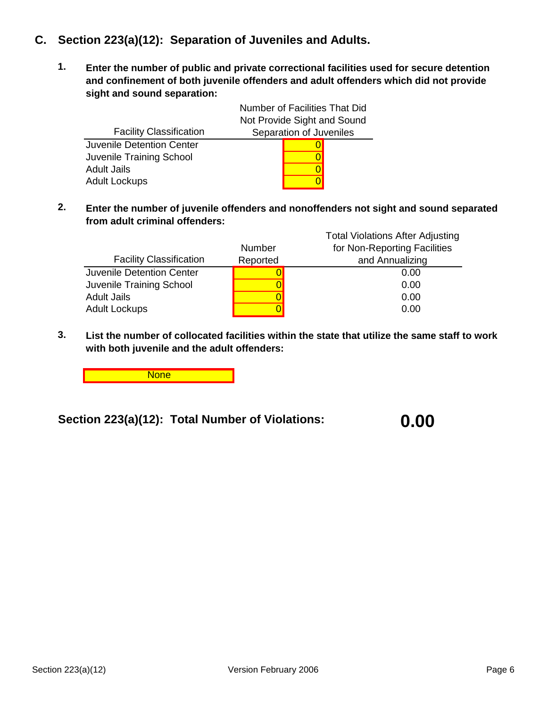## **C. Section 223(a)(12): Separation of Juveniles and Adults.**

**1. Enter the number of public and private correctional facilities used for secure detention and confinement of both juvenile offenders and adult offenders which did not provide sight and sound separation:**

|                                  | Number of Facilities That Did |                         |  |
|----------------------------------|-------------------------------|-------------------------|--|
|                                  | Not Provide Sight and Sound   |                         |  |
| <b>Facility Classification</b>   |                               | Separation of Juveniles |  |
| <b>Juvenile Detention Center</b> |                               |                         |  |
| Juvenile Training School         |                               |                         |  |
| <b>Adult Jails</b>               |                               |                         |  |
| <b>Adult Lockups</b>             |                               |                         |  |

**2. Enter the number of juvenile offenders and nonoffenders not sight and sound separated from adult criminal offenders:**

|                                |          | <b>Total Violations After Adjusting</b> |
|--------------------------------|----------|-----------------------------------------|
|                                | Number   | for Non-Reporting Facilities            |
| <b>Facility Classification</b> | Reported | and Annualizing                         |
| Juvenile Detention Center      |          | 0.00                                    |
| Juvenile Training School       |          | 0.00                                    |
| <b>Adult Jails</b>             |          | 0.00                                    |
| <b>Adult Lockups</b>           |          | 0.00                                    |

**3. List the number of collocated facilities within the state that utilize the same staff to work with both juvenile and the adult offenders:**

**None** 

**Section 223(a)(12): Total Number of Violations:**

**0.00**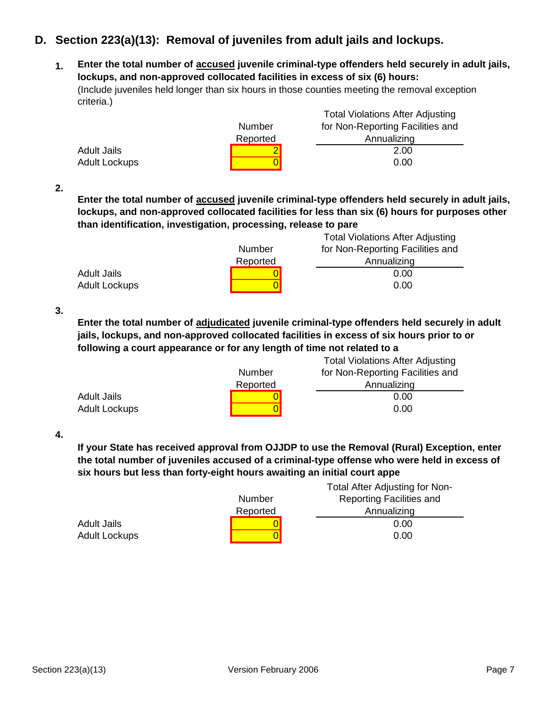## **D. Section 223(a)(13): Removal of juveniles from adult jails and lockups.**

**1. Enter the total number of accused juvenile criminal-type offenders held securely in adult jails, lockups, and non-approved collocated facilities in excess of six (6) hours:** Total Violations After Adjusting (Include juveniles held longer than six hours in those counties meeting the removal exception criteria.)

| Total Violations After Adjusting |
|----------------------------------|
| for Non-Reporting Facilities and |
| Annualizing                      |
| 2.00                             |
| 0.00                             |
|                                  |

**2.**

**Enter the total number of accused juvenile criminal-type offenders held securely in adult jails, lockups, and non-approved collocated facilities for less than six (6) hours for purposes other than identification, investigation, processing, release to pare**

|                      |          | <b>Total Violations After Adjusting</b> |
|----------------------|----------|-----------------------------------------|
|                      | Number   | for Non-Reporting Facilities and        |
|                      | Reported | Annualizing                             |
| <b>Adult Jails</b>   |          | 0.00                                    |
| <b>Adult Lockups</b> |          | 0.00                                    |

**3.**

**Enter the total number of adjudicated juvenile criminal-type offenders held securely in adult jails, lockups, and non-approved collocated facilities in excess of six hours prior to or following a court appearance or for any length of time not related to a**

|                      |          | <b>Total Violations After Adjusting</b> |
|----------------------|----------|-----------------------------------------|
|                      | Number   | for Non-Reporting Facilities and        |
|                      | Reported | Annualizing                             |
| <b>Adult Jails</b>   |          | 0.00                                    |
| <b>Adult Lockups</b> |          | 0.00                                    |

**4.**

**If your State has received approval from OJJDP to use the Removal (Rural) Exception, enter the total number of juveniles accused of a criminal-type offense who were held in excess of six hours but less than forty-eight hours awaiting an initial court appe**

|                      | Number   | Total After Adjusting for Non-<br><b>Reporting Facilities and</b> |
|----------------------|----------|-------------------------------------------------------------------|
|                      | Reported | Annualizing                                                       |
| <b>Adult Jails</b>   |          | 0.00                                                              |
| <b>Adult Lockups</b> |          | 0.00                                                              |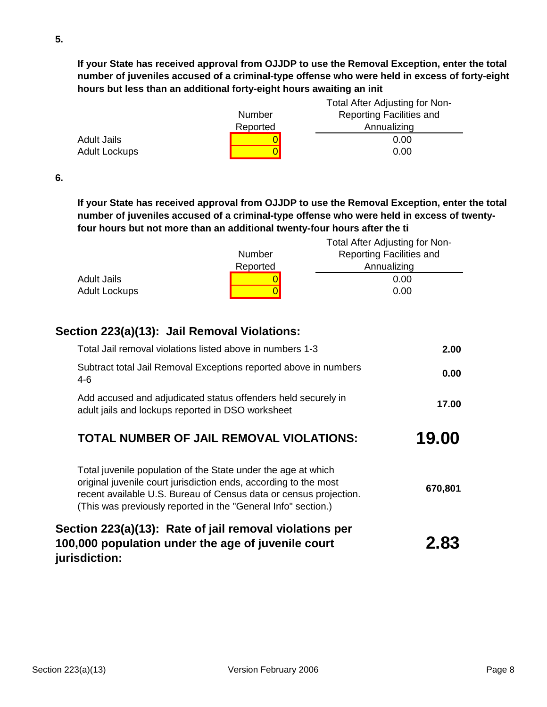**If your State has received approval from OJJDP to use the Removal Exception, enter the total number of juveniles accused of a criminal-type offense who were held in excess of forty-eight hours but less than an additional forty-eight hours awaiting an init**

|                      | Number   | Total After Adjusting for Non-<br><b>Reporting Facilities and</b> |
|----------------------|----------|-------------------------------------------------------------------|
|                      | Reported | Annualizing                                                       |
| <b>Adult Jails</b>   |          | 0.00                                                              |
| <b>Adult Lockups</b> |          | 0.00                                                              |

**6.**

**If your State has received approval from OJJDP to use the Removal Exception, enter the total number of juveniles accused of a criminal-type offense who were held in excess of twentyfour hours but not more than an additional twenty-four hours after the ti**

|                      |          | Total After Adjusting for Non-  |
|----------------------|----------|---------------------------------|
|                      | Number   | <b>Reporting Facilities and</b> |
|                      | Reported | Annualizing                     |
| Adult Jails          |          | 0.00                            |
| <b>Adult Lockups</b> |          | 0.00                            |

## **Section 223(a)(13): Jail Removal Violations:**

| Section 223(a)(13): Rate of jail removal violations per<br>100,000 population under the age of juvenile court<br>jurisdiction:                                                                                                                                          | 2.83    |
|-------------------------------------------------------------------------------------------------------------------------------------------------------------------------------------------------------------------------------------------------------------------------|---------|
| Total juvenile population of the State under the age at which<br>original juvenile court jurisdiction ends, according to the most<br>recent available U.S. Bureau of Census data or census projection.<br>(This was previously reported in the "General Info" section.) | 670,801 |
| TOTAL NUMBER OF JAIL REMOVAL VIOLATIONS:                                                                                                                                                                                                                                | 19.00   |
| Add accused and adjudicated status offenders held securely in<br>adult jails and lockups reported in DSO worksheet                                                                                                                                                      | 17.00   |
| Subtract total Jail Removal Exceptions reported above in numbers<br>4-6                                                                                                                                                                                                 | 0.00    |
| Total Jail removal violations listed above in numbers 1-3                                                                                                                                                                                                               | 2.00    |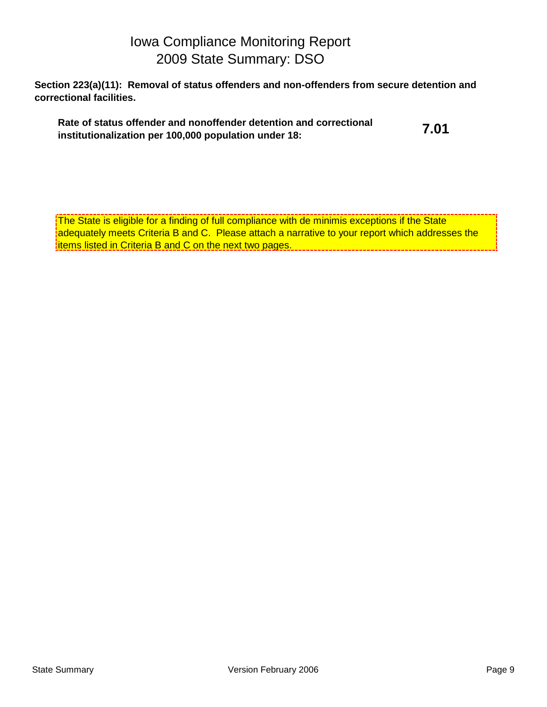# Iowa Compliance Monitoring Report 2009 State Summary: DSO

**Section 223(a)(11): Removal of status offenders and non-offenders from secure detention and correctional facilities.**

| Rate of status offender and nonoffender detention and correctional | 7.01 |
|--------------------------------------------------------------------|------|
| institutionalization per 100,000 population under 18:              |      |

The State is eligible for a finding of full compliance with de minimis exceptions if the State adequately meets Criteria B and C. Please attach a narrative to your report which addresses the items listed in Criteria B and C on the next two pages.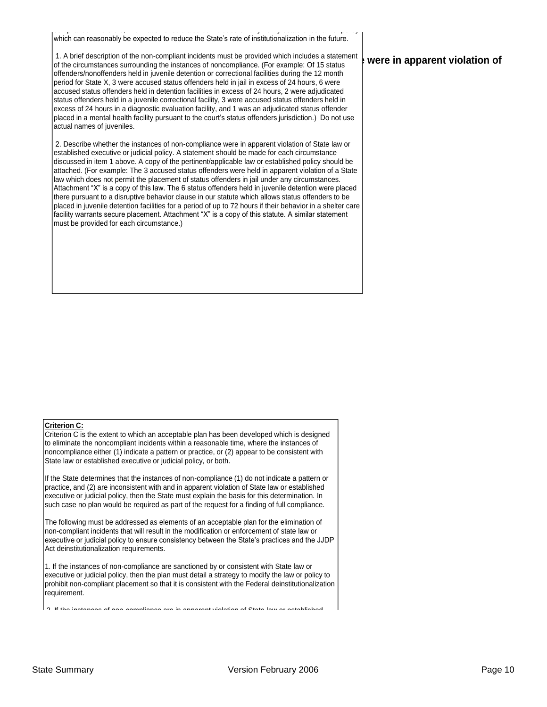compliance. Therefore, information should also be included on any newly established law or policy which can reasonably be expected to reduce the State's rate of institutionalization in the future.

T. A prier description of the non-compliant incluents must be provided which includes a statement **by were in apparent violation of** offenders/nonoffenders held in juvenile detention or correctional facilities during the 12 month 1. A brief description of the non-compliant incidents must be provided which includes a statement period for State X, 3 were accused status offenders held in jail in excess of 24 hours, 6 were accused status offenders held in detention facilities in excess of 24 hours, 2 were adjudicated status offenders held in a juvenile correctional facility, 3 were accused status offenders held in excess of 24 hours in a diagnostic evaluation facility, and 1 was an adjudicated status offender placed in a mental health facility pursuant to the court's status offenders jurisdiction.) Do not use actual names of juveniles.

2. Describe whether the instances of non-compliance were in apparent violation of State law or established executive or judicial policy. A statement should be made for each circumstance discussed in item 1 above. A copy of the pertinent/applicable law or established policy should be attached. (For example: The 3 accused status offenders were held in apparent violation of a State law which does not permit the placement of status offenders in jail under any circumstances. Attachment "X" is a copy of this law. The 6 status offenders held in juvenile detention were placed there pursuant to a disruptive behavior clause in our statute which allows status offenders to be placed in juvenile detention facilities for a period of up to 72 hours if their behavior in a shelter care facility warrants secure placement. Attachment "X" is a copy of this statute. A similar statement must be provided for each circumstance.)

#### **Criterion C:**

Criterion C is the extent to which an acceptable plan has been developed which is designed to eliminate the noncompliant incidents within a reasonable time, where the instances of noncompliance either (1) indicate a pattern or practice, or (2) appear to be consistent with State law or established executive or judicial policy, or both.

If the State determines that the instances of non-compliance (1) do not indicate a pattern or practice, and (2) are inconsistent with and in apparent violation of State law or established executive or judicial policy, then the State must explain the basis for this determination. In such case no plan would be required as part of the request for a finding of full compliance.

The following must be addressed as elements of an acceptable plan for the elimination of non-compliant incidents that will result in the modification or enforcement of state law or executive or judicial policy to ensure consistency between the State's practices and the JJDP Act deinstitutionalization requirements.

1. If the instances of non-compliance are sanctioned by or consistent with State law or executive or judicial policy, then the plan must detail a strategy to modify the law or policy to prohibit non-compliant placement so that it is consistent with the Federal deinstitutionalization requirement.

 $2.$  of non-compliance are in apparent violation of  $C<sub>1</sub>$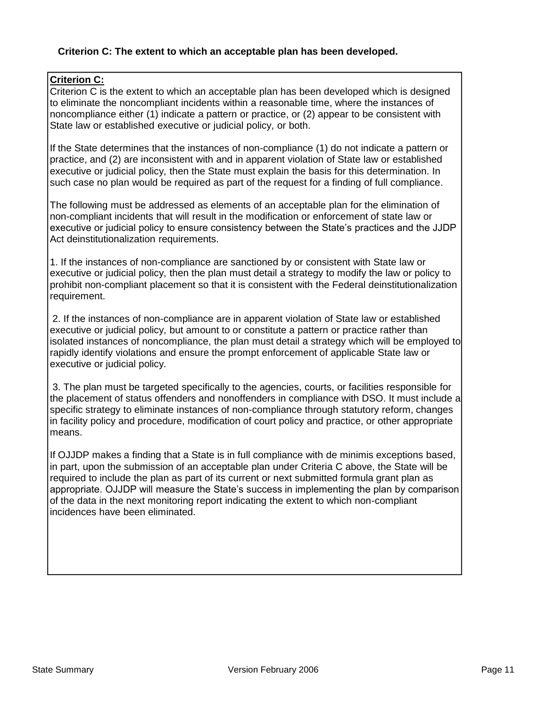#### **Criterion C: The extent to which an acceptable plan has been developed.**

#### **Criterion C:**

Criterion C is the extent to which an acceptable plan has been developed which is designed to eliminate the noncompliant incidents within a reasonable time, where the instances of noncompliance either (1) indicate a pattern or practice, or (2) appear to be consistent with State law or established executive or judicial policy, or both.

If the State determines that the instances of non-compliance (1) do not indicate a pattern or practice, and (2) are inconsistent with and in apparent violation of State law or established executive or judicial policy, then the State must explain the basis for this determination. In such case no plan would be required as part of the request for a finding of full compliance.

The following must be addressed as elements of an acceptable plan for the elimination of non-compliant incidents that will result in the modification or enforcement of state law or executive or judicial policy to ensure consistency between the State's practices and the JJDP Act deinstitutionalization requirements.

1. If the instances of non-compliance are sanctioned by or consistent with State law or executive or judicial policy, then the plan must detail a strategy to modify the law or policy to prohibit non-compliant placement so that it is consistent with the Federal deinstitutionalization requirement.

2. If the instances of non-compliance are in apparent violation of State law or established executive or judicial policy, but amount to or constitute a pattern or practice rather than isolated instances of noncompliance, the plan must detail a strategy which will be employed to rapidly identify violations and ensure the prompt enforcement of applicable State law or executive or judicial policy.

3. The plan must be targeted specifically to the agencies, courts, or facilities responsible for the placement of status offenders and nonoffenders in compliance with DSO. It must include a specific strategy to eliminate instances of non-compliance through statutory reform, changes in facility policy and procedure, modification of court policy and practice, or other appropriate means.

If OJJDP makes a finding that a State is in full compliance with de minimis exceptions based, in part, upon the submission of an acceptable plan under Criteria C above, the State will be required to include the plan as part of its current or next submitted formula grant plan as appropriate. OJJDP will measure the State's success in implementing the plan by comparison of the data in the next monitoring report indicating the extent to which non-compliant incidences have been eliminated.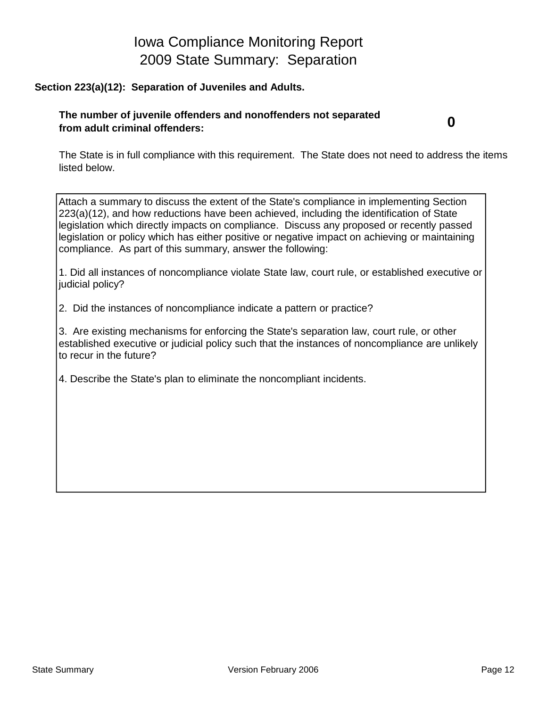# Iowa Compliance Monitoring Report 2009 State Summary: Separation

#### **Section 223(a)(12): Separation of Juveniles and Adults.**

#### **The number of juvenile offenders and nonoffenders not separated from adult criminal offenders:**

**0**

The State is in full compliance with this requirement. The State does not need to address the items listed below.

Attach a summary to discuss the extent of the State's compliance in implementing Section 223(a)(12), and how reductions have been achieved, including the identification of State legislation which directly impacts on compliance. Discuss any proposed or recently passed legislation or policy which has either positive or negative impact on achieving or maintaining compliance. As part of this summary, answer the following:

1. Did all instances of noncompliance violate State law, court rule, or established executive or judicial policy?

2. Did the instances of noncompliance indicate a pattern or practice?

3. Are existing mechanisms for enforcing the State's separation law, court rule, or other established executive or judicial policy such that the instances of noncompliance are unlikely to recur in the future?

4. Describe the State's plan to eliminate the noncompliant incidents.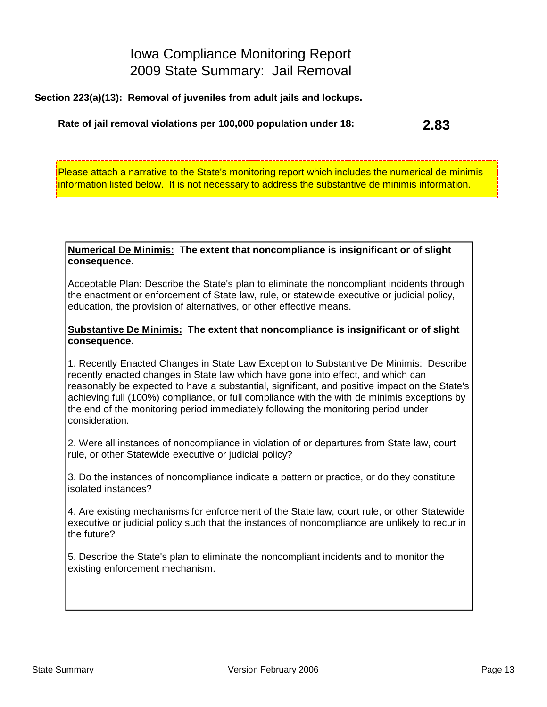# Iowa Compliance Monitoring Report 2009 State Summary: Jail Removal

**Section 223(a)(13): Removal of juveniles from adult jails and lockups.**

#### **Rate of jail removal violations per 100,000 population under 18: 2.83**

Please attach a narrative to the State's monitoring report which includes the numerical de minimis information listed below. It is not necessary to address the substantive de minimis information.

#### **Numerical De Minimis: The extent that noncompliance is insignificant or of slight consequence.**

Acceptable Plan: Describe the State's plan to eliminate the noncompliant incidents through the enactment or enforcement of State law, rule, or statewide executive or judicial policy, education, the provision of alternatives, or other effective means.

#### **Substantive De Minimis: The extent that noncompliance is insignificant or of slight consequence.**

1. Recently Enacted Changes in State Law Exception to Substantive De Minimis: Describe recently enacted changes in State law which have gone into effect, and which can reasonably be expected to have a substantial, significant, and positive impact on the State's achieving full (100%) compliance, or full compliance with the with de minimis exceptions by the end of the monitoring period immediately following the monitoring period under consideration.

2. Were all instances of noncompliance in violation of or departures from State law, court rule, or other Statewide executive or judicial policy?

3. Do the instances of noncompliance indicate a pattern or practice, or do they constitute isolated instances?

4. Are existing mechanisms for enforcement of the State law, court rule, or other Statewide executive or judicial policy such that the instances of noncompliance are unlikely to recur in the future?

5. Describe the State's plan to eliminate the noncompliant incidents and to monitor the existing enforcement mechanism.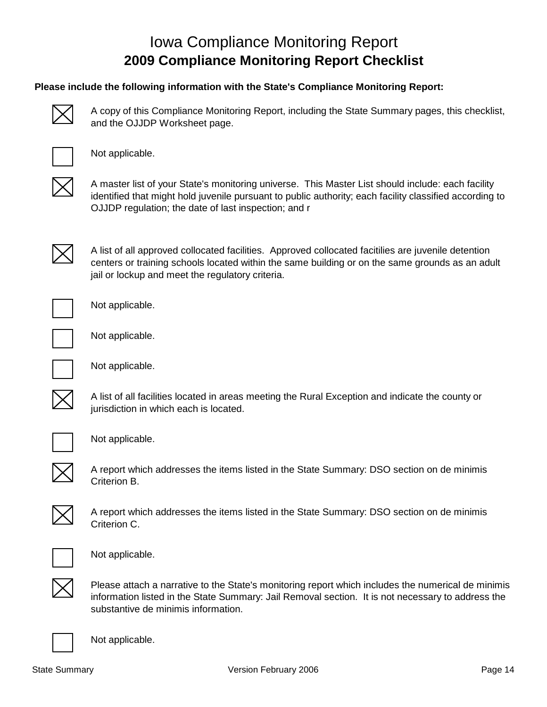# Iowa Compliance Monitoring Report **2009 Compliance Monitoring Report Checklist**

#### **Please include the following information with the State's Compliance Monitoring Report:**



A copy of this Compliance Monitoring Report, including the State Summary pages, this checklist, and the OJJDP Worksheet page.



Not applicable.



A master list of your State's monitoring universe. This Master List should include: each facility identified that might hold juvenile pursuant to public authority; each facility classified according to OJJDP regulation; the date of last inspection; and r



A list of all approved collocated facilities. Approved collocated facitilies are juvenile detention centers or training schools located within the same building or on the same grounds as an adult jail or lockup and meet the regulatory criteria.



Not applicable.



Not applicable.



Not applicable.

A list of all facilities located in areas meeting the Rural Exception and indicate the county or jurisdiction in which each is located.



Not applicable.



A report which addresses the items listed in the State Summary: DSO section on de minimis Criterion B.



A report which addresses the items listed in the State Summary: DSO section on de minimis Criterion C.



Not applicable.



Please attach a narrative to the State's monitoring report which includes the numerical de minimis information listed in the State Summary: Jail Removal section. It is not necessary to address the substantive de minimis information.



Not applicable.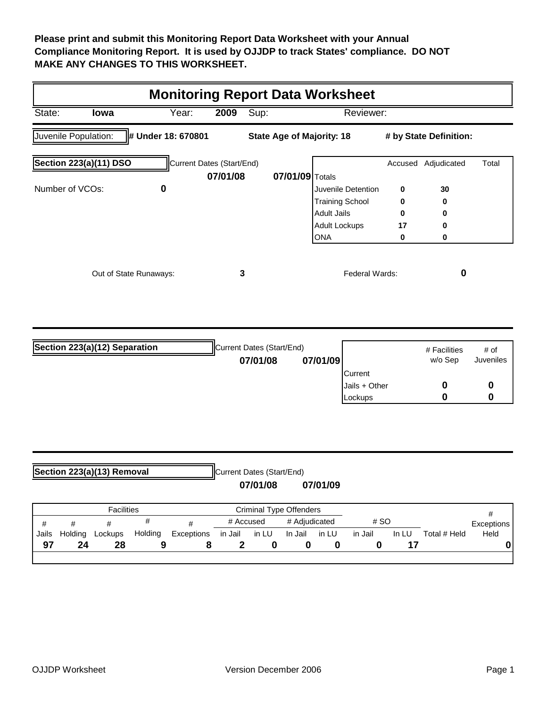**Please print and submit this Monitoring Report Data Worksheet with your Annual Compliance Monitoring Report. It is used by OJJDP to track States' compliance. DO NOT MAKE ANY CHANGES TO THIS WORKSHEET.**

|                                                                                                          | <b>Monitoring Report Data Worksheet</b> |       |                           |      |                 |                        |         |             |       |  |  |  |
|----------------------------------------------------------------------------------------------------------|-----------------------------------------|-------|---------------------------|------|-----------------|------------------------|---------|-------------|-------|--|--|--|
| State:                                                                                                   | Iowa                                    | Year: | 2009                      | Sup: |                 | Reviewer:              |         |             |       |  |  |  |
| Juvenile Population:<br># Under 18: 670801<br><b>State Age of Majority: 18</b><br># by State Definition: |                                         |       |                           |      |                 |                        |         |             |       |  |  |  |
|                                                                                                          | Section 223(a)(11) DSO                  |       | Current Dates (Start/End) |      |                 |                        | Accused | Adjudicated | Total |  |  |  |
|                                                                                                          |                                         |       | 07/01/08                  |      | 07/01/09 Totals |                        |         |             |       |  |  |  |
| Number of VCOs:                                                                                          |                                         | 0     |                           |      |                 | Juvenile Detention     | 0       | 30          |       |  |  |  |
|                                                                                                          |                                         |       |                           |      |                 | <b>Training School</b> | 0       | 0           |       |  |  |  |
|                                                                                                          |                                         |       |                           |      |                 | Adult Jails            | 0       | 0           |       |  |  |  |
|                                                                                                          |                                         |       |                           |      |                 | <b>Adult Lockups</b>   | 17      | 0           |       |  |  |  |
|                                                                                                          |                                         |       |                           |      |                 | <b>ONA</b>             | 0       | 0           |       |  |  |  |
|                                                                                                          | Out of State Runaways:                  |       |                           | 3    |                 | Federal Wards:         |         | Ω           |       |  |  |  |

| Section 223(a)(12) Separation | Current Dates (Start/End) |          |                | # Facilities | # of      |
|-------------------------------|---------------------------|----------|----------------|--------------|-----------|
|                               | 07/01/08                  | 07/01/09 |                | w/o Sep      | Juveniles |
|                               |                           |          | <b>Current</b> |              |           |
|                               |                           |          | Jails + Other  |              |           |
|                               |                           |          | Lockups        |              |           |

| Section 223(a)(13) Removal |  |  |  |                         | Current Dates (Start/End) |               |      |                   |
|----------------------------|--|--|--|-------------------------|---------------------------|---------------|------|-------------------|
|                            |  |  |  |                         | 07/01/08                  | 07/01/09      |      |                   |
| <b>Facilities</b>          |  |  |  | Criminal Type Offenders |                           |               |      |                   |
|                            |  |  |  | #                       | # Accused                 | # Adjudicated | # SO | <b>Exceptions</b> |

|       |         |         |         |            | # Accused |       | # Adjudicated |       | # SO    |       |              | Exceptions |
|-------|---------|---------|---------|------------|-----------|-------|---------------|-------|---------|-------|--------------|------------|
| Jails | Holding | Lockups | Holding | Exceptions | in Jail   | in LU | In Jail       | in LU | in Jail | In LU | Total # Held | Held       |
| - Q7  | 24      | 28      |         |            |           |       |               |       |         |       |              |            |
|       |         |         |         |            |           |       |               |       |         |       |              |            |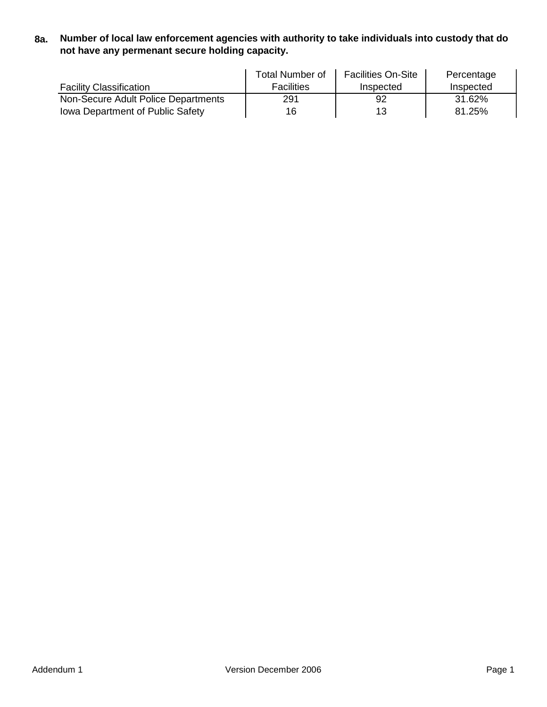**8a. Number of local law enforcement agencies with authority to take individuals into custody that do not have any permenant secure holding capacity.**

|                                         | Total Number of   | <b>Facilities On-Site</b> | Percentage |
|-----------------------------------------|-------------------|---------------------------|------------|
| <b>Facility Classification</b>          | <b>Facilities</b> | Inspected                 | Inspected  |
| Non-Secure Adult Police Departments     | 291               | 92                        | 31.62%     |
| <b>Iowa Department of Public Safety</b> | 16                | 13                        | 81.25%     |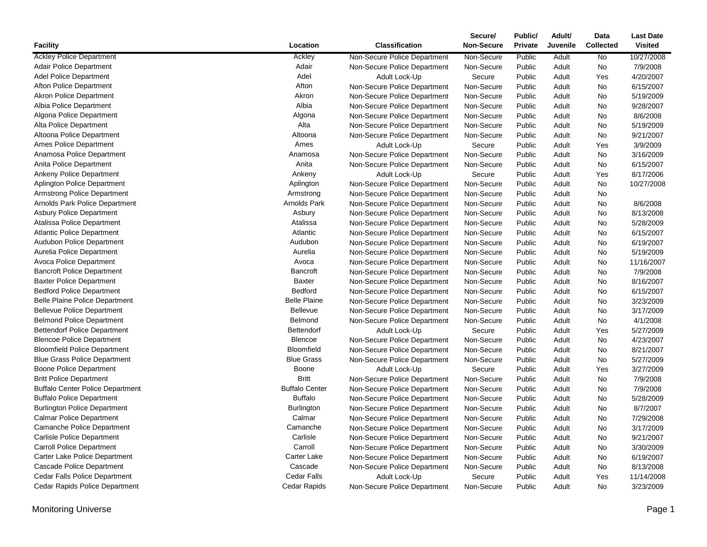|                                         |                       |                              | Secure/    | Public/        | Adult/   | Data             | <b>Last Date</b> |
|-----------------------------------------|-----------------------|------------------------------|------------|----------------|----------|------------------|------------------|
| <b>Facility</b>                         | Location              | <b>Classification</b>        | Non-Secure | <b>Private</b> | Juvenile | <b>Collected</b> | <b>Visited</b>   |
| <b>Ackley Police Department</b>         | Ackley                | Non-Secure Police Department | Non-Secure | Public         | Adult    | No               | 10/27/2008       |
| <b>Adair Police Department</b>          | Adair                 | Non-Secure Police Department | Non-Secure | Public         | Adult    | No               | 7/9/2008         |
| Adel Police Department                  | Adel                  | Adult Lock-Up                | Secure     | Public         | Adult    | Yes              | 4/20/2007        |
| Afton Police Department                 | Afton                 | Non-Secure Police Department | Non-Secure | Public         | Adult    | No               | 6/15/2007        |
| <b>Akron Police Department</b>          | Akron                 | Non-Secure Police Department | Non-Secure | Public         | Adult    | No               | 5/19/2009        |
| Albia Police Department                 | Albia                 | Non-Secure Police Department | Non-Secure | Public         | Adult    | No               | 9/28/2007        |
| Algona Police Department                | Algona                | Non-Secure Police Department | Non-Secure | Public         | Adult    | No               | 8/6/2008         |
| Alta Police Department                  | Alta                  | Non-Secure Police Department | Non-Secure | Public         | Adult    | No               | 5/19/2009        |
| Altoona Police Department               | Altoona               | Non-Secure Police Department | Non-Secure | Public         | Adult    | No               | 9/21/2007        |
| Ames Police Department                  | Ames                  | Adult Lock-Up                | Secure     | Public         | Adult    | Yes              | 3/9/2009         |
| Anamosa Police Department               | Anamosa               | Non-Secure Police Department | Non-Secure | Public         | Adult    | No               | 3/16/2009        |
| Anita Police Department                 | Anita                 | Non-Secure Police Department | Non-Secure | Public         | Adult    | No               | 6/15/2007        |
| <b>Ankeny Police Department</b>         | Ankeny                | Adult Lock-Up                | Secure     | Public         | Adult    | Yes              | 8/17/2006        |
| <b>Aplington Police Department</b>      | Aplington             | Non-Secure Police Department | Non-Secure | Public         | Adult    | No               | 10/27/2008       |
| Armstrong Police Department             | Armstrong             | Non-Secure Police Department | Non-Secure | Public         | Adult    | No               |                  |
| Arnolds Park Police Department          | <b>Arnolds Park</b>   | Non-Secure Police Department | Non-Secure | Public         | Adult    | No               | 8/6/2008         |
| <b>Asbury Police Department</b>         | Asbury                | Non-Secure Police Department | Non-Secure | Public         | Adult    | No               | 8/13/2008        |
| Atalissa Police Department              | Atalissa              | Non-Secure Police Department | Non-Secure | Public         | Adult    | No               | 5/28/2009        |
| <b>Atlantic Police Department</b>       | Atlantic              | Non-Secure Police Department | Non-Secure | Public         | Adult    | No               | 6/15/2007        |
| <b>Audubon Police Department</b>        | Audubon               | Non-Secure Police Department | Non-Secure | Public         | Adult    | No               | 6/19/2007        |
| Aurelia Police Department               | Aurelia               | Non-Secure Police Department | Non-Secure | Public         | Adult    | No               | 5/19/2009        |
| Avoca Police Department                 | Avoca                 | Non-Secure Police Department | Non-Secure | Public         | Adult    | No               | 11/16/2007       |
| <b>Bancroft Police Department</b>       | Bancroft              | Non-Secure Police Department | Non-Secure | Public         | Adult    | No               | 7/9/2008         |
| <b>Baxter Police Department</b>         | <b>Baxter</b>         | Non-Secure Police Department | Non-Secure | Public         | Adult    | No               | 8/16/2007        |
| <b>Bedford Police Department</b>        | Bedford               | Non-Secure Police Department | Non-Secure | Public         | Adult    | No               | 6/15/2007        |
| <b>Belle Plaine Police Department</b>   | <b>Belle Plaine</b>   | Non-Secure Police Department | Non-Secure | Public         | Adult    | No               | 3/23/2009        |
| <b>Bellevue Police Department</b>       | Bellevue              | Non-Secure Police Department | Non-Secure | Public         | Adult    | No               | 3/17/2009        |
| <b>Belmond Police Department</b>        | Belmond               | Non-Secure Police Department | Non-Secure | Public         | Adult    | No               | 4/1/2008         |
| <b>Bettendorf Police Department</b>     | Bettendorf            | Adult Lock-Up                | Secure     | Public         | Adult    | Yes              | 5/27/2009        |
| <b>Blencoe Police Department</b>        | <b>Blencoe</b>        | Non-Secure Police Department | Non-Secure | Public         | Adult    | No               | 4/23/2007        |
| <b>Bloomfield Police Department</b>     | <b>Bloomfield</b>     | Non-Secure Police Department | Non-Secure | Public         | Adult    | No               | 8/21/2007        |
| <b>Blue Grass Police Department</b>     | <b>Blue Grass</b>     | Non-Secure Police Department | Non-Secure | Public         | Adult    | No               | 5/27/2009        |
| Boone Police Department                 | Boone                 | Adult Lock-Up                | Secure     | Public         | Adult    | Yes              | 3/27/2009        |
| <b>Britt Police Department</b>          | <b>Britt</b>          | Non-Secure Police Department | Non-Secure | Public         | Adult    | No               | 7/9/2008         |
| <b>Buffalo Center Police Department</b> | <b>Buffalo Center</b> | Non-Secure Police Department | Non-Secure | Public         | Adult    | No               | 7/9/2008         |
| <b>Buffalo Police Department</b>        | <b>Buffalo</b>        | Non-Secure Police Department | Non-Secure | Public         | Adult    | No               | 5/28/2009        |
| <b>Burlington Police Department</b>     | <b>Burlington</b>     | Non-Secure Police Department | Non-Secure | Public         | Adult    | No               | 8/7/2007         |
| <b>Calmar Police Department</b>         | Calmar                | Non-Secure Police Department | Non-Secure | Public         | Adult    | No               | 7/29/2008        |
| Camanche Police Department              | Camanche              | Non-Secure Police Department | Non-Secure | Public         | Adult    | No               | 3/17/2009        |
| <b>Carlisle Police Department</b>       | Carlisle              | Non-Secure Police Department | Non-Secure | Public         | Adult    | No               | 9/21/2007        |
| <b>Carroll Police Department</b>        | Carroll               | Non-Secure Police Department | Non-Secure | Public         | Adult    | No               | 3/30/2009        |
| Carter Lake Police Department           | Carter Lake           | Non-Secure Police Department | Non-Secure | Public         | Adult    | No               | 6/19/2007        |
| Cascade Police Department               | Cascade               | Non-Secure Police Department | Non-Secure | Public         | Adult    | No               | 8/13/2008        |
| <b>Cedar Falls Police Department</b>    | <b>Cedar Falls</b>    | Adult Lock-Up                | Secure     | Public         | Adult    | Yes              | 11/14/2008       |
| Cedar Rapids Police Department          | Cedar Rapids          | Non-Secure Police Department | Non-Secure | Public         | Adult    | <b>No</b>        | 3/23/2009        |
|                                         |                       |                              |            |                |          |                  |                  |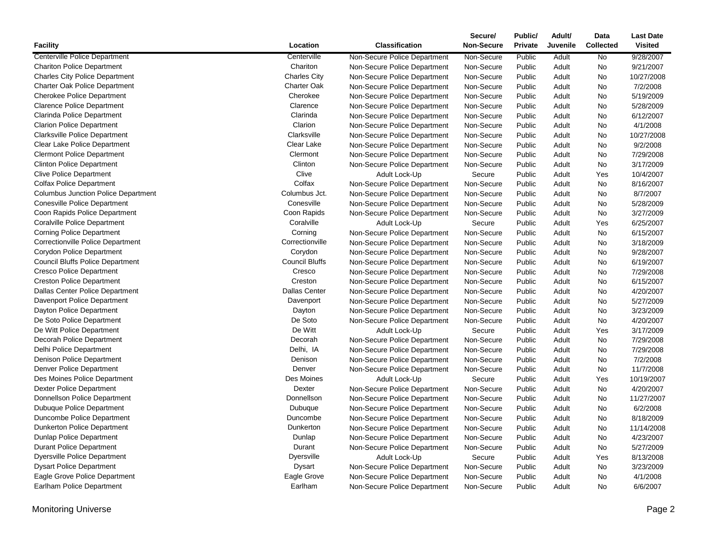|                                            |                       |                                               | Secure/              | Public/          | Adult/         | Data             | <b>Last Date</b> |
|--------------------------------------------|-----------------------|-----------------------------------------------|----------------------|------------------|----------------|------------------|------------------|
| <b>Facility</b>                            | Location              | <b>Classification</b>                         | <b>Non-Secure</b>    | Private          | Juvenile       | <b>Collected</b> | <b>Visited</b>   |
| Centerville Police Department              | Centerville           | Non-Secure Police Department                  | Non-Secure           | Public           | Adult          | No               | 9/28/2007        |
| <b>Chariton Police Department</b>          | Chariton              | Non-Secure Police Department                  | Non-Secure           | Public           | Adult          | No               | 9/21/2007        |
| <b>Charles City Police Department</b>      | <b>Charles City</b>   | Non-Secure Police Department                  | Non-Secure           | Public           | Adult          | No               | 10/27/2008       |
| <b>Charter Oak Police Department</b>       | <b>Charter Oak</b>    | Non-Secure Police Department                  | Non-Secure           | Public           | Adult          | No               | 7/2/2008         |
| <b>Cherokee Police Department</b>          | Cherokee              | Non-Secure Police Department                  | Non-Secure           | Public           | Adult          | No               | 5/19/2009        |
| <b>Clarence Police Department</b>          | Clarence              | Non-Secure Police Department                  | Non-Secure           | Public           | Adult          | No               | 5/28/2009        |
| Clarinda Police Department                 | Clarinda              | Non-Secure Police Department                  | Non-Secure           | Public           | Adult          | No               | 6/12/2007        |
| <b>Clarion Police Department</b>           | Clarion               | Non-Secure Police Department                  | Non-Secure           | Public           | Adult          | No               | 4/1/2008         |
| <b>Clarksville Police Department</b>       | Clarksville           | Non-Secure Police Department                  | Non-Secure           | Public           | Adult          | No               | 10/27/2008       |
| Clear Lake Police Department               | Clear Lake            | Non-Secure Police Department                  | Non-Secure           | Public           | Adult          | No               | 9/2/2008         |
| <b>Clermont Police Department</b>          | Clermont              | Non-Secure Police Department                  | Non-Secure           | Public           | Adult          | No               | 7/29/2008        |
| <b>Clinton Police Department</b>           | Clinton               | Non-Secure Police Department                  | Non-Secure           | Public           | Adult          | <b>No</b>        | 3/17/2009        |
| <b>Clive Police Department</b>             | Clive                 | Adult Lock-Up                                 | Secure               | Public           | Adult          | Yes              | 10/4/2007        |
| <b>Colfax Police Department</b>            | Colfax                | Non-Secure Police Department                  | Non-Secure           | Public           | Adult          | <b>No</b>        | 8/16/2007        |
| <b>Columbus Junction Police Department</b> | Columbus Jct.         | Non-Secure Police Department                  | Non-Secure           | Public           | Adult          | No               | 8/7/2007         |
| <b>Conesville Police Department</b>        | Conesville            | Non-Secure Police Department                  | Non-Secure           | Public           | Adult          | No               | 5/28/2009        |
| Coon Rapids Police Department              | Coon Rapids           | Non-Secure Police Department                  | Non-Secure           | Public           | Adult          | No               | 3/27/2009        |
| <b>Coralville Police Department</b>        | Coralville            | Adult Lock-Up                                 | Secure               | Public           | Adult          | Yes              | 6/25/2007        |
| <b>Corning Police Department</b>           | Corning               | Non-Secure Police Department                  | Non-Secure           | Public           | Adult          | No               | 6/15/2007        |
| <b>Correctionville Police Department</b>   | Correctionville       | Non-Secure Police Department                  | Non-Secure           | Public           | Adult          | No               | 3/18/2009        |
| Corydon Police Department                  | Corydon               | Non-Secure Police Department                  | Non-Secure           | Public           | Adult          | No               | 9/28/2007        |
| <b>Council Bluffs Police Department</b>    | <b>Council Bluffs</b> | Non-Secure Police Department                  | Non-Secure           | Public           | Adult          | No               | 6/19/2007        |
| <b>Cresco Police Department</b>            | Cresco                | Non-Secure Police Department                  | Non-Secure           | Public           | Adult          | No               | 7/29/2008        |
| <b>Creston Police Department</b>           | Creston               | Non-Secure Police Department                  | Non-Secure           | Public           | Adult          | No               | 6/15/2007        |
| Dallas Center Police Department            | <b>Dallas Center</b>  | Non-Secure Police Department                  | Non-Secure           | Public           | Adult          | No               | 4/20/2007        |
| Davenport Police Department                | Davenport             | Non-Secure Police Department                  | Non-Secure           | Public           | Adult          | No               | 5/27/2009        |
| Dayton Police Department                   | Dayton                | Non-Secure Police Department                  | Non-Secure           | Public           | Adult          | No               | 3/23/2009        |
| De Soto Police Department                  | De Soto               | Non-Secure Police Department                  | Non-Secure           | Public           | Adult          | No               | 4/20/2007        |
| De Witt Police Department                  | De Witt               | Adult Lock-Up                                 | Secure               | Public           | Adult          | Yes              | 3/17/2009        |
| Decorah Police Department                  | Decorah               | Non-Secure Police Department                  | Non-Secure           | Public           | Adult          | No               | 7/29/2008        |
| Delhi Police Department                    | Delhi, IA             | Non-Secure Police Department                  | Non-Secure           | Public           | Adult          | No               | 7/29/2008        |
| Denison Police Department                  | Denison               | Non-Secure Police Department                  | Non-Secure           | Public           | Adult          | No               | 7/2/2008         |
| Denver Police Department                   | Denver                | Non-Secure Police Department                  | Non-Secure           | Public           | Adult          | No               | 11/7/2008        |
| Des Moines Police Department               | Des Moines            | Adult Lock-Up                                 | Secure               | Public           | Adult          | Yes              | 10/19/2007       |
| <b>Dexter Police Department</b>            | <b>Dexter</b>         | Non-Secure Police Department                  | Non-Secure           | Public           | Adult          | No               | 4/20/2007        |
| Donnellson Police Department               | Donnellson            | Non-Secure Police Department                  | Non-Secure           | Public           | Adult          | No               | 11/27/2007       |
| <b>Dubuque Police Department</b>           | Dubuque               | Non-Secure Police Department                  | Non-Secure           | Public           | Adult          | No               | 6/2/2008         |
| Duncombe Police Department                 | Duncombe              | Non-Secure Police Department                  | Non-Secure           | Public           | Adult          | No               | 8/18/2009        |
| <b>Dunkerton Police Department</b>         | Dunkerton             | Non-Secure Police Department                  | Non-Secure           | Public           | Adult          | <b>No</b>        | 11/14/2008       |
| Dunlap Police Department                   | Dunlap                | Non-Secure Police Department                  | Non-Secure           | Public           | Adult          | No               | 4/23/2007        |
| <b>Durant Police Department</b>            | Durant                | Non-Secure Police Department                  | Non-Secure           | Public           | Adult          | No               | 5/27/2009        |
| <b>Dyersville Police Department</b>        | <b>Dyersville</b>     |                                               |                      |                  |                | Yes              | 8/13/2008        |
| <b>Dysart Police Department</b>            | <b>Dysart</b>         | Adult Lock-Up<br>Non-Secure Police Department | Secure<br>Non-Secure | Public<br>Public | Adult          | No               | 3/23/2009        |
| Eagle Grove Police Department              | Eagle Grove           | Non-Secure Police Department                  | Non-Secure           | Public           | Adult          | No               | 4/1/2008         |
|                                            | Earlham               |                                               |                      | Public           | Adult<br>Adult | <b>No</b>        |                  |
| Earlham Police Department                  |                       | Non-Secure Police Department                  | Non-Secure           |                  |                |                  | 6/6/2007         |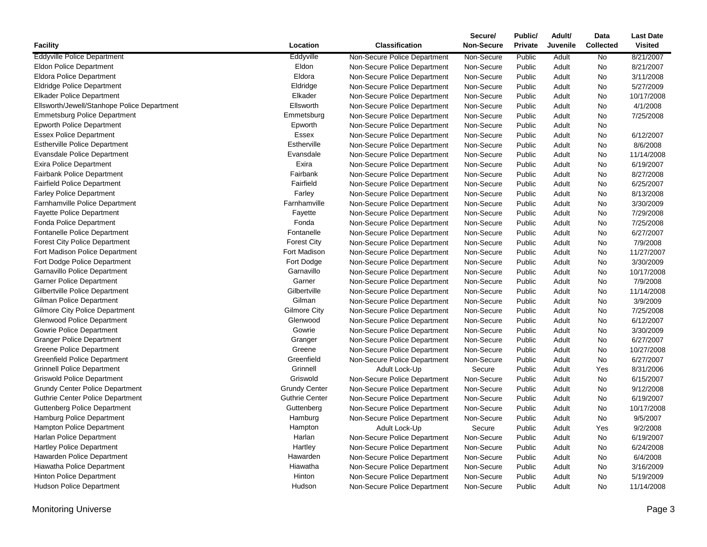|                                             |                       |                              | Secure/           | Public/        | Adult/          | Data             | <b>Last Date</b> |
|---------------------------------------------|-----------------------|------------------------------|-------------------|----------------|-----------------|------------------|------------------|
| Facility                                    | Location              | <b>Classification</b>        | <b>Non-Secure</b> | <b>Private</b> | <b>Juvenile</b> | <b>Collected</b> | <b>Visited</b>   |
| <b>Eddyville Police Department</b>          | Eddyville             | Non-Secure Police Department | Non-Secure        | Public         | Adult           | No               | 8/21/2007        |
| Eldon Police Department                     | Eldon                 | Non-Secure Police Department | Non-Secure        | Public         | Adult           | No               | 8/21/2007        |
| <b>Eldora Police Department</b>             | Eldora                | Non-Secure Police Department | Non-Secure        | Public         | Adult           | No               | 3/11/2008        |
| <b>Eldridge Police Department</b>           | Eldridge              | Non-Secure Police Department | Non-Secure        | Public         | Adult           | No               | 5/27/2009        |
| <b>Elkader Police Department</b>            | Elkader               | Non-Secure Police Department | Non-Secure        | Public         | Adult           | No               | 10/17/2008       |
| Ellsworth/Jewell/Stanhope Police Department | Ellsworth             | Non-Secure Police Department | Non-Secure        | Public         | Adult           | No               | 4/1/2008         |
| <b>Emmetsburg Police Department</b>         | Emmetsburg            | Non-Secure Police Department | Non-Secure        | Public         | Adult           | No               | 7/25/2008        |
| <b>Epworth Police Department</b>            | Epworth               | Non-Secure Police Department | Non-Secure        | Public         | Adult           | No               |                  |
| <b>Essex Police Department</b>              | Essex                 | Non-Secure Police Department | Non-Secure        | Public         | Adult           | No               | 6/12/2007        |
| <b>Estherville Police Department</b>        | Estherville           | Non-Secure Police Department | Non-Secure        | Public         | Adult           | No               | 8/6/2008         |
| <b>Evansdale Police Department</b>          | Evansdale             | Non-Secure Police Department | Non-Secure        | Public         | Adult           | No               | 11/14/2008       |
| <b>Exira Police Department</b>              | Exira                 | Non-Secure Police Department | Non-Secure        | Public         | Adult           | No               | 6/19/2007        |
| <b>Fairbank Police Department</b>           | Fairbank              | Non-Secure Police Department | Non-Secure        | Public         | Adult           | No               | 8/27/2008        |
| <b>Fairfield Police Department</b>          | Fairfield             | Non-Secure Police Department | Non-Secure        | Public         | Adult           | No               | 6/25/2007        |
| <b>Farley Police Department</b>             | Farley                | Non-Secure Police Department | Non-Secure        | Public         | Adult           | No               | 8/13/2008        |
| Farnhamville Police Department              | Farnhamville          | Non-Secure Police Department | Non-Secure        | Public         | Adult           | No               | 3/30/2009        |
| <b>Fayette Police Department</b>            | Fayette               | Non-Secure Police Department | Non-Secure        | Public         | Adult           | No               | 7/29/2008        |
| <b>Fonda Police Department</b>              | Fonda                 | Non-Secure Police Department | Non-Secure        | Public         | Adult           | <b>No</b>        | 7/25/2008        |
| Fontanelle Police Department                | Fontanelle            | Non-Secure Police Department | Non-Secure        | Public         | Adult           | No               | 6/27/2007        |
| <b>Forest City Police Department</b>        | <b>Forest City</b>    | Non-Secure Police Department | Non-Secure        | Public         | Adult           | No               | 7/9/2008         |
| Fort Madison Police Department              | Fort Madison          | Non-Secure Police Department | Non-Secure        | Public         | Adult           | No               | 11/27/2007       |
| Fort Dodge Police Department                | Fort Dodge            | Non-Secure Police Department | Non-Secure        | Public         | Adult           | No               | 3/30/2009        |
| Garnavillo Police Department                | Garnavillo            | Non-Secure Police Department | Non-Secure        | Public         | Adult           | No               | 10/17/2008       |
| <b>Garner Police Department</b>             | Garner                | Non-Secure Police Department | Non-Secure        | Public         | Adult           | No               | 7/9/2008         |
| Gilbertville Police Department              | Gilbertville          | Non-Secure Police Department | Non-Secure        | Public         | Adult           | No               | 11/14/2008       |
| Gilman Police Department                    | Gilman                | Non-Secure Police Department | Non-Secure        | Public         | Adult           | No               | 3/9/2009         |
| <b>Gilmore City Police Department</b>       | Gilmore City          | Non-Secure Police Department | Non-Secure        | Public         | Adult           | No               | 7/25/2008        |
| <b>Glenwood Police Department</b>           | Glenwood              | Non-Secure Police Department | Non-Secure        | Public         | Adult           | No               | 6/12/2007        |
| Gowrie Police Department                    | Gowrie                | Non-Secure Police Department | Non-Secure        | Public         | Adult           | No               | 3/30/2009        |
| <b>Granger Police Department</b>            | Granger               | Non-Secure Police Department | Non-Secure        | Public         | Adult           | No               | 6/27/2007        |
| Greene Police Department                    | Greene                | Non-Secure Police Department | Non-Secure        | Public         | Adult           | No               | 10/27/2008       |
| <b>Greenfield Police Department</b>         | Greenfield            | Non-Secure Police Department | Non-Secure        | Public         | Adult           | No               | 6/27/2007        |
| <b>Grinnell Police Department</b>           | Grinnell              | Adult Lock-Up                | Secure            | Public         | Adult           | Yes              | 8/31/2006        |
| <b>Griswold Police Department</b>           | Griswold              | Non-Secure Police Department | Non-Secure        | Public         | Adult           | No               | 6/15/2007        |
| <b>Grundy Center Police Department</b>      | <b>Grundy Center</b>  | Non-Secure Police Department | Non-Secure        | Public         | Adult           | No               | 9/12/2008        |
| <b>Guthrie Center Police Department</b>     | <b>Guthrie Center</b> | Non-Secure Police Department | Non-Secure        | Public         | Adult           | No               | 6/19/2007        |
| <b>Guttenberg Police Department</b>         | Guttenberg            | Non-Secure Police Department | Non-Secure        | Public         | Adult           | No               | 10/17/2008       |
| Hamburg Police Department                   | Hamburg               | Non-Secure Police Department | Non-Secure        | Public         | Adult           | No               | 9/5/2007         |
| Hampton Police Department                   | Hampton               | Adult Lock-Up                | Secure            | Public         | Adult           | Yes              | 9/2/2008         |
| Harlan Police Department                    | Harlan                | Non-Secure Police Department | Non-Secure        | Public         | Adult           | <b>No</b>        | 6/19/2007        |
| <b>Hartley Police Department</b>            | Hartley               | Non-Secure Police Department | Non-Secure        | Public         | Adult           | No               | 6/24/2008        |
| Hawarden Police Department                  | Hawarden              | Non-Secure Police Department | Non-Secure        | Public         | Adult           | No               | 6/4/2008         |
| Hiawatha Police Department                  | Hiawatha              | Non-Secure Police Department | Non-Secure        | Public         | Adult           | No               | 3/16/2009        |
| <b>Hinton Police Department</b>             | Hinton                | Non-Secure Police Department | Non-Secure        | Public         | Adult           | No               | 5/19/2009        |
| <b>Hudson Police Department</b>             | Hudson                | Non-Secure Police Department | Non-Secure        | Public         | Adult           | No               | 11/14/2008       |
|                                             |                       |                              |                   |                |                 |                  |                  |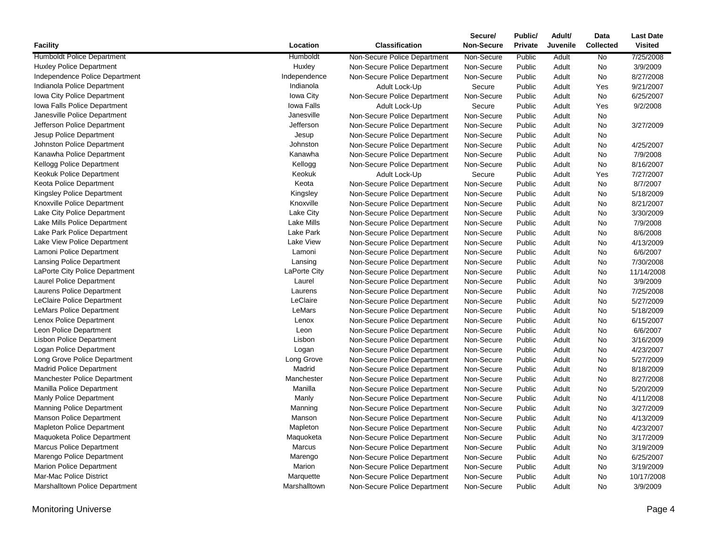|                                     |                   |                              | Secure/           | Public/        | Adult/   | Data             | <b>Last Date</b> |
|-------------------------------------|-------------------|------------------------------|-------------------|----------------|----------|------------------|------------------|
| <b>Facility</b>                     | Location          | <b>Classification</b>        | <b>Non-Secure</b> | <b>Private</b> | Juvenile | <b>Collected</b> | <b>Visited</b>   |
| <b>Humboldt Police Department</b>   | Humboldt          | Non-Secure Police Department | Non-Secure        | Public         | Adult    | No               | 7/25/2008        |
| <b>Huxley Police Department</b>     | Huxley            | Non-Secure Police Department | Non-Secure        | Public         | Adult    | No               | 3/9/2009         |
| Independence Police Department      | Independence      | Non-Secure Police Department | Non-Secure        | Public         | Adult    | <b>No</b>        | 8/27/2008        |
| Indianola Police Department         | Indianola         | Adult Lock-Up                | Secure            | Public         | Adult    | Yes              | 9/21/2007        |
| Iowa City Police Department         | Iowa City         | Non-Secure Police Department | Non-Secure        | Public         | Adult    | No               | 6/25/2007        |
| Iowa Falls Police Department        | Iowa Falls        | Adult Lock-Up                | Secure            | Public         | Adult    | Yes              | 9/2/2008         |
| Janesville Police Department        | Janesville        | Non-Secure Police Department | Non-Secure        | Public         | Adult    | No               |                  |
| Jefferson Police Department         | Jefferson         | Non-Secure Police Department | Non-Secure        | Public         | Adult    | No               | 3/27/2009        |
| Jesup Police Department             | Jesup             | Non-Secure Police Department | Non-Secure        | Public         | Adult    | No               |                  |
| Johnston Police Department          | Johnston          | Non-Secure Police Department | Non-Secure        | Public         | Adult    | No               | 4/25/2007        |
| Kanawha Police Department           | Kanawha           | Non-Secure Police Department | Non-Secure        | Public         | Adult    | No               | 7/9/2008         |
| Kellogg Police Department           | Kellogg           | Non-Secure Police Department | Non-Secure        | Public         | Adult    | <b>No</b>        | 8/16/2007        |
| Keokuk Police Department            | Keokuk            | Adult Lock-Up                | Secure            | Public         | Adult    | Yes              | 7/27/2007        |
| Keota Police Department             | Keota             | Non-Secure Police Department | Non-Secure        | Public         | Adult    | No               | 8/7/2007         |
| <b>Kingsley Police Department</b>   | Kingsley          | Non-Secure Police Department | Non-Secure        | Public         | Adult    | No               | 5/18/2009        |
| Knoxville Police Department         | Knoxville         | Non-Secure Police Department | Non-Secure        | Public         | Adult    | No               | 8/21/2007        |
| Lake City Police Department         | Lake City         | Non-Secure Police Department | Non-Secure        | Public         | Adult    | No               | 3/30/2009        |
| Lake Mills Police Department        | <b>Lake Mills</b> | Non-Secure Police Department | Non-Secure        | Public         | Adult    | No               | 7/9/2008         |
| Lake Park Police Department         | <b>Lake Park</b>  | Non-Secure Police Department | Non-Secure        | Public         | Adult    | No               | 8/6/2008         |
| Lake View Police Department         | Lake View         | Non-Secure Police Department | Non-Secure        | Public         | Adult    | No               | 4/13/2009        |
| Lamoni Police Department            | Lamoni            | Non-Secure Police Department | Non-Secure        | Public         | Adult    | No               | 6/6/2007         |
| <b>Lansing Police Department</b>    | Lansing           | Non-Secure Police Department | Non-Secure        | Public         | Adult    | No               | 7/30/2008        |
| LaPorte City Police Department      | LaPorte City      | Non-Secure Police Department | Non-Secure        | Public         | Adult    | No               | 11/14/2008       |
| Laurel Police Department            | Laurel            | Non-Secure Police Department | Non-Secure        | Public         | Adult    | No               | 3/9/2009         |
| Laurens Police Department           | Laurens           | Non-Secure Police Department | Non-Secure        | Public         | Adult    | No               | 7/25/2008        |
| LeClaire Police Department          | LeClaire          | Non-Secure Police Department | Non-Secure        | Public         | Adult    | No               | 5/27/2009        |
| LeMars Police Department            | LeMars            | Non-Secure Police Department | Non-Secure        | Public         | Adult    | No               | 5/18/2009        |
| Lenox Police Department             | Lenox             | Non-Secure Police Department | Non-Secure        | Public         | Adult    | No               | 6/15/2007        |
| Leon Police Department              | Leon              | Non-Secure Police Department | Non-Secure        | Public         | Adult    | No               | 6/6/2007         |
| <b>Lisbon Police Department</b>     | Lisbon            | Non-Secure Police Department | Non-Secure        | Public         | Adult    | No               | 3/16/2009        |
| Logan Police Department             | Logan             | Non-Secure Police Department | Non-Secure        | Public         | Adult    | No               | 4/23/2007        |
| Long Grove Police Department        | Long Grove        | Non-Secure Police Department | Non-Secure        | Public         | Adult    | No               | 5/27/2009        |
| <b>Madrid Police Department</b>     | Madrid            | Non-Secure Police Department | Non-Secure        | Public         | Adult    | No               | 8/18/2009        |
| <b>Manchester Police Department</b> | Manchester        | Non-Secure Police Department | Non-Secure        | Public         | Adult    | No               | 8/27/2008        |
| Manilla Police Department           | Manilla           | Non-Secure Police Department | Non-Secure        | Public         | Adult    | No               | 5/20/2009        |
| Manly Police Department             | Manly             | Non-Secure Police Department | Non-Secure        | Public         | Adult    | No               | 4/11/2008        |
| <b>Manning Police Department</b>    | Manning           | Non-Secure Police Department | Non-Secure        | Public         | Adult    | No               | 3/27/2009        |
| Manson Police Department            | Manson            | Non-Secure Police Department | Non-Secure        | Public         | Adult    | No               | 4/13/2009        |
| <b>Mapleton Police Department</b>   | Mapleton          | Non-Secure Police Department | Non-Secure        | Public         | Adult    | No               | 4/23/2007        |
| Maquoketa Police Department         | Maquoketa         | Non-Secure Police Department | Non-Secure        | Public         | Adult    | No               | 3/17/2009        |
| <b>Marcus Police Department</b>     | Marcus            | Non-Secure Police Department | Non-Secure        | Public         | Adult    | No               | 3/19/2009        |
| Marengo Police Department           | Marengo           | Non-Secure Police Department | Non-Secure        | Public         | Adult    | No               | 6/25/2007        |
| <b>Marion Police Department</b>     | Marion            | Non-Secure Police Department | Non-Secure        | Public         | Adult    | No               | 3/19/2009        |
| Mar-Mac Police District             | Marquette         | Non-Secure Police Department | Non-Secure        | Public         | Adult    | <b>No</b>        | 10/17/2008       |
| Marshalltown Police Department      | Marshalltown      | Non-Secure Police Department | Non-Secure        | Public         | Adult    | No               | 3/9/2009         |
|                                     |                   |                              |                   |                |          |                  |                  |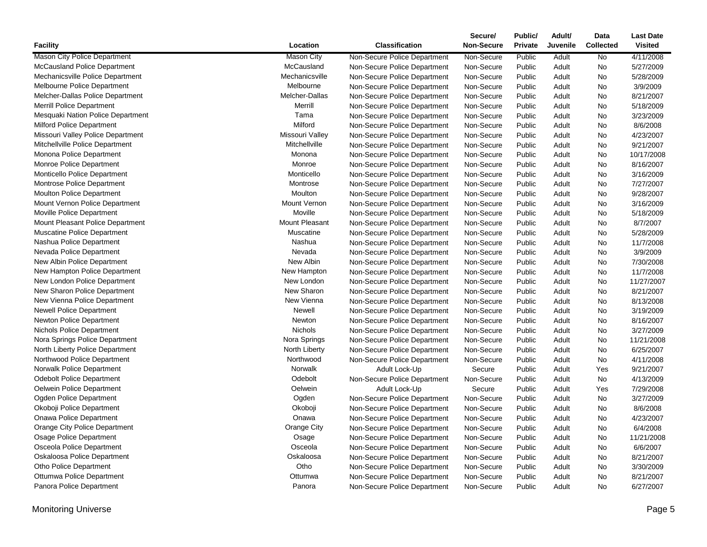|                                     |                       |                              | Secure/           | Public/        | Adult/   | Data             | <b>Last Date</b> |
|-------------------------------------|-----------------------|------------------------------|-------------------|----------------|----------|------------------|------------------|
| <b>Facility</b>                     | Location              | <b>Classification</b>        | <b>Non-Secure</b> | <b>Private</b> | Juvenile | <b>Collected</b> | <b>Visited</b>   |
| <b>Mason City Police Department</b> | <b>Mason City</b>     | Non-Secure Police Department | Non-Secure        | Public         | Adult    | No               | 4/11/2008        |
| <b>McCausland Police Department</b> | McCausland            | Non-Secure Police Department | Non-Secure        | Public         | Adult    | No               | 5/27/2009        |
| Mechanicsville Police Department    | Mechanicsville        | Non-Secure Police Department | Non-Secure        | Public         | Adult    | No               | 5/28/2009        |
| Melbourne Police Department         | Melbourne             | Non-Secure Police Department | Non-Secure        | Public         | Adult    | No               | 3/9/2009         |
| Melcher-Dallas Police Department    | Melcher-Dallas        | Non-Secure Police Department | Non-Secure        | Public         | Adult    | No               | 8/21/2007        |
| <b>Merrill Police Department</b>    | Merrill               | Non-Secure Police Department | Non-Secure        | Public         | Adult    | No               | 5/18/2009        |
| Mesquaki Nation Police Department   | Tama                  | Non-Secure Police Department | Non-Secure        | Public         | Adult    | No               | 3/23/2009        |
| <b>Milford Police Department</b>    | Milford               | Non-Secure Police Department | Non-Secure        | Public         | Adult    | No               | 8/6/2008         |
| Missouri Valley Police Department   | Missouri Valley       | Non-Secure Police Department | Non-Secure        | Public         | Adult    | No               | 4/23/2007        |
| Mitchellville Police Department     | Mitchellville         | Non-Secure Police Department | Non-Secure        | Public         | Adult    | No               | 9/21/2007        |
| Monona Police Department            | Monona                | Non-Secure Police Department | Non-Secure        | Public         | Adult    | No               | 10/17/2008       |
| Monroe Police Department            | Monroe                | Non-Secure Police Department | Non-Secure        | Public         | Adult    | No               | 8/16/2007        |
| Monticello Police Department        | Monticello            | Non-Secure Police Department | Non-Secure        | Public         | Adult    | No               | 3/16/2009        |
| Montrose Police Department          | Montrose              | Non-Secure Police Department | Non-Secure        | Public         | Adult    | No               | 7/27/2007        |
| <b>Moulton Police Department</b>    | Moulton               | Non-Secure Police Department | Non-Secure        | Public         | Adult    | No               | 9/28/2007        |
| Mount Vernon Police Department      | Mount Vernon          | Non-Secure Police Department | Non-Secure        | Public         | Adult    | No               | 3/16/2009        |
| Moville Police Department           | Moville               | Non-Secure Police Department | Non-Secure        | Public         | Adult    | No               | 5/18/2009        |
| Mount Pleasant Police Department    | <b>Mount Pleasant</b> | Non-Secure Police Department | Non-Secure        | Public         | Adult    | No               | 8/7/2007         |
| <b>Muscatine Police Department</b>  | Muscatine             | Non-Secure Police Department | Non-Secure        | Public         | Adult    | No               | 5/28/2009        |
| Nashua Police Department            | Nashua                | Non-Secure Police Department | Non-Secure        | Public         | Adult    | No               | 11/7/2008        |
| Nevada Police Department            | Nevada                | Non-Secure Police Department | Non-Secure        | Public         | Adult    | No               | 3/9/2009         |
| New Albin Police Department         | New Albin             | Non-Secure Police Department | Non-Secure        | Public         | Adult    | No               | 7/30/2008        |
| New Hampton Police Department       | New Hampton           | Non-Secure Police Department | Non-Secure        | Public         | Adult    | No               | 11/7/2008        |
| New London Police Department        | New London            | Non-Secure Police Department | Non-Secure        | Public         | Adult    | No               | 11/27/2007       |
| New Sharon Police Department        | New Sharon            | Non-Secure Police Department | Non-Secure        | Public         | Adult    | No               | 8/21/2007        |
| New Vienna Police Department        | New Vienna            | Non-Secure Police Department | Non-Secure        | Public         | Adult    | No               | 8/13/2008        |
| <b>Newell Police Department</b>     | Newell                | Non-Secure Police Department | Non-Secure        | Public         | Adult    | No               | 3/19/2009        |
| Newton Police Department            | Newton                | Non-Secure Police Department | Non-Secure        | Public         | Adult    | No               | 8/16/2007        |
| <b>Nichols Police Department</b>    | <b>Nichols</b>        | Non-Secure Police Department | Non-Secure        | Public         | Adult    | No               | 3/27/2009        |
| Nora Springs Police Department      | Nora Springs          | Non-Secure Police Department | Non-Secure        | Public         | Adult    | No               | 11/21/2008       |
| North Liberty Police Department     | North Liberty         | Non-Secure Police Department | Non-Secure        | Public         | Adult    | No               | 6/25/2007        |
| Northwood Police Department         | Northwood             | Non-Secure Police Department | Non-Secure        | Public         | Adult    | No               | 4/11/2008        |
| Norwalk Police Department           | Norwalk               | Adult Lock-Up                | Secure            | Public         | Adult    | Yes              | 9/21/2007        |
| <b>Odebolt Police Department</b>    | Odebolt               | Non-Secure Police Department | Non-Secure        | Public         | Adult    | No               | 4/13/2009        |
| Oelwein Police Department           | Oelwein               | Adult Lock-Up                | Secure            | Public         | Adult    | Yes              | 7/29/2008        |
| Ogden Police Department             | Ogden                 | Non-Secure Police Department | Non-Secure        | Public         | Adult    | No               | 3/27/2009        |
| Okoboji Police Department           | Okoboji               | Non-Secure Police Department | Non-Secure        | Public         | Adult    | No               | 8/6/2008         |
| Onawa Police Department             | Onawa                 | Non-Secure Police Department | Non-Secure        | Public         | Adult    | No               | 4/23/2007        |
| Orange City Police Department       | Orange City           | Non-Secure Police Department | Non-Secure        | Public         | Adult    | No               | 6/4/2008         |
| <b>Osage Police Department</b>      | Osage                 | Non-Secure Police Department | Non-Secure        | Public         | Adult    | No               | 11/21/2008       |
| Osceola Police Department           | Osceola               | Non-Secure Police Department | Non-Secure        | Public         | Adult    | No               | 6/6/2007         |
| Oskaloosa Police Department         | Oskaloosa             | Non-Secure Police Department | Non-Secure        | Public         | Adult    | No               | 8/21/2007        |
| Otho Police Department              | Otho                  | Non-Secure Police Department | Non-Secure        | Public         | Adult    | No               | 3/30/2009        |
| Ottumwa Police Department           | Ottumwa               | Non-Secure Police Department | Non-Secure        | Public         | Adult    | No               | 8/21/2007        |
| Panora Police Department            | Panora                | Non-Secure Police Department | Non-Secure        | Public         | Adult    | No               | 6/27/2007        |
|                                     |                       |                              |                   |                |          |                  |                  |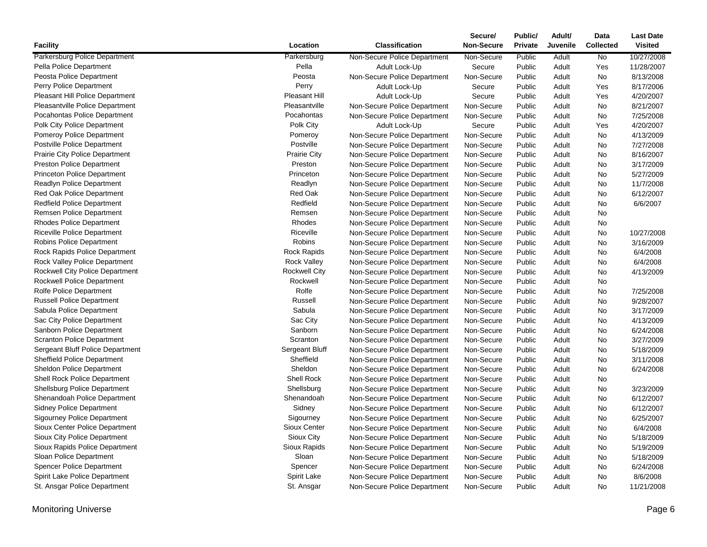|                                       |                      |                              | Secure/           | Public/        | Adult/   | Data             | <b>Last Date</b> |
|---------------------------------------|----------------------|------------------------------|-------------------|----------------|----------|------------------|------------------|
| <b>Facility</b>                       | Location             | <b>Classification</b>        | <b>Non-Secure</b> | <b>Private</b> | Juvenile | <b>Collected</b> | <b>Visited</b>   |
| <b>Parkersburg Police Department</b>  | Parkersburg          | Non-Secure Police Department | Non-Secure        | Public         | Adult    | No.              | 10/27/2008       |
| Pella Police Department               | Pella                | Adult Lock-Up                | Secure            | Public         | Adult    | Yes              | 11/28/2007       |
| Peosta Police Department              | Peosta               | Non-Secure Police Department | Non-Secure        | Public         | Adult    | No               | 8/13/2008        |
| Perry Police Department               | Perry                | Adult Lock-Up                | Secure            | Public         | Adult    | Yes              | 8/17/2006        |
| Pleasant Hill Police Department       | Pleasant Hill        | Adult Lock-Up                | Secure            | Public         | Adult    | Yes              | 4/20/2007        |
| Pleasantville Police Department       | Pleasantville        | Non-Secure Police Department | Non-Secure        | Public         | Adult    | No               | 8/21/2007        |
| Pocahontas Police Department          | Pocahontas           | Non-Secure Police Department | Non-Secure        | Public         | Adult    | No.              | 7/25/2008        |
| Polk City Police Department           | Polk City            | Adult Lock-Up                | Secure            | Public         | Adult    | Yes              | 4/20/2007        |
| <b>Pomeroy Police Department</b>      | Pomeroy              | Non-Secure Police Department | Non-Secure        | Public         | Adult    | No               | 4/13/2009        |
| Postville Police Department           | Postville            | Non-Secure Police Department | Non-Secure        | Public         | Adult    | No               | 7/27/2008        |
| <b>Prairie City Police Department</b> | <b>Prairie City</b>  | Non-Secure Police Department | Non-Secure        | Public         | Adult    | No               | 8/16/2007        |
| <b>Preston Police Department</b>      | Preston              | Non-Secure Police Department | Non-Secure        | Public         | Adult    | No.              | 3/17/2009        |
| <b>Princeton Police Department</b>    | Princeton            | Non-Secure Police Department | Non-Secure        | Public         | Adult    | No               | 5/27/2009        |
| Readlyn Police Department             | Readlyn              | Non-Secure Police Department | Non-Secure        | Public         | Adult    | No               | 11/7/2008        |
| <b>Red Oak Police Department</b>      | Red Oak              | Non-Secure Police Department | Non-Secure        | Public         | Adult    | No               | 6/12/2007        |
| <b>Redfield Police Department</b>     | Redfield             | Non-Secure Police Department | Non-Secure        | Public         | Adult    | No               | 6/6/2007         |
| Remsen Police Department              | Remsen               | Non-Secure Police Department | Non-Secure        | Public         | Adult    | No               |                  |
| <b>Rhodes Police Department</b>       | Rhodes               | Non-Secure Police Department | Non-Secure        | Public         | Adult    | No               |                  |
| <b>Riceville Police Department</b>    | Riceville            | Non-Secure Police Department | Non-Secure        | Public         | Adult    | No               | 10/27/2008       |
| <b>Robins Police Department</b>       | Robins               | Non-Secure Police Department | Non-Secure        | Public         | Adult    | No               | 3/16/2009        |
| Rock Rapids Police Department         | <b>Rock Rapids</b>   | Non-Secure Police Department | Non-Secure        | Public         | Adult    | No               | 6/4/2008         |
| Rock Valley Police Department         | <b>Rock Valley</b>   | Non-Secure Police Department | Non-Secure        | Public         | Adult    | No               | 6/4/2008         |
| Rockwell City Police Department       | <b>Rockwell City</b> | Non-Secure Police Department | Non-Secure        | Public         | Adult    | No               | 4/13/2009        |
| Rockwell Police Department            | Rockwell             | Non-Secure Police Department | Non-Secure        | Public         | Adult    | No               |                  |
| Rolfe Police Department               | Rolfe                | Non-Secure Police Department | Non-Secure        | Public         | Adult    | No               | 7/25/2008        |
| <b>Russell Police Department</b>      | Russell              | Non-Secure Police Department | Non-Secure        | Public         | Adult    | No               | 9/28/2007        |
| Sabula Police Department              | Sabula               | Non-Secure Police Department | Non-Secure        | Public         | Adult    | No               | 3/17/2009        |
| Sac City Police Department            | Sac City             | Non-Secure Police Department | Non-Secure        | Public         | Adult    | No               | 4/13/2009        |
| Sanborn Police Department             | Sanborn              | Non-Secure Police Department | Non-Secure        | Public         | Adult    | <b>No</b>        | 6/24/2008        |
| <b>Scranton Police Department</b>     | Scranton             | Non-Secure Police Department | Non-Secure        | Public         | Adult    | No               | 3/27/2009        |
| Sergeant Bluff Police Department      | Sergeant Bluff       | Non-Secure Police Department | Non-Secure        | Public         | Adult    | No               | 5/18/2009        |
| <b>Sheffield Police Department</b>    | Sheffield            | Non-Secure Police Department | Non-Secure        | Public         | Adult    | No               | 3/11/2008        |
| Sheldon Police Department             | Sheldon              | Non-Secure Police Department | Non-Secure        | Public         | Adult    | No               | 6/24/2008        |
| Shell Rock Police Department          | <b>Shell Rock</b>    | Non-Secure Police Department | Non-Secure        | Public         | Adult    | No               |                  |
| Shellsburg Police Department          | Shellsburg           | Non-Secure Police Department | Non-Secure        | Public         | Adult    | No               | 3/23/2009        |
| Shenandoah Police Department          | Shenandoah           | Non-Secure Police Department | Non-Secure        | Public         | Adult    | No               | 6/12/2007        |
| <b>Sidney Police Department</b>       | Sidney               | Non-Secure Police Department | Non-Secure        | Public         | Adult    | No               | 6/12/2007        |
| <b>Sigourney Police Department</b>    | Sigourney            | Non-Secure Police Department | Non-Secure        | Public         | Adult    | No               | 6/25/2007        |
| Sioux Center Police Department        | Sioux Center         | Non-Secure Police Department | Non-Secure        | Public         | Adult    | <b>No</b>        | 6/4/2008         |
| Sioux City Police Department          | Sioux City           | Non-Secure Police Department | Non-Secure        | Public         | Adult    | No               | 5/18/2009        |
| Sioux Rapids Police Department        | Sioux Rapids         | Non-Secure Police Department | Non-Secure        | Public         | Adult    | No               | 5/19/2009        |
| Sloan Police Department               | Sloan                | Non-Secure Police Department | Non-Secure        | Public         | Adult    | No               | 5/18/2009        |
| <b>Spencer Police Department</b>      | Spencer              | Non-Secure Police Department | Non-Secure        | Public         | Adult    | <b>No</b>        | 6/24/2008        |
| Spirit Lake Police Department         | Spirit Lake          | Non-Secure Police Department | Non-Secure        | Public         | Adult    | No               | 8/6/2008         |
| St. Ansgar Police Department          | St. Ansgar           | Non-Secure Police Department | Non-Secure        | Public         | Adult    | <b>No</b>        | 11/21/2008       |
|                                       |                      |                              |                   |                |          |                  |                  |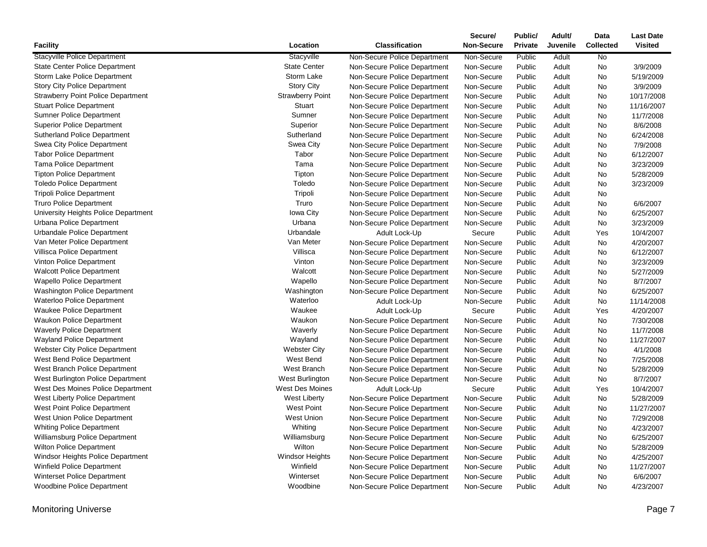|                                           |                         |                              | Secure/    | Public/ | Adult/   | Data             | <b>Last Date</b> |
|-------------------------------------------|-------------------------|------------------------------|------------|---------|----------|------------------|------------------|
| <b>Facility</b>                           | Location                | <b>Classification</b>        | Non-Secure | Private | Juvenile | <b>Collected</b> | <b>Visited</b>   |
| <b>Stacyville Police Department</b>       | Stacyville              | Non-Secure Police Department | Non-Secure | Public  | Adult    | <b>No</b>        |                  |
| <b>State Center Police Department</b>     | <b>State Center</b>     | Non-Secure Police Department | Non-Secure | Public  | Adult    | <b>No</b>        | 3/9/2009         |
| Storm Lake Police Department              | Storm Lake              | Non-Secure Police Department | Non-Secure | Public  | Adult    | No               | 5/19/2009        |
| <b>Story City Police Department</b>       | <b>Story City</b>       | Non-Secure Police Department | Non-Secure | Public  | Adult    | No               | 3/9/2009         |
| <b>Strawberry Point Police Department</b> | <b>Strawberry Point</b> | Non-Secure Police Department | Non-Secure | Public  | Adult    | No               | 10/17/2008       |
| <b>Stuart Police Department</b>           | Stuart                  | Non-Secure Police Department | Non-Secure | Public  | Adult    | No               | 11/16/2007       |
| <b>Sumner Police Department</b>           | Sumner                  | Non-Secure Police Department | Non-Secure | Public  | Adult    | No               | 11/7/2008        |
| <b>Superior Police Department</b>         | Superior                | Non-Secure Police Department | Non-Secure | Public  | Adult    | No               | 8/6/2008         |
| <b>Sutherland Police Department</b>       | Sutherland              | Non-Secure Police Department | Non-Secure | Public  | Adult    | No               | 6/24/2008        |
| Swea City Police Department               | Swea City               | Non-Secure Police Department | Non-Secure | Public  | Adult    | No               | 7/9/2008         |
| <b>Tabor Police Department</b>            | Tabor                   | Non-Secure Police Department | Non-Secure | Public  | Adult    | No               | 6/12/2007        |
| <b>Tama Police Department</b>             | Tama                    | Non-Secure Police Department | Non-Secure | Public  | Adult    | No               | 3/23/2009        |
| <b>Tipton Police Department</b>           | Tipton                  | Non-Secure Police Department | Non-Secure | Public  | Adult    | No               | 5/28/2009        |
| <b>Toledo Police Department</b>           | Toledo                  | Non-Secure Police Department | Non-Secure | Public  | Adult    | No               | 3/23/2009        |
| <b>Tripoli Police Department</b>          | Tripoli                 | Non-Secure Police Department | Non-Secure | Public  | Adult    | No               |                  |
| <b>Truro Police Department</b>            | Truro                   | Non-Secure Police Department | Non-Secure | Public  | Adult    | No               | 6/6/2007         |
| University Heights Police Department      | Iowa City               | Non-Secure Police Department | Non-Secure | Public  | Adult    | No               | 6/25/2007        |
| Urbana Police Department                  | Urbana                  | Non-Secure Police Department | Non-Secure | Public  | Adult    | <b>No</b>        | 3/23/2009        |
| Urbandale Police Department               | Urbandale               | Adult Lock-Up                | Secure     | Public  | Adult    | Yes              | 10/4/2007        |
| Van Meter Police Department               | Van Meter               | Non-Secure Police Department | Non-Secure | Public  | Adult    | No               | 4/20/2007        |
| Villisca Police Department                | Villisca                | Non-Secure Police Department | Non-Secure | Public  | Adult    | No               | 6/12/2007        |
| Vinton Police Department                  | Vinton                  | Non-Secure Police Department | Non-Secure | Public  | Adult    | No               | 3/23/2009        |
| <b>Walcott Police Department</b>          | Walcott                 | Non-Secure Police Department | Non-Secure | Public  | Adult    | No               | 5/27/2009        |
| Wapello Police Department                 | Wapello                 | Non-Secure Police Department | Non-Secure | Public  | Adult    | No               | 8/7/2007         |
| Washington Police Department              | Washington              | Non-Secure Police Department | Non-Secure | Public  | Adult    | No               | 6/25/2007        |
| Waterloo Police Department                | Waterloo                | Adult Lock-Up                | Non-Secure | Public  | Adult    | No               | 11/14/2008       |
| <b>Waukee Police Department</b>           | Waukee                  | Adult Lock-Up                | Secure     | Public  | Adult    | Yes              | 4/20/2007        |
| Waukon Police Department                  | Waukon                  | Non-Secure Police Department | Non-Secure | Public  | Adult    | <b>No</b>        | 7/30/2008        |
| <b>Waverly Police Department</b>          | Waverly                 | Non-Secure Police Department | Non-Secure | Public  | Adult    | No               | 11/7/2008        |
| <b>Wayland Police Department</b>          | Wayland                 | Non-Secure Police Department | Non-Secure | Public  | Adult    | No               | 11/27/2007       |
| Webster City Police Department            | <b>Webster City</b>     | Non-Secure Police Department | Non-Secure | Public  | Adult    | No               | 4/1/2008         |
| West Bend Police Department               | West Bend               | Non-Secure Police Department | Non-Secure | Public  | Adult    | No               | 7/25/2008        |
| West Branch Police Department             | West Branch             | Non-Secure Police Department | Non-Secure | Public  | Adult    | No               | 5/28/2009        |
| West Burlington Police Department         | West Burlington         | Non-Secure Police Department | Non-Secure | Public  | Adult    | No               | 8/7/2007         |
| West Des Moines Police Department         | <b>West Des Moines</b>  | Adult Lock-Up                | Secure     | Public  | Adult    | Yes              | 10/4/2007        |
| West Liberty Police Department            | <b>West Liberty</b>     | Non-Secure Police Department | Non-Secure | Public  | Adult    | No               | 5/28/2009        |
| West Point Police Department              | <b>West Point</b>       | Non-Secure Police Department | Non-Secure | Public  | Adult    | No               | 11/27/2007       |
| West Union Police Department              | <b>West Union</b>       | Non-Secure Police Department | Non-Secure | Public  | Adult    | No               | 7/29/2008        |
| <b>Whiting Police Department</b>          | Whiting                 | Non-Secure Police Department | Non-Secure | Public  | Adult    | No               | 4/23/2007        |
| Williamsburg Police Department            | Williamsburg            | Non-Secure Police Department | Non-Secure | Public  | Adult    | No               | 6/25/2007        |
| <b>Wilton Police Department</b>           | Wilton                  | Non-Secure Police Department | Non-Secure | Public  | Adult    | No               | 5/28/2009        |
| Windsor Heights Police Department         | Windsor Heights         | Non-Secure Police Department | Non-Secure | Public  | Adult    | No               | 4/25/2007        |
| <b>Winfield Police Department</b>         | Winfield                | Non-Secure Police Department | Non-Secure | Public  | Adult    | No               | 11/27/2007       |
| <b>Winterset Police Department</b>        | Winterset               | Non-Secure Police Department | Non-Secure | Public  | Adult    | No               | 6/6/2007         |
| <b>Woodbine Police Department</b>         | Woodbine                | Non-Secure Police Department | Non-Secure | Public  | Adult    | No.              | 4/23/2007        |
|                                           |                         |                              |            |         |          |                  |                  |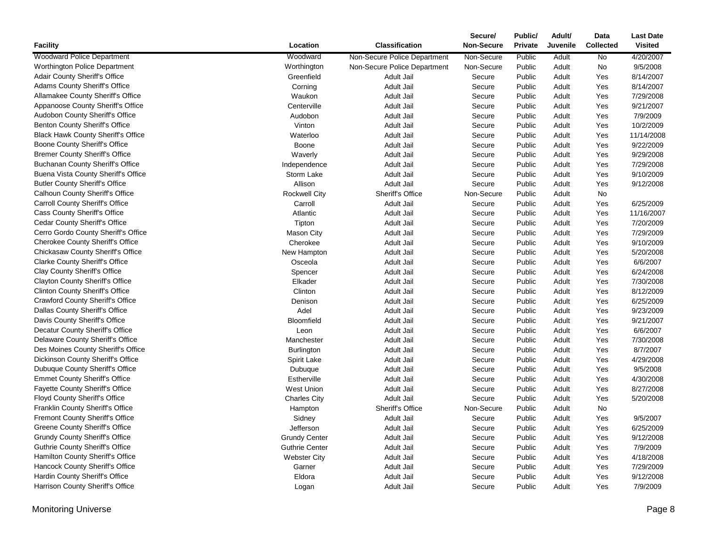| <b>Woodward Police Department</b><br>Woodward<br>Non-Secure Police Department<br>Non-Secure<br>Public<br>Adult<br><b>No</b><br>4/20/2007<br>Worthington<br>Worthington Police Department<br>Non-Secure Police Department<br>Non-Secure<br>Public<br>Adult<br>No<br>9/5/2008<br><b>Adair County Sheriff's Office</b><br>Greenfield<br>Public<br>8/14/2007<br>Adult Jail<br>Secure<br>Adult<br>Yes<br>Adams County Sheriff's Office<br>Corning<br>Adult Jail<br>Public<br>Yes<br>8/14/2007<br>Secure<br>Adult<br>Allamakee County Sheriff's Office<br><b>Adult Jail</b><br>7/29/2008<br>Waukon<br>Secure<br>Public<br>Adult<br>Yes<br>Appanoose County Sheriff's Office<br>9/21/2007<br>Centerville<br>Adult Jail<br>Secure<br>Public<br>Adult<br>Yes<br>Audobon County Sheriff's Office<br>7/9/2009<br>Audobon<br>Adult Jail<br>Secure<br>Public<br>Yes<br>Adult<br>Benton County Sheriff's Office<br>Vinton<br>Public<br>Yes<br>10/2/2009<br>Adult Jail<br>Secure<br>Adult<br><b>Black Hawk County Sheriff's Office</b><br>Waterloo<br>Public<br>11/14/2008<br>Adult Jail<br>Secure<br>Adult<br>Yes<br>Boone County Sheriff's Office<br>9/22/2009<br>Boone<br>Adult Jail<br>Secure<br>Public<br>Adult<br>Yes<br><b>Bremer County Sheriff's Office</b><br>9/29/2008<br>Waverly<br>Adult Jail<br>Secure<br>Public<br>Adult<br>Yes<br><b>Buchanan County Sheriff's Office</b><br>Independence<br>Adult Jail<br>Secure<br>Public<br>7/29/2008<br>Adult<br>Yes<br>Buena Vista County Sheriff's Office<br>Storm Lake<br>Adult Jail<br>Public<br>9/10/2009<br>Secure<br>Adult<br>Yes<br><b>Butler County Sheriff's Office</b><br>Allison<br>9/12/2008<br>Adult Jail<br>Secure<br>Public<br>Adult<br>Yes<br>Calhoun County Sheriff's Office<br>Sheriff's Office<br><b>Rockwell City</b><br>Non-Secure<br>Public<br>Adult<br>No<br>Carroll County Sheriff's Office<br>Public<br>Carroll<br>Adult Jail<br>Adult<br>Yes<br>6/25/2009<br>Secure<br>Cass County Sheriff's Office<br>Atlantic<br>Adult Jail<br>Secure<br>Public<br>11/16/2007<br>Adult<br>Yes<br><b>Cedar County Sheriff's Office</b><br>Public<br>7/20/2009<br>Tipton<br>Adult Jail<br>Secure<br>Adult<br>Yes<br>Cerro Gordo County Sheriff's Office<br>7/29/2009<br><b>Mason City</b><br>Adult Jail<br>Secure<br>Public<br>Adult<br>Yes<br><b>Cherokee County Sheriff's Office</b><br>Cherokee<br>Adult Jail<br>Secure<br>Public<br>Yes<br>9/10/2009<br>Adult<br>Chickasaw County Sheriff's Office<br>New Hampton<br>Secure<br>Public<br>Yes<br>5/20/2008<br>Adult Jail<br>Adult<br><b>Clarke County Sheriff's Office</b><br>Public<br>6/6/2007<br>Osceola<br>Adult Jail<br>Secure<br>Adult<br>Yes<br>Clay County Sheriff's Office<br>6/24/2008<br>Public<br>Adult<br>Spencer<br>Adult Jail<br>Secure<br>Yes<br>Clayton County Sheriff's Office<br>7/30/2008<br>Elkader<br>Adult Jail<br>Secure<br>Public<br>Adult<br>Yes<br><b>Clinton County Sheriff's Office</b><br>Clinton<br>Adult Jail<br>Secure<br>Public<br>Adult<br>Yes<br>8/12/2009<br><b>Crawford County Sheriff's Office</b><br>Denison<br>Secure<br>Public<br>Yes<br>6/25/2009<br>Adult Jail<br>Adult<br>Dallas County Sheriff's Office<br>Adel<br>Public<br>9/23/2009<br>Adult Jail<br>Secure<br>Adult<br>Yes<br>Davis County Sheriff's Office<br>Bloomfield<br>Public<br>9/21/2007<br>Adult Jail<br>Secure<br>Adult<br>Yes<br>Decatur County Sheriff's Office<br>6/6/2007<br>Leon<br>Adult Jail<br>Secure<br>Public<br>Yes<br>Adult<br>Delaware County Sheriff's Office<br>Adult Jail<br>Secure<br>Public<br>Adult<br>Yes<br>7/30/2008<br>Manchester<br>Des Moines County Sheriff's Office<br>8/7/2007<br>Adult Jail<br>Public<br>Yes<br><b>Burlington</b><br>Secure<br>Adult<br>Dickinson County Sheriff's Office<br>4/29/2008<br>Spirit Lake<br>Adult Jail<br>Secure<br>Public<br>Adult<br>Yes<br>Dubuque County Sheriff's Office<br>Public<br>9/5/2008<br>Dubuque<br>Adult Jail<br>Secure<br>Adult<br>Yes<br><b>Emmet County Sheriff's Office</b><br>4/30/2008<br>Estherville<br>Adult Jail<br>Public<br>Yes<br>Secure<br>Adult<br><b>Fayette County Sheriff's Office</b><br><b>West Union</b><br>Adult Jail<br>Secure<br>Public<br>Adult<br>Yes<br>8/27/2008<br><b>Floyd County Sheriff's Office</b><br><b>Charles City</b><br>Adult Jail<br>Secure<br>Public<br>5/20/2008<br>Adult<br>Yes<br><b>Franklin County Sheriff's Office</b><br>Sheriff's Office<br>Non-Secure<br>Public<br>Adult<br>No<br>Hampton<br>Fremont County Sheriff's Office<br>Sidney<br>Adult Jail<br>Secure<br>Public<br>Yes<br>9/5/2007<br>Adult<br>Greene County Sheriff's Office<br>Jefferson<br>Adult Jail<br>Public<br>Adult<br>Yes<br>6/25/2009<br>Secure<br><b>Grundy County Sheriff's Office</b><br><b>Grundy Center</b><br>Adult Jail<br>Public<br>Yes<br>9/12/2008<br>Secure<br>Adult<br><b>Guthrie County Sheriff's Office</b><br><b>Guthrie Center</b><br>Adult Jail<br>Public<br>7/9/2009<br>Secure<br>Adult<br>Yes<br>Hamilton County Sheriff's Office<br>4/18/2008<br><b>Webster City</b><br>Adult Jail<br>Secure<br>Public<br>Adult<br>Yes<br>Hancock County Sheriff's Office<br>7/29/2009<br>Garner<br>Adult Jail<br>Secure<br>Public<br>Yes<br>Adult<br>Hardin County Sheriff's Office<br>Eldora<br>Public<br>Yes<br>9/12/2008<br>Adult Jail<br>Secure<br>Adult<br>Harrison County Sheriff's Office<br>Public<br>Yes<br>7/9/2009<br>Logan<br>Adult Jail<br>Secure<br>Adult |                 |          |                       | Secure/           | Public/ | Adult/   | Data             | <b>Last Date</b> |
|------------------------------------------------------------------------------------------------------------------------------------------------------------------------------------------------------------------------------------------------------------------------------------------------------------------------------------------------------------------------------------------------------------------------------------------------------------------------------------------------------------------------------------------------------------------------------------------------------------------------------------------------------------------------------------------------------------------------------------------------------------------------------------------------------------------------------------------------------------------------------------------------------------------------------------------------------------------------------------------------------------------------------------------------------------------------------------------------------------------------------------------------------------------------------------------------------------------------------------------------------------------------------------------------------------------------------------------------------------------------------------------------------------------------------------------------------------------------------------------------------------------------------------------------------------------------------------------------------------------------------------------------------------------------------------------------------------------------------------------------------------------------------------------------------------------------------------------------------------------------------------------------------------------------------------------------------------------------------------------------------------------------------------------------------------------------------------------------------------------------------------------------------------------------------------------------------------------------------------------------------------------------------------------------------------------------------------------------------------------------------------------------------------------------------------------------------------------------------------------------------------------------------------------------------------------------------------------------------------------------------------------------------------------------------------------------------------------------------------------------------------------------------------------------------------------------------------------------------------------------------------------------------------------------------------------------------------------------------------------------------------------------------------------------------------------------------------------------------------------------------------------------------------------------------------------------------------------------------------------------------------------------------------------------------------------------------------------------------------------------------------------------------------------------------------------------------------------------------------------------------------------------------------------------------------------------------------------------------------------------------------------------------------------------------------------------------------------------------------------------------------------------------------------------------------------------------------------------------------------------------------------------------------------------------------------------------------------------------------------------------------------------------------------------------------------------------------------------------------------------------------------------------------------------------------------------------------------------------------------------------------------------------------------------------------------------------------------------------------------------------------------------------------------------------------------------------------------------------------------------------------------------------------------------------------------------------------------------------------------------------------------------------------------------------------------------------------------------------------------------------------------------------------------------------------------------------------------------------------------------------------------------------------------------------------------------------------------------------------------------------------------------------------------------------------------------------------------------------------------------------------------------------------------------------------------------------------------------------------------------------------------------------------------------------------------------------------------------------------------------------------------|-----------------|----------|-----------------------|-------------------|---------|----------|------------------|------------------|
|                                                                                                                                                                                                                                                                                                                                                                                                                                                                                                                                                                                                                                                                                                                                                                                                                                                                                                                                                                                                                                                                                                                                                                                                                                                                                                                                                                                                                                                                                                                                                                                                                                                                                                                                                                                                                                                                                                                                                                                                                                                                                                                                                                                                                                                                                                                                                                                                                                                                                                                                                                                                                                                                                                                                                                                                                                                                                                                                                                                                                                                                                                                                                                                                                                                                                                                                                                                                                                                                                                                                                                                                                                                                                                                                                                                                                                                                                                                                                                                                                                                                                                                                                                                                                                                                                                                                                                                                                                                                                                                                                                                                                                                                                                                                                                                                                                                                                                                                                                                                                                                                                                                                                                                                                                                                                                                                                                                          | <b>Facility</b> | Location | <b>Classification</b> | <b>Non-Secure</b> | Private | Juvenile | <b>Collected</b> | <b>Visited</b>   |
|                                                                                                                                                                                                                                                                                                                                                                                                                                                                                                                                                                                                                                                                                                                                                                                                                                                                                                                                                                                                                                                                                                                                                                                                                                                                                                                                                                                                                                                                                                                                                                                                                                                                                                                                                                                                                                                                                                                                                                                                                                                                                                                                                                                                                                                                                                                                                                                                                                                                                                                                                                                                                                                                                                                                                                                                                                                                                                                                                                                                                                                                                                                                                                                                                                                                                                                                                                                                                                                                                                                                                                                                                                                                                                                                                                                                                                                                                                                                                                                                                                                                                                                                                                                                                                                                                                                                                                                                                                                                                                                                                                                                                                                                                                                                                                                                                                                                                                                                                                                                                                                                                                                                                                                                                                                                                                                                                                                          |                 |          |                       |                   |         |          |                  |                  |
|                                                                                                                                                                                                                                                                                                                                                                                                                                                                                                                                                                                                                                                                                                                                                                                                                                                                                                                                                                                                                                                                                                                                                                                                                                                                                                                                                                                                                                                                                                                                                                                                                                                                                                                                                                                                                                                                                                                                                                                                                                                                                                                                                                                                                                                                                                                                                                                                                                                                                                                                                                                                                                                                                                                                                                                                                                                                                                                                                                                                                                                                                                                                                                                                                                                                                                                                                                                                                                                                                                                                                                                                                                                                                                                                                                                                                                                                                                                                                                                                                                                                                                                                                                                                                                                                                                                                                                                                                                                                                                                                                                                                                                                                                                                                                                                                                                                                                                                                                                                                                                                                                                                                                                                                                                                                                                                                                                                          |                 |          |                       |                   |         |          |                  |                  |
|                                                                                                                                                                                                                                                                                                                                                                                                                                                                                                                                                                                                                                                                                                                                                                                                                                                                                                                                                                                                                                                                                                                                                                                                                                                                                                                                                                                                                                                                                                                                                                                                                                                                                                                                                                                                                                                                                                                                                                                                                                                                                                                                                                                                                                                                                                                                                                                                                                                                                                                                                                                                                                                                                                                                                                                                                                                                                                                                                                                                                                                                                                                                                                                                                                                                                                                                                                                                                                                                                                                                                                                                                                                                                                                                                                                                                                                                                                                                                                                                                                                                                                                                                                                                                                                                                                                                                                                                                                                                                                                                                                                                                                                                                                                                                                                                                                                                                                                                                                                                                                                                                                                                                                                                                                                                                                                                                                                          |                 |          |                       |                   |         |          |                  |                  |
|                                                                                                                                                                                                                                                                                                                                                                                                                                                                                                                                                                                                                                                                                                                                                                                                                                                                                                                                                                                                                                                                                                                                                                                                                                                                                                                                                                                                                                                                                                                                                                                                                                                                                                                                                                                                                                                                                                                                                                                                                                                                                                                                                                                                                                                                                                                                                                                                                                                                                                                                                                                                                                                                                                                                                                                                                                                                                                                                                                                                                                                                                                                                                                                                                                                                                                                                                                                                                                                                                                                                                                                                                                                                                                                                                                                                                                                                                                                                                                                                                                                                                                                                                                                                                                                                                                                                                                                                                                                                                                                                                                                                                                                                                                                                                                                                                                                                                                                                                                                                                                                                                                                                                                                                                                                                                                                                                                                          |                 |          |                       |                   |         |          |                  |                  |
|                                                                                                                                                                                                                                                                                                                                                                                                                                                                                                                                                                                                                                                                                                                                                                                                                                                                                                                                                                                                                                                                                                                                                                                                                                                                                                                                                                                                                                                                                                                                                                                                                                                                                                                                                                                                                                                                                                                                                                                                                                                                                                                                                                                                                                                                                                                                                                                                                                                                                                                                                                                                                                                                                                                                                                                                                                                                                                                                                                                                                                                                                                                                                                                                                                                                                                                                                                                                                                                                                                                                                                                                                                                                                                                                                                                                                                                                                                                                                                                                                                                                                                                                                                                                                                                                                                                                                                                                                                                                                                                                                                                                                                                                                                                                                                                                                                                                                                                                                                                                                                                                                                                                                                                                                                                                                                                                                                                          |                 |          |                       |                   |         |          |                  |                  |
|                                                                                                                                                                                                                                                                                                                                                                                                                                                                                                                                                                                                                                                                                                                                                                                                                                                                                                                                                                                                                                                                                                                                                                                                                                                                                                                                                                                                                                                                                                                                                                                                                                                                                                                                                                                                                                                                                                                                                                                                                                                                                                                                                                                                                                                                                                                                                                                                                                                                                                                                                                                                                                                                                                                                                                                                                                                                                                                                                                                                                                                                                                                                                                                                                                                                                                                                                                                                                                                                                                                                                                                                                                                                                                                                                                                                                                                                                                                                                                                                                                                                                                                                                                                                                                                                                                                                                                                                                                                                                                                                                                                                                                                                                                                                                                                                                                                                                                                                                                                                                                                                                                                                                                                                                                                                                                                                                                                          |                 |          |                       |                   |         |          |                  |                  |
|                                                                                                                                                                                                                                                                                                                                                                                                                                                                                                                                                                                                                                                                                                                                                                                                                                                                                                                                                                                                                                                                                                                                                                                                                                                                                                                                                                                                                                                                                                                                                                                                                                                                                                                                                                                                                                                                                                                                                                                                                                                                                                                                                                                                                                                                                                                                                                                                                                                                                                                                                                                                                                                                                                                                                                                                                                                                                                                                                                                                                                                                                                                                                                                                                                                                                                                                                                                                                                                                                                                                                                                                                                                                                                                                                                                                                                                                                                                                                                                                                                                                                                                                                                                                                                                                                                                                                                                                                                                                                                                                                                                                                                                                                                                                                                                                                                                                                                                                                                                                                                                                                                                                                                                                                                                                                                                                                                                          |                 |          |                       |                   |         |          |                  |                  |
|                                                                                                                                                                                                                                                                                                                                                                                                                                                                                                                                                                                                                                                                                                                                                                                                                                                                                                                                                                                                                                                                                                                                                                                                                                                                                                                                                                                                                                                                                                                                                                                                                                                                                                                                                                                                                                                                                                                                                                                                                                                                                                                                                                                                                                                                                                                                                                                                                                                                                                                                                                                                                                                                                                                                                                                                                                                                                                                                                                                                                                                                                                                                                                                                                                                                                                                                                                                                                                                                                                                                                                                                                                                                                                                                                                                                                                                                                                                                                                                                                                                                                                                                                                                                                                                                                                                                                                                                                                                                                                                                                                                                                                                                                                                                                                                                                                                                                                                                                                                                                                                                                                                                                                                                                                                                                                                                                                                          |                 |          |                       |                   |         |          |                  |                  |
|                                                                                                                                                                                                                                                                                                                                                                                                                                                                                                                                                                                                                                                                                                                                                                                                                                                                                                                                                                                                                                                                                                                                                                                                                                                                                                                                                                                                                                                                                                                                                                                                                                                                                                                                                                                                                                                                                                                                                                                                                                                                                                                                                                                                                                                                                                                                                                                                                                                                                                                                                                                                                                                                                                                                                                                                                                                                                                                                                                                                                                                                                                                                                                                                                                                                                                                                                                                                                                                                                                                                                                                                                                                                                                                                                                                                                                                                                                                                                                                                                                                                                                                                                                                                                                                                                                                                                                                                                                                                                                                                                                                                                                                                                                                                                                                                                                                                                                                                                                                                                                                                                                                                                                                                                                                                                                                                                                                          |                 |          |                       |                   |         |          |                  |                  |
|                                                                                                                                                                                                                                                                                                                                                                                                                                                                                                                                                                                                                                                                                                                                                                                                                                                                                                                                                                                                                                                                                                                                                                                                                                                                                                                                                                                                                                                                                                                                                                                                                                                                                                                                                                                                                                                                                                                                                                                                                                                                                                                                                                                                                                                                                                                                                                                                                                                                                                                                                                                                                                                                                                                                                                                                                                                                                                                                                                                                                                                                                                                                                                                                                                                                                                                                                                                                                                                                                                                                                                                                                                                                                                                                                                                                                                                                                                                                                                                                                                                                                                                                                                                                                                                                                                                                                                                                                                                                                                                                                                                                                                                                                                                                                                                                                                                                                                                                                                                                                                                                                                                                                                                                                                                                                                                                                                                          |                 |          |                       |                   |         |          |                  |                  |
|                                                                                                                                                                                                                                                                                                                                                                                                                                                                                                                                                                                                                                                                                                                                                                                                                                                                                                                                                                                                                                                                                                                                                                                                                                                                                                                                                                                                                                                                                                                                                                                                                                                                                                                                                                                                                                                                                                                                                                                                                                                                                                                                                                                                                                                                                                                                                                                                                                                                                                                                                                                                                                                                                                                                                                                                                                                                                                                                                                                                                                                                                                                                                                                                                                                                                                                                                                                                                                                                                                                                                                                                                                                                                                                                                                                                                                                                                                                                                                                                                                                                                                                                                                                                                                                                                                                                                                                                                                                                                                                                                                                                                                                                                                                                                                                                                                                                                                                                                                                                                                                                                                                                                                                                                                                                                                                                                                                          |                 |          |                       |                   |         |          |                  |                  |
|                                                                                                                                                                                                                                                                                                                                                                                                                                                                                                                                                                                                                                                                                                                                                                                                                                                                                                                                                                                                                                                                                                                                                                                                                                                                                                                                                                                                                                                                                                                                                                                                                                                                                                                                                                                                                                                                                                                                                                                                                                                                                                                                                                                                                                                                                                                                                                                                                                                                                                                                                                                                                                                                                                                                                                                                                                                                                                                                                                                                                                                                                                                                                                                                                                                                                                                                                                                                                                                                                                                                                                                                                                                                                                                                                                                                                                                                                                                                                                                                                                                                                                                                                                                                                                                                                                                                                                                                                                                                                                                                                                                                                                                                                                                                                                                                                                                                                                                                                                                                                                                                                                                                                                                                                                                                                                                                                                                          |                 |          |                       |                   |         |          |                  |                  |
|                                                                                                                                                                                                                                                                                                                                                                                                                                                                                                                                                                                                                                                                                                                                                                                                                                                                                                                                                                                                                                                                                                                                                                                                                                                                                                                                                                                                                                                                                                                                                                                                                                                                                                                                                                                                                                                                                                                                                                                                                                                                                                                                                                                                                                                                                                                                                                                                                                                                                                                                                                                                                                                                                                                                                                                                                                                                                                                                                                                                                                                                                                                                                                                                                                                                                                                                                                                                                                                                                                                                                                                                                                                                                                                                                                                                                                                                                                                                                                                                                                                                                                                                                                                                                                                                                                                                                                                                                                                                                                                                                                                                                                                                                                                                                                                                                                                                                                                                                                                                                                                                                                                                                                                                                                                                                                                                                                                          |                 |          |                       |                   |         |          |                  |                  |
|                                                                                                                                                                                                                                                                                                                                                                                                                                                                                                                                                                                                                                                                                                                                                                                                                                                                                                                                                                                                                                                                                                                                                                                                                                                                                                                                                                                                                                                                                                                                                                                                                                                                                                                                                                                                                                                                                                                                                                                                                                                                                                                                                                                                                                                                                                                                                                                                                                                                                                                                                                                                                                                                                                                                                                                                                                                                                                                                                                                                                                                                                                                                                                                                                                                                                                                                                                                                                                                                                                                                                                                                                                                                                                                                                                                                                                                                                                                                                                                                                                                                                                                                                                                                                                                                                                                                                                                                                                                                                                                                                                                                                                                                                                                                                                                                                                                                                                                                                                                                                                                                                                                                                                                                                                                                                                                                                                                          |                 |          |                       |                   |         |          |                  |                  |
|                                                                                                                                                                                                                                                                                                                                                                                                                                                                                                                                                                                                                                                                                                                                                                                                                                                                                                                                                                                                                                                                                                                                                                                                                                                                                                                                                                                                                                                                                                                                                                                                                                                                                                                                                                                                                                                                                                                                                                                                                                                                                                                                                                                                                                                                                                                                                                                                                                                                                                                                                                                                                                                                                                                                                                                                                                                                                                                                                                                                                                                                                                                                                                                                                                                                                                                                                                                                                                                                                                                                                                                                                                                                                                                                                                                                                                                                                                                                                                                                                                                                                                                                                                                                                                                                                                                                                                                                                                                                                                                                                                                                                                                                                                                                                                                                                                                                                                                                                                                                                                                                                                                                                                                                                                                                                                                                                                                          |                 |          |                       |                   |         |          |                  |                  |
|                                                                                                                                                                                                                                                                                                                                                                                                                                                                                                                                                                                                                                                                                                                                                                                                                                                                                                                                                                                                                                                                                                                                                                                                                                                                                                                                                                                                                                                                                                                                                                                                                                                                                                                                                                                                                                                                                                                                                                                                                                                                                                                                                                                                                                                                                                                                                                                                                                                                                                                                                                                                                                                                                                                                                                                                                                                                                                                                                                                                                                                                                                                                                                                                                                                                                                                                                                                                                                                                                                                                                                                                                                                                                                                                                                                                                                                                                                                                                                                                                                                                                                                                                                                                                                                                                                                                                                                                                                                                                                                                                                                                                                                                                                                                                                                                                                                                                                                                                                                                                                                                                                                                                                                                                                                                                                                                                                                          |                 |          |                       |                   |         |          |                  |                  |
|                                                                                                                                                                                                                                                                                                                                                                                                                                                                                                                                                                                                                                                                                                                                                                                                                                                                                                                                                                                                                                                                                                                                                                                                                                                                                                                                                                                                                                                                                                                                                                                                                                                                                                                                                                                                                                                                                                                                                                                                                                                                                                                                                                                                                                                                                                                                                                                                                                                                                                                                                                                                                                                                                                                                                                                                                                                                                                                                                                                                                                                                                                                                                                                                                                                                                                                                                                                                                                                                                                                                                                                                                                                                                                                                                                                                                                                                                                                                                                                                                                                                                                                                                                                                                                                                                                                                                                                                                                                                                                                                                                                                                                                                                                                                                                                                                                                                                                                                                                                                                                                                                                                                                                                                                                                                                                                                                                                          |                 |          |                       |                   |         |          |                  |                  |
|                                                                                                                                                                                                                                                                                                                                                                                                                                                                                                                                                                                                                                                                                                                                                                                                                                                                                                                                                                                                                                                                                                                                                                                                                                                                                                                                                                                                                                                                                                                                                                                                                                                                                                                                                                                                                                                                                                                                                                                                                                                                                                                                                                                                                                                                                                                                                                                                                                                                                                                                                                                                                                                                                                                                                                                                                                                                                                                                                                                                                                                                                                                                                                                                                                                                                                                                                                                                                                                                                                                                                                                                                                                                                                                                                                                                                                                                                                                                                                                                                                                                                                                                                                                                                                                                                                                                                                                                                                                                                                                                                                                                                                                                                                                                                                                                                                                                                                                                                                                                                                                                                                                                                                                                                                                                                                                                                                                          |                 |          |                       |                   |         |          |                  |                  |
|                                                                                                                                                                                                                                                                                                                                                                                                                                                                                                                                                                                                                                                                                                                                                                                                                                                                                                                                                                                                                                                                                                                                                                                                                                                                                                                                                                                                                                                                                                                                                                                                                                                                                                                                                                                                                                                                                                                                                                                                                                                                                                                                                                                                                                                                                                                                                                                                                                                                                                                                                                                                                                                                                                                                                                                                                                                                                                                                                                                                                                                                                                                                                                                                                                                                                                                                                                                                                                                                                                                                                                                                                                                                                                                                                                                                                                                                                                                                                                                                                                                                                                                                                                                                                                                                                                                                                                                                                                                                                                                                                                                                                                                                                                                                                                                                                                                                                                                                                                                                                                                                                                                                                                                                                                                                                                                                                                                          |                 |          |                       |                   |         |          |                  |                  |
|                                                                                                                                                                                                                                                                                                                                                                                                                                                                                                                                                                                                                                                                                                                                                                                                                                                                                                                                                                                                                                                                                                                                                                                                                                                                                                                                                                                                                                                                                                                                                                                                                                                                                                                                                                                                                                                                                                                                                                                                                                                                                                                                                                                                                                                                                                                                                                                                                                                                                                                                                                                                                                                                                                                                                                                                                                                                                                                                                                                                                                                                                                                                                                                                                                                                                                                                                                                                                                                                                                                                                                                                                                                                                                                                                                                                                                                                                                                                                                                                                                                                                                                                                                                                                                                                                                                                                                                                                                                                                                                                                                                                                                                                                                                                                                                                                                                                                                                                                                                                                                                                                                                                                                                                                                                                                                                                                                                          |                 |          |                       |                   |         |          |                  |                  |
|                                                                                                                                                                                                                                                                                                                                                                                                                                                                                                                                                                                                                                                                                                                                                                                                                                                                                                                                                                                                                                                                                                                                                                                                                                                                                                                                                                                                                                                                                                                                                                                                                                                                                                                                                                                                                                                                                                                                                                                                                                                                                                                                                                                                                                                                                                                                                                                                                                                                                                                                                                                                                                                                                                                                                                                                                                                                                                                                                                                                                                                                                                                                                                                                                                                                                                                                                                                                                                                                                                                                                                                                                                                                                                                                                                                                                                                                                                                                                                                                                                                                                                                                                                                                                                                                                                                                                                                                                                                                                                                                                                                                                                                                                                                                                                                                                                                                                                                                                                                                                                                                                                                                                                                                                                                                                                                                                                                          |                 |          |                       |                   |         |          |                  |                  |
|                                                                                                                                                                                                                                                                                                                                                                                                                                                                                                                                                                                                                                                                                                                                                                                                                                                                                                                                                                                                                                                                                                                                                                                                                                                                                                                                                                                                                                                                                                                                                                                                                                                                                                                                                                                                                                                                                                                                                                                                                                                                                                                                                                                                                                                                                                                                                                                                                                                                                                                                                                                                                                                                                                                                                                                                                                                                                                                                                                                                                                                                                                                                                                                                                                                                                                                                                                                                                                                                                                                                                                                                                                                                                                                                                                                                                                                                                                                                                                                                                                                                                                                                                                                                                                                                                                                                                                                                                                                                                                                                                                                                                                                                                                                                                                                                                                                                                                                                                                                                                                                                                                                                                                                                                                                                                                                                                                                          |                 |          |                       |                   |         |          |                  |                  |
|                                                                                                                                                                                                                                                                                                                                                                                                                                                                                                                                                                                                                                                                                                                                                                                                                                                                                                                                                                                                                                                                                                                                                                                                                                                                                                                                                                                                                                                                                                                                                                                                                                                                                                                                                                                                                                                                                                                                                                                                                                                                                                                                                                                                                                                                                                                                                                                                                                                                                                                                                                                                                                                                                                                                                                                                                                                                                                                                                                                                                                                                                                                                                                                                                                                                                                                                                                                                                                                                                                                                                                                                                                                                                                                                                                                                                                                                                                                                                                                                                                                                                                                                                                                                                                                                                                                                                                                                                                                                                                                                                                                                                                                                                                                                                                                                                                                                                                                                                                                                                                                                                                                                                                                                                                                                                                                                                                                          |                 |          |                       |                   |         |          |                  |                  |
|                                                                                                                                                                                                                                                                                                                                                                                                                                                                                                                                                                                                                                                                                                                                                                                                                                                                                                                                                                                                                                                                                                                                                                                                                                                                                                                                                                                                                                                                                                                                                                                                                                                                                                                                                                                                                                                                                                                                                                                                                                                                                                                                                                                                                                                                                                                                                                                                                                                                                                                                                                                                                                                                                                                                                                                                                                                                                                                                                                                                                                                                                                                                                                                                                                                                                                                                                                                                                                                                                                                                                                                                                                                                                                                                                                                                                                                                                                                                                                                                                                                                                                                                                                                                                                                                                                                                                                                                                                                                                                                                                                                                                                                                                                                                                                                                                                                                                                                                                                                                                                                                                                                                                                                                                                                                                                                                                                                          |                 |          |                       |                   |         |          |                  |                  |
|                                                                                                                                                                                                                                                                                                                                                                                                                                                                                                                                                                                                                                                                                                                                                                                                                                                                                                                                                                                                                                                                                                                                                                                                                                                                                                                                                                                                                                                                                                                                                                                                                                                                                                                                                                                                                                                                                                                                                                                                                                                                                                                                                                                                                                                                                                                                                                                                                                                                                                                                                                                                                                                                                                                                                                                                                                                                                                                                                                                                                                                                                                                                                                                                                                                                                                                                                                                                                                                                                                                                                                                                                                                                                                                                                                                                                                                                                                                                                                                                                                                                                                                                                                                                                                                                                                                                                                                                                                                                                                                                                                                                                                                                                                                                                                                                                                                                                                                                                                                                                                                                                                                                                                                                                                                                                                                                                                                          |                 |          |                       |                   |         |          |                  |                  |
|                                                                                                                                                                                                                                                                                                                                                                                                                                                                                                                                                                                                                                                                                                                                                                                                                                                                                                                                                                                                                                                                                                                                                                                                                                                                                                                                                                                                                                                                                                                                                                                                                                                                                                                                                                                                                                                                                                                                                                                                                                                                                                                                                                                                                                                                                                                                                                                                                                                                                                                                                                                                                                                                                                                                                                                                                                                                                                                                                                                                                                                                                                                                                                                                                                                                                                                                                                                                                                                                                                                                                                                                                                                                                                                                                                                                                                                                                                                                                                                                                                                                                                                                                                                                                                                                                                                                                                                                                                                                                                                                                                                                                                                                                                                                                                                                                                                                                                                                                                                                                                                                                                                                                                                                                                                                                                                                                                                          |                 |          |                       |                   |         |          |                  |                  |
|                                                                                                                                                                                                                                                                                                                                                                                                                                                                                                                                                                                                                                                                                                                                                                                                                                                                                                                                                                                                                                                                                                                                                                                                                                                                                                                                                                                                                                                                                                                                                                                                                                                                                                                                                                                                                                                                                                                                                                                                                                                                                                                                                                                                                                                                                                                                                                                                                                                                                                                                                                                                                                                                                                                                                                                                                                                                                                                                                                                                                                                                                                                                                                                                                                                                                                                                                                                                                                                                                                                                                                                                                                                                                                                                                                                                                                                                                                                                                                                                                                                                                                                                                                                                                                                                                                                                                                                                                                                                                                                                                                                                                                                                                                                                                                                                                                                                                                                                                                                                                                                                                                                                                                                                                                                                                                                                                                                          |                 |          |                       |                   |         |          |                  |                  |
|                                                                                                                                                                                                                                                                                                                                                                                                                                                                                                                                                                                                                                                                                                                                                                                                                                                                                                                                                                                                                                                                                                                                                                                                                                                                                                                                                                                                                                                                                                                                                                                                                                                                                                                                                                                                                                                                                                                                                                                                                                                                                                                                                                                                                                                                                                                                                                                                                                                                                                                                                                                                                                                                                                                                                                                                                                                                                                                                                                                                                                                                                                                                                                                                                                                                                                                                                                                                                                                                                                                                                                                                                                                                                                                                                                                                                                                                                                                                                                                                                                                                                                                                                                                                                                                                                                                                                                                                                                                                                                                                                                                                                                                                                                                                                                                                                                                                                                                                                                                                                                                                                                                                                                                                                                                                                                                                                                                          |                 |          |                       |                   |         |          |                  |                  |
|                                                                                                                                                                                                                                                                                                                                                                                                                                                                                                                                                                                                                                                                                                                                                                                                                                                                                                                                                                                                                                                                                                                                                                                                                                                                                                                                                                                                                                                                                                                                                                                                                                                                                                                                                                                                                                                                                                                                                                                                                                                                                                                                                                                                                                                                                                                                                                                                                                                                                                                                                                                                                                                                                                                                                                                                                                                                                                                                                                                                                                                                                                                                                                                                                                                                                                                                                                                                                                                                                                                                                                                                                                                                                                                                                                                                                                                                                                                                                                                                                                                                                                                                                                                                                                                                                                                                                                                                                                                                                                                                                                                                                                                                                                                                                                                                                                                                                                                                                                                                                                                                                                                                                                                                                                                                                                                                                                                          |                 |          |                       |                   |         |          |                  |                  |
|                                                                                                                                                                                                                                                                                                                                                                                                                                                                                                                                                                                                                                                                                                                                                                                                                                                                                                                                                                                                                                                                                                                                                                                                                                                                                                                                                                                                                                                                                                                                                                                                                                                                                                                                                                                                                                                                                                                                                                                                                                                                                                                                                                                                                                                                                                                                                                                                                                                                                                                                                                                                                                                                                                                                                                                                                                                                                                                                                                                                                                                                                                                                                                                                                                                                                                                                                                                                                                                                                                                                                                                                                                                                                                                                                                                                                                                                                                                                                                                                                                                                                                                                                                                                                                                                                                                                                                                                                                                                                                                                                                                                                                                                                                                                                                                                                                                                                                                                                                                                                                                                                                                                                                                                                                                                                                                                                                                          |                 |          |                       |                   |         |          |                  |                  |
|                                                                                                                                                                                                                                                                                                                                                                                                                                                                                                                                                                                                                                                                                                                                                                                                                                                                                                                                                                                                                                                                                                                                                                                                                                                                                                                                                                                                                                                                                                                                                                                                                                                                                                                                                                                                                                                                                                                                                                                                                                                                                                                                                                                                                                                                                                                                                                                                                                                                                                                                                                                                                                                                                                                                                                                                                                                                                                                                                                                                                                                                                                                                                                                                                                                                                                                                                                                                                                                                                                                                                                                                                                                                                                                                                                                                                                                                                                                                                                                                                                                                                                                                                                                                                                                                                                                                                                                                                                                                                                                                                                                                                                                                                                                                                                                                                                                                                                                                                                                                                                                                                                                                                                                                                                                                                                                                                                                          |                 |          |                       |                   |         |          |                  |                  |
|                                                                                                                                                                                                                                                                                                                                                                                                                                                                                                                                                                                                                                                                                                                                                                                                                                                                                                                                                                                                                                                                                                                                                                                                                                                                                                                                                                                                                                                                                                                                                                                                                                                                                                                                                                                                                                                                                                                                                                                                                                                                                                                                                                                                                                                                                                                                                                                                                                                                                                                                                                                                                                                                                                                                                                                                                                                                                                                                                                                                                                                                                                                                                                                                                                                                                                                                                                                                                                                                                                                                                                                                                                                                                                                                                                                                                                                                                                                                                                                                                                                                                                                                                                                                                                                                                                                                                                                                                                                                                                                                                                                                                                                                                                                                                                                                                                                                                                                                                                                                                                                                                                                                                                                                                                                                                                                                                                                          |                 |          |                       |                   |         |          |                  |                  |
|                                                                                                                                                                                                                                                                                                                                                                                                                                                                                                                                                                                                                                                                                                                                                                                                                                                                                                                                                                                                                                                                                                                                                                                                                                                                                                                                                                                                                                                                                                                                                                                                                                                                                                                                                                                                                                                                                                                                                                                                                                                                                                                                                                                                                                                                                                                                                                                                                                                                                                                                                                                                                                                                                                                                                                                                                                                                                                                                                                                                                                                                                                                                                                                                                                                                                                                                                                                                                                                                                                                                                                                                                                                                                                                                                                                                                                                                                                                                                                                                                                                                                                                                                                                                                                                                                                                                                                                                                                                                                                                                                                                                                                                                                                                                                                                                                                                                                                                                                                                                                                                                                                                                                                                                                                                                                                                                                                                          |                 |          |                       |                   |         |          |                  |                  |
|                                                                                                                                                                                                                                                                                                                                                                                                                                                                                                                                                                                                                                                                                                                                                                                                                                                                                                                                                                                                                                                                                                                                                                                                                                                                                                                                                                                                                                                                                                                                                                                                                                                                                                                                                                                                                                                                                                                                                                                                                                                                                                                                                                                                                                                                                                                                                                                                                                                                                                                                                                                                                                                                                                                                                                                                                                                                                                                                                                                                                                                                                                                                                                                                                                                                                                                                                                                                                                                                                                                                                                                                                                                                                                                                                                                                                                                                                                                                                                                                                                                                                                                                                                                                                                                                                                                                                                                                                                                                                                                                                                                                                                                                                                                                                                                                                                                                                                                                                                                                                                                                                                                                                                                                                                                                                                                                                                                          |                 |          |                       |                   |         |          |                  |                  |
|                                                                                                                                                                                                                                                                                                                                                                                                                                                                                                                                                                                                                                                                                                                                                                                                                                                                                                                                                                                                                                                                                                                                                                                                                                                                                                                                                                                                                                                                                                                                                                                                                                                                                                                                                                                                                                                                                                                                                                                                                                                                                                                                                                                                                                                                                                                                                                                                                                                                                                                                                                                                                                                                                                                                                                                                                                                                                                                                                                                                                                                                                                                                                                                                                                                                                                                                                                                                                                                                                                                                                                                                                                                                                                                                                                                                                                                                                                                                                                                                                                                                                                                                                                                                                                                                                                                                                                                                                                                                                                                                                                                                                                                                                                                                                                                                                                                                                                                                                                                                                                                                                                                                                                                                                                                                                                                                                                                          |                 |          |                       |                   |         |          |                  |                  |
|                                                                                                                                                                                                                                                                                                                                                                                                                                                                                                                                                                                                                                                                                                                                                                                                                                                                                                                                                                                                                                                                                                                                                                                                                                                                                                                                                                                                                                                                                                                                                                                                                                                                                                                                                                                                                                                                                                                                                                                                                                                                                                                                                                                                                                                                                                                                                                                                                                                                                                                                                                                                                                                                                                                                                                                                                                                                                                                                                                                                                                                                                                                                                                                                                                                                                                                                                                                                                                                                                                                                                                                                                                                                                                                                                                                                                                                                                                                                                                                                                                                                                                                                                                                                                                                                                                                                                                                                                                                                                                                                                                                                                                                                                                                                                                                                                                                                                                                                                                                                                                                                                                                                                                                                                                                                                                                                                                                          |                 |          |                       |                   |         |          |                  |                  |
|                                                                                                                                                                                                                                                                                                                                                                                                                                                                                                                                                                                                                                                                                                                                                                                                                                                                                                                                                                                                                                                                                                                                                                                                                                                                                                                                                                                                                                                                                                                                                                                                                                                                                                                                                                                                                                                                                                                                                                                                                                                                                                                                                                                                                                                                                                                                                                                                                                                                                                                                                                                                                                                                                                                                                                                                                                                                                                                                                                                                                                                                                                                                                                                                                                                                                                                                                                                                                                                                                                                                                                                                                                                                                                                                                                                                                                                                                                                                                                                                                                                                                                                                                                                                                                                                                                                                                                                                                                                                                                                                                                                                                                                                                                                                                                                                                                                                                                                                                                                                                                                                                                                                                                                                                                                                                                                                                                                          |                 |          |                       |                   |         |          |                  |                  |
|                                                                                                                                                                                                                                                                                                                                                                                                                                                                                                                                                                                                                                                                                                                                                                                                                                                                                                                                                                                                                                                                                                                                                                                                                                                                                                                                                                                                                                                                                                                                                                                                                                                                                                                                                                                                                                                                                                                                                                                                                                                                                                                                                                                                                                                                                                                                                                                                                                                                                                                                                                                                                                                                                                                                                                                                                                                                                                                                                                                                                                                                                                                                                                                                                                                                                                                                                                                                                                                                                                                                                                                                                                                                                                                                                                                                                                                                                                                                                                                                                                                                                                                                                                                                                                                                                                                                                                                                                                                                                                                                                                                                                                                                                                                                                                                                                                                                                                                                                                                                                                                                                                                                                                                                                                                                                                                                                                                          |                 |          |                       |                   |         |          |                  |                  |
|                                                                                                                                                                                                                                                                                                                                                                                                                                                                                                                                                                                                                                                                                                                                                                                                                                                                                                                                                                                                                                                                                                                                                                                                                                                                                                                                                                                                                                                                                                                                                                                                                                                                                                                                                                                                                                                                                                                                                                                                                                                                                                                                                                                                                                                                                                                                                                                                                                                                                                                                                                                                                                                                                                                                                                                                                                                                                                                                                                                                                                                                                                                                                                                                                                                                                                                                                                                                                                                                                                                                                                                                                                                                                                                                                                                                                                                                                                                                                                                                                                                                                                                                                                                                                                                                                                                                                                                                                                                                                                                                                                                                                                                                                                                                                                                                                                                                                                                                                                                                                                                                                                                                                                                                                                                                                                                                                                                          |                 |          |                       |                   |         |          |                  |                  |
|                                                                                                                                                                                                                                                                                                                                                                                                                                                                                                                                                                                                                                                                                                                                                                                                                                                                                                                                                                                                                                                                                                                                                                                                                                                                                                                                                                                                                                                                                                                                                                                                                                                                                                                                                                                                                                                                                                                                                                                                                                                                                                                                                                                                                                                                                                                                                                                                                                                                                                                                                                                                                                                                                                                                                                                                                                                                                                                                                                                                                                                                                                                                                                                                                                                                                                                                                                                                                                                                                                                                                                                                                                                                                                                                                                                                                                                                                                                                                                                                                                                                                                                                                                                                                                                                                                                                                                                                                                                                                                                                                                                                                                                                                                                                                                                                                                                                                                                                                                                                                                                                                                                                                                                                                                                                                                                                                                                          |                 |          |                       |                   |         |          |                  |                  |
|                                                                                                                                                                                                                                                                                                                                                                                                                                                                                                                                                                                                                                                                                                                                                                                                                                                                                                                                                                                                                                                                                                                                                                                                                                                                                                                                                                                                                                                                                                                                                                                                                                                                                                                                                                                                                                                                                                                                                                                                                                                                                                                                                                                                                                                                                                                                                                                                                                                                                                                                                                                                                                                                                                                                                                                                                                                                                                                                                                                                                                                                                                                                                                                                                                                                                                                                                                                                                                                                                                                                                                                                                                                                                                                                                                                                                                                                                                                                                                                                                                                                                                                                                                                                                                                                                                                                                                                                                                                                                                                                                                                                                                                                                                                                                                                                                                                                                                                                                                                                                                                                                                                                                                                                                                                                                                                                                                                          |                 |          |                       |                   |         |          |                  |                  |
|                                                                                                                                                                                                                                                                                                                                                                                                                                                                                                                                                                                                                                                                                                                                                                                                                                                                                                                                                                                                                                                                                                                                                                                                                                                                                                                                                                                                                                                                                                                                                                                                                                                                                                                                                                                                                                                                                                                                                                                                                                                                                                                                                                                                                                                                                                                                                                                                                                                                                                                                                                                                                                                                                                                                                                                                                                                                                                                                                                                                                                                                                                                                                                                                                                                                                                                                                                                                                                                                                                                                                                                                                                                                                                                                                                                                                                                                                                                                                                                                                                                                                                                                                                                                                                                                                                                                                                                                                                                                                                                                                                                                                                                                                                                                                                                                                                                                                                                                                                                                                                                                                                                                                                                                                                                                                                                                                                                          |                 |          |                       |                   |         |          |                  |                  |
|                                                                                                                                                                                                                                                                                                                                                                                                                                                                                                                                                                                                                                                                                                                                                                                                                                                                                                                                                                                                                                                                                                                                                                                                                                                                                                                                                                                                                                                                                                                                                                                                                                                                                                                                                                                                                                                                                                                                                                                                                                                                                                                                                                                                                                                                                                                                                                                                                                                                                                                                                                                                                                                                                                                                                                                                                                                                                                                                                                                                                                                                                                                                                                                                                                                                                                                                                                                                                                                                                                                                                                                                                                                                                                                                                                                                                                                                                                                                                                                                                                                                                                                                                                                                                                                                                                                                                                                                                                                                                                                                                                                                                                                                                                                                                                                                                                                                                                                                                                                                                                                                                                                                                                                                                                                                                                                                                                                          |                 |          |                       |                   |         |          |                  |                  |
|                                                                                                                                                                                                                                                                                                                                                                                                                                                                                                                                                                                                                                                                                                                                                                                                                                                                                                                                                                                                                                                                                                                                                                                                                                                                                                                                                                                                                                                                                                                                                                                                                                                                                                                                                                                                                                                                                                                                                                                                                                                                                                                                                                                                                                                                                                                                                                                                                                                                                                                                                                                                                                                                                                                                                                                                                                                                                                                                                                                                                                                                                                                                                                                                                                                                                                                                                                                                                                                                                                                                                                                                                                                                                                                                                                                                                                                                                                                                                                                                                                                                                                                                                                                                                                                                                                                                                                                                                                                                                                                                                                                                                                                                                                                                                                                                                                                                                                                                                                                                                                                                                                                                                                                                                                                                                                                                                                                          |                 |          |                       |                   |         |          |                  |                  |
|                                                                                                                                                                                                                                                                                                                                                                                                                                                                                                                                                                                                                                                                                                                                                                                                                                                                                                                                                                                                                                                                                                                                                                                                                                                                                                                                                                                                                                                                                                                                                                                                                                                                                                                                                                                                                                                                                                                                                                                                                                                                                                                                                                                                                                                                                                                                                                                                                                                                                                                                                                                                                                                                                                                                                                                                                                                                                                                                                                                                                                                                                                                                                                                                                                                                                                                                                                                                                                                                                                                                                                                                                                                                                                                                                                                                                                                                                                                                                                                                                                                                                                                                                                                                                                                                                                                                                                                                                                                                                                                                                                                                                                                                                                                                                                                                                                                                                                                                                                                                                                                                                                                                                                                                                                                                                                                                                                                          |                 |          |                       |                   |         |          |                  |                  |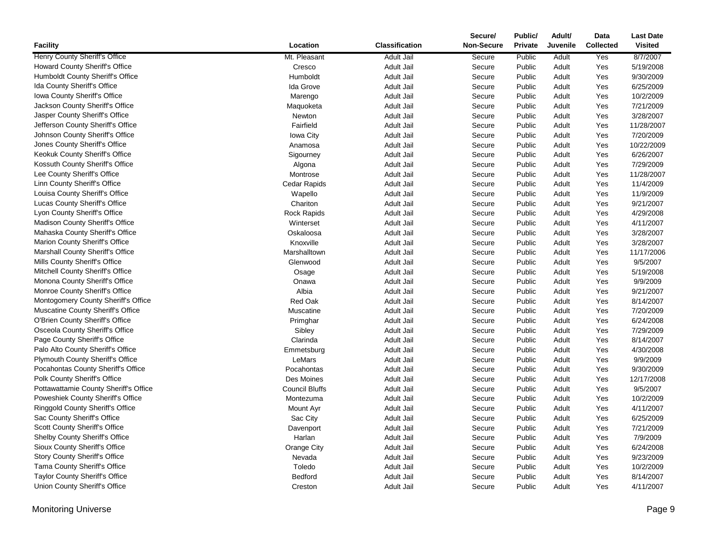|                                                                 |                       |                       | Secure/<br>Non-Secure | Public/        | Adult/<br>Juvenile | Data             | <b>Last Date</b><br><b>Visited</b> |
|-----------------------------------------------------------------|-----------------------|-----------------------|-----------------------|----------------|--------------------|------------------|------------------------------------|
| <b>Facility</b>                                                 | Location              | <b>Classification</b> |                       | <b>Private</b> |                    | <b>Collected</b> |                                    |
| Henry County Sheriff's Office                                   | Mt. Pleasant          | <b>Adult Jail</b>     | Secure                | Public         | Adult              | Yes              | 8/7/2007                           |
| Howard County Sheriff's Office                                  | Cresco                | <b>Adult Jail</b>     | Secure                | Public         | Adult              | Yes              | 5/19/2008                          |
| Humboldt County Sheriff's Office                                | Humboldt              | Adult Jail            | Secure                | Public         | Adult              | Yes              | 9/30/2009                          |
| Ida County Sheriff's Office                                     | <b>Ida Grove</b>      | Adult Jail            | Secure                | Public         | Adult              | Yes              | 6/25/2009<br>10/2/2009             |
| Iowa County Sheriff's Office<br>Jackson County Sheriff's Office | Marengo               | <b>Adult Jail</b>     | Secure                | Public         | Adult              | Yes              | 7/21/2009                          |
| Jasper County Sheriff's Office                                  | Maquoketa             | Adult Jail            | Secure                | Public         | Adult              | Yes              |                                    |
|                                                                 | Newton                | Adult Jail            | Secure                | Public         | Adult              | Yes              | 3/28/2007                          |
| Jefferson County Sheriff's Office                               | Fairfield             | Adult Jail            | Secure                | Public         | Adult              | Yes              | 11/28/2007                         |
| Johnson County Sheriff's Office                                 | Iowa City             | Adult Jail            | Secure                | Public         | Adult              | Yes              | 7/20/2009                          |
| Jones County Sheriff's Office                                   | Anamosa               | Adult Jail            | Secure                | Public         | Adult              | Yes              | 10/22/2009                         |
| Keokuk County Sheriff's Office                                  | Sigourney             | Adult Jail            | Secure                | Public         | Adult              | Yes              | 6/26/2007                          |
| Kossuth County Sheriff's Office                                 | Algona                | Adult Jail            | Secure                | Public         | Adult              | Yes              | 7/29/2009                          |
| Lee County Sheriff's Office                                     | Montrose              | <b>Adult Jail</b>     | Secure                | Public         | Adult              | Yes              | 11/28/2007                         |
| Linn County Sheriff's Office                                    | Cedar Rapids          | <b>Adult Jail</b>     | Secure                | Public         | Adult              | Yes              | 11/4/2009                          |
| Louisa County Sheriff's Office                                  | Wapello               | Adult Jail            | Secure                | Public         | Adult              | Yes              | 11/9/2009                          |
| Lucas County Sheriff's Office                                   | Chariton              | Adult Jail            | Secure                | Public         | Adult              | Yes              | 9/21/2007                          |
| Lyon County Sheriff's Office                                    | <b>Rock Rapids</b>    | <b>Adult Jail</b>     | Secure                | Public         | Adult              | Yes              | 4/29/2008                          |
| Madison County Sheriff's Office                                 | Winterset             | Adult Jail            | Secure                | Public         | Adult              | Yes              | 4/11/2007                          |
| Mahaska County Sheriff's Office                                 | Oskaloosa             | <b>Adult Jail</b>     | Secure                | Public         | Adult              | Yes              | 3/28/2007                          |
| Marion County Sheriff's Office                                  | Knoxville             | Adult Jail            | Secure                | Public         | Adult              | Yes              | 3/28/2007                          |
| Marshall County Sheriff's Office                                | Marshalltown          | Adult Jail            | Secure                | Public         | Adult              | Yes              | 11/17/2006                         |
| Mills County Sheriff's Office                                   | Glenwood              | Adult Jail            | Secure                | Public         | Adult              | Yes              | 9/5/2007                           |
| Mitchell County Sheriff's Office                                | Osage                 | Adult Jail            | Secure                | Public         | Adult              | Yes              | 5/19/2008                          |
| Monona County Sheriff's Office                                  | Onawa                 | Adult Jail            | Secure                | Public         | Adult              | Yes              | 9/9/2009                           |
| Monroe County Sheriff's Office                                  | Albia                 | <b>Adult Jail</b>     | Secure                | Public         | Adult              | Yes              | 9/21/2007                          |
| Montogomery County Sheriff's Office                             | Red Oak               | Adult Jail            | Secure                | Public         | Adult              | Yes              | 8/14/2007                          |
| Muscatine County Sheriff's Office                               | Muscatine             | Adult Jail            | Secure                | Public         | Adult              | Yes              | 7/20/2009                          |
| O'Brien County Sheriff's Office                                 | Primghar              | <b>Adult Jail</b>     | Secure                | Public         | Adult              | Yes              | 6/24/2008                          |
| Osceola County Sheriff's Office                                 | Sibley                | <b>Adult Jail</b>     | Secure                | Public         | Adult              | Yes              | 7/29/2009                          |
| Page County Sheriff's Office                                    | Clarinda              | Adult Jail            | Secure                | Public         | Adult              | Yes              | 8/14/2007                          |
| Palo Alto County Sheriff's Office                               | Emmetsburg            | <b>Adult Jail</b>     | Secure                | Public         | Adult              | Yes              | 4/30/2008                          |
| <b>Plymouth County Sheriff's Office</b>                         | LeMars                | <b>Adult Jail</b>     | Secure                | Public         | Adult              | Yes              | 9/9/2009                           |
| Pocahontas County Sheriff's Office                              | Pocahontas            | Adult Jail            | Secure                | Public         | Adult              | Yes              | 9/30/2009                          |
| Polk County Sheriff's Office                                    | Des Moines            | Adult Jail            | Secure                | Public         | Adult              | Yes              | 12/17/2008                         |
| Pottawattamie County Sheriff's Office                           | <b>Council Bluffs</b> | Adult Jail            | Secure                | Public         | Adult              | Yes              | 9/5/2007                           |
| Poweshiek County Sheriff's Office                               | Montezuma             | <b>Adult Jail</b>     | Secure                | Public         | Adult              | Yes              | 10/2/2009                          |
| Ringgold County Sheriff's Office                                | Mount Ayr             | Adult Jail            | Secure                | Public         | Adult              | Yes              | 4/11/2007                          |
| Sac County Sheriff's Office                                     | Sac City              | Adult Jail            | Secure                | Public         | Adult              | Yes              | 6/25/2009                          |
| Scott County Sheriff's Office                                   | Davenport             | Adult Jail            | Secure                | Public         | Adult              | Yes              | 7/21/2009                          |
| <b>Shelby County Sheriff's Office</b>                           | Harlan                | <b>Adult Jail</b>     | Secure                | Public         | Adult              | Yes              | 7/9/2009                           |
| Sioux County Sheriff's Office                                   | Orange City           | <b>Adult Jail</b>     | Secure                | Public         | Adult              | Yes              | 6/24/2008                          |
| Story County Sheriff's Office                                   | Nevada                | Adult Jail            | Secure                | Public         | Adult              | Yes              | 9/23/2009                          |
| Tama County Sheriff's Office                                    | Toledo                | <b>Adult Jail</b>     | Secure                | Public         | Adult              | Yes              | 10/2/2009                          |
| Taylor County Sheriff's Office                                  | Bedford               | Adult Jail            | Secure                | Public         | Adult              | Yes              | 8/14/2007                          |
| Union County Sheriff's Office                                   | Creston               | Adult Jail            | Secure                | Public         | Adult              | Yes              | 4/11/2007                          |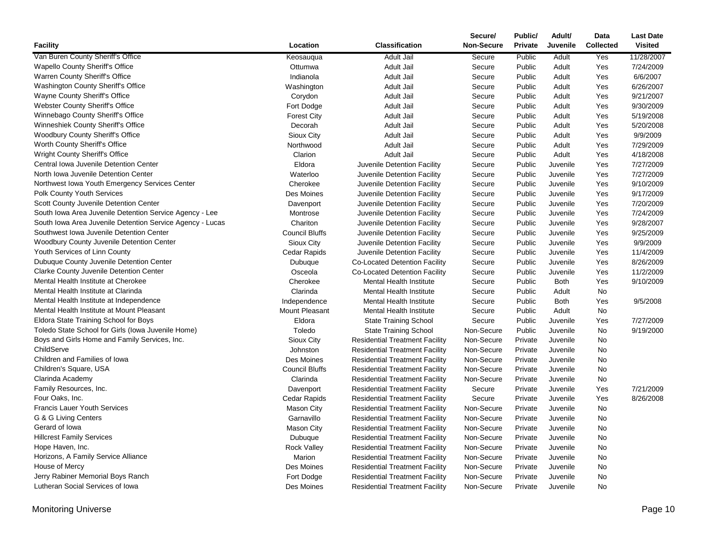|                                                           |                       |                                       | Secure/           | Public/        | Adult/      | Data             | <b>Last Date</b> |
|-----------------------------------------------------------|-----------------------|---------------------------------------|-------------------|----------------|-------------|------------------|------------------|
| <b>Facility</b>                                           | Location              | <b>Classification</b>                 | <b>Non-Secure</b> | <b>Private</b> | Juvenile    | <b>Collected</b> | <b>Visited</b>   |
| Van Buren County Sheriff's Office                         | Keosauqua             | <b>Adult Jail</b>                     | Secure            | Public         | Adult       | Yes              | 11/28/2007       |
| <b>Wapello County Sheriff's Office</b>                    | Ottumwa               | Adult Jail                            | Secure            | Public         | Adult       | Yes              | 7/24/2009        |
| Warren County Sheriff's Office                            | Indianola             | Adult Jail                            | Secure            | Public         | Adult       | Yes              | 6/6/2007         |
| <b>Washington County Sheriff's Office</b>                 | Washington            | Adult Jail                            | Secure            | Public         | Adult       | Yes              | 6/26/2007        |
| Wayne County Sheriff's Office                             | Corydon               | Adult Jail                            | Secure            | Public         | Adult       | Yes              | 9/21/2007        |
| Webster County Sheriff's Office                           | Fort Dodge            | Adult Jail                            | Secure            | Public         | Adult       | Yes              | 9/30/2009        |
| Winnebago County Sheriff's Office                         | <b>Forest City</b>    | Adult Jail                            | Secure            | Public         | Adult       | Yes              | 5/19/2008        |
| Winneshiek County Sheriff's Office                        | Decorah               | Adult Jail                            | Secure            | Public         | Adult       | Yes              | 5/20/2008        |
| Woodbury County Sheriff's Office                          | Sioux City            | Adult Jail                            | Secure            | Public         | Adult       | Yes              | 9/9/2009         |
| Worth County Sheriff's Office                             | Northwood             | Adult Jail                            | Secure            | Public         | Adult       | Yes              | 7/29/2009        |
| <b>Wright County Sheriff's Office</b>                     | Clarion               | Adult Jail                            | Secure            | Public         | Adult       | Yes              | 4/18/2008        |
| Central Iowa Juvenile Detention Center                    | Eldora                | Juvenile Detention Facility           | Secure            | Public         | Juvenile    | Yes              | 7/27/2009        |
| North Iowa Juvenile Detention Center                      | Waterloo              | Juvenile Detention Facility           | Secure            | Public         | Juvenile    | Yes              | 7/27/2009        |
| Northwest Iowa Youth Emergency Services Center            | Cherokee              | Juvenile Detention Facility           | Secure            | Public         | Juvenile    | Yes              | 9/10/2009        |
| Polk County Youth Services                                | Des Moines            | Juvenile Detention Facility           | Secure            | Public         | Juvenile    | Yes              | 9/17/2009        |
| Scott County Juvenile Detention Center                    | Davenport             | Juvenile Detention Facility           | Secure            | Public         | Juvenile    | Yes              | 7/20/2009        |
| South Iowa Area Juvenile Detention Service Agency - Lee   | Montrose              | Juvenile Detention Facility           | Secure            | Public         | Juvenile    | Yes              | 7/24/2009        |
| South Iowa Area Juvenile Detention Service Agency - Lucas | Chariton              | Juvenile Detention Facility           | Secure            | Public         | Juvenile    | Yes              | 9/28/2007        |
| Southwest Iowa Juvenile Detention Center                  | <b>Council Bluffs</b> | Juvenile Detention Facility           | Secure            | Public         | Juvenile    | Yes              | 9/25/2009        |
| <b>Woodbury County Juvenile Detention Center</b>          | Sioux City            | Juvenile Detention Facility           | Secure            | Public         | Juvenile    | Yes              | 9/9/2009         |
| Youth Services of Linn County                             | <b>Cedar Rapids</b>   | Juvenile Detention Facility           | Secure            | Public         | Juvenile    | Yes              | 11/4/2009        |
| Dubuque County Juvenile Detention Center                  | Dubuque               | Co-Located Detention Facility         | Secure            | Public         | Juvenile    | Yes              | 8/26/2009        |
| <b>Clarke County Juvenile Detention Center</b>            | Osceola               | Co-Located Detention Facility         | Secure            | Public         | Juvenile    | Yes              | 11/2/2009        |
| Mental Health Institute at Cherokee                       | Cherokee              | <b>Mental Health Institute</b>        | Secure            | Public         | <b>Both</b> | Yes              | 9/10/2009        |
| Mental Health Institute at Clarinda                       | Clarinda              | <b>Mental Health Institute</b>        | Secure            | Public         | Adult       | <b>No</b>        |                  |
| Mental Health Institute at Independence                   | Independence          | <b>Mental Health Institute</b>        | Secure            | Public         | Both        | Yes              | 9/5/2008         |
| Mental Health Institute at Mount Pleasant                 | Mount Pleasant        | <b>Mental Health Institute</b>        | Secure            | Public         | Adult       | No               |                  |
| Eldora State Training School for Boys                     | Eldora                | <b>State Training School</b>          | Secure            | Public         | Juvenile    | Yes              | 7/27/2009        |
| Toledo State School for Girls (Iowa Juvenile Home)        | Toledo                | <b>State Training School</b>          | Non-Secure        | Public         | Juvenile    | <b>No</b>        | 9/19/2000        |
| Boys and Girls Home and Family Services, Inc.             | Sioux City            | <b>Residential Treatment Facility</b> | Non-Secure        | Private        | Juvenile    | <b>No</b>        |                  |
| ChildServe                                                | Johnston              | <b>Residential Treatment Facility</b> | Non-Secure        | Private        | Juvenile    | <b>No</b>        |                  |
| Children and Families of Iowa                             | Des Moines            | <b>Residential Treatment Facility</b> | Non-Secure        | Private        | Juvenile    | No               |                  |
| Children's Square, USA                                    | <b>Council Bluffs</b> | <b>Residential Treatment Facility</b> | Non-Secure        | Private        | Juvenile    | No               |                  |
| Clarinda Academy                                          | Clarinda              | <b>Residential Treatment Facility</b> | Non-Secure        | Private        | Juvenile    | <b>No</b>        |                  |
| Family Resources, Inc.                                    | Davenport             | <b>Residential Treatment Facility</b> | Secure            | Private        | Juvenile    | Yes              | 7/21/2009        |
| Four Oaks, Inc.                                           | Cedar Rapids          | <b>Residential Treatment Facility</b> | Secure            | Private        | Juvenile    | Yes              | 8/26/2008        |
| <b>Francis Lauer Youth Services</b>                       | <b>Mason City</b>     | <b>Residential Treatment Facility</b> | Non-Secure        | Private        | Juvenile    | <b>No</b>        |                  |
| G & G Living Centers                                      | Garnavillo            | <b>Residential Treatment Facility</b> | Non-Secure        | Private        | Juvenile    | <b>No</b>        |                  |
| Gerard of Iowa                                            | <b>Mason City</b>     | <b>Residential Treatment Facility</b> | Non-Secure        | Private        | Juvenile    | <b>No</b>        |                  |
| <b>Hillcrest Family Services</b>                          | Dubuque               | <b>Residential Treatment Facility</b> | Non-Secure        | Private        | Juvenile    | <b>No</b>        |                  |
| Hope Haven, Inc.                                          | <b>Rock Valley</b>    | <b>Residential Treatment Facility</b> | Non-Secure        | Private        | Juvenile    | No               |                  |
| Horizons, A Family Service Alliance                       | Marion                | <b>Residential Treatment Facility</b> | Non-Secure        | Private        | Juvenile    | No               |                  |
| House of Mercy                                            | Des Moines            | <b>Residential Treatment Facility</b> | Non-Secure        | Private        | Juvenile    | <b>No</b>        |                  |
| Jerry Rabiner Memorial Boys Ranch                         | Fort Dodge            | <b>Residential Treatment Facility</b> | Non-Secure        | Private        | Juvenile    | No               |                  |
| Lutheran Social Services of Iowa                          | Des Moines            | <b>Residential Treatment Facility</b> | Non-Secure        | Private        | Juvenile    | No               |                  |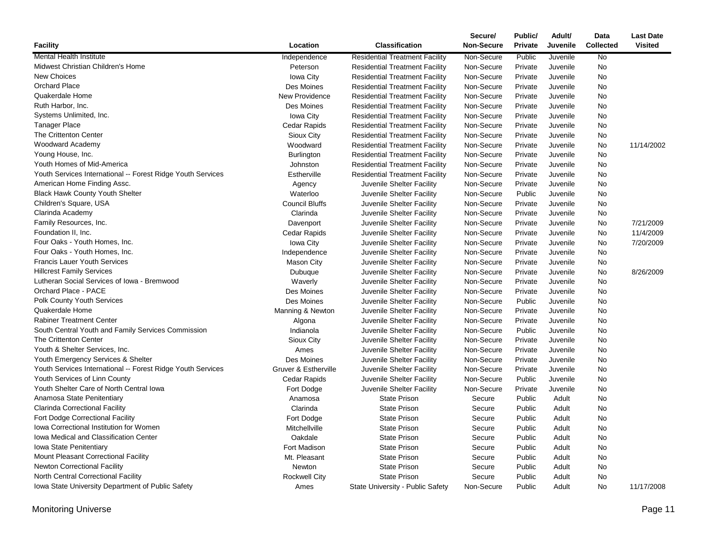|                                                             |                       |                                       | Secure/           | Public/        | Adult/          | Data             | <b>Last Date</b> |
|-------------------------------------------------------------|-----------------------|---------------------------------------|-------------------|----------------|-----------------|------------------|------------------|
| <b>Facility</b>                                             | Location              | <b>Classification</b>                 | <b>Non-Secure</b> | <b>Private</b> | <b>Juvenile</b> | <b>Collected</b> | <b>Visited</b>   |
| Mental Health Institute                                     | Independence          | <b>Residential Treatment Facility</b> | Non-Secure        | Public         | Juvenile        | No               |                  |
| Midwest Christian Children's Home                           | Peterson              | <b>Residential Treatment Facility</b> | Non-Secure        | Private        | Juvenile        | No               |                  |
| <b>New Choices</b>                                          | Iowa City             | <b>Residential Treatment Facility</b> | Non-Secure        | Private        | Juvenile        | No               |                  |
| <b>Orchard Place</b>                                        | Des Moines            | <b>Residential Treatment Facility</b> | Non-Secure        | Private        | Juvenile        | No               |                  |
| Quakerdale Home                                             | New Providence        | <b>Residential Treatment Facility</b> | Non-Secure        | Private        | Juvenile        | No               |                  |
| Ruth Harbor, Inc.                                           | Des Moines            | <b>Residential Treatment Facility</b> | Non-Secure        | Private        | Juvenile        | No               |                  |
| Systems Unlimited, Inc.                                     | Iowa City             | <b>Residential Treatment Facility</b> | Non-Secure        | Private        | Juvenile        | No               |                  |
| <b>Tanager Place</b>                                        | Cedar Rapids          | <b>Residential Treatment Facility</b> | Non-Secure        | Private        | Juvenile        | <b>No</b>        |                  |
| The Crittenton Center                                       | Sioux City            | <b>Residential Treatment Facility</b> | Non-Secure        | Private        | Juvenile        | No               |                  |
| Woodward Academy                                            | Woodward              | <b>Residential Treatment Facility</b> | Non-Secure        | Private        | Juvenile        | No               | 11/14/2002       |
| Young House, Inc.                                           | <b>Burlington</b>     | <b>Residential Treatment Facility</b> | Non-Secure        | Private        | Juvenile        | No               |                  |
| Youth Homes of Mid-America                                  | Johnston              | <b>Residential Treatment Facility</b> | Non-Secure        | Private        | Juvenile        | No               |                  |
| Youth Services International -- Forest Ridge Youth Services | Estherville           | <b>Residential Treatment Facility</b> | Non-Secure        | Private        | Juvenile        | No               |                  |
| American Home Finding Assc.                                 | Agency                | Juvenile Shelter Facility             | Non-Secure        | Private        | Juvenile        | No               |                  |
| <b>Black Hawk County Youth Shelter</b>                      | Waterloo              | Juvenile Shelter Facility             | Non-Secure        | Public         | Juvenile        | No               |                  |
| Children's Square, USA                                      | <b>Council Bluffs</b> | Juvenile Shelter Facility             | Non-Secure        | Private        | Juvenile        | No               |                  |
| Clarinda Academy                                            | Clarinda              | Juvenile Shelter Facility             | Non-Secure        | Private        | Juvenile        | No               |                  |
| Family Resources, Inc.                                      | Davenport             | Juvenile Shelter Facility             | Non-Secure        | Private        | Juvenile        | No               | 7/21/2009        |
| Foundation II, Inc.                                         | Cedar Rapids          | Juvenile Shelter Facility             | Non-Secure        | Private        | Juvenile        | No               | 11/4/2009        |
| Four Oaks - Youth Homes, Inc.                               | Iowa City             | Juvenile Shelter Facility             | Non-Secure        | Private        | Juvenile        | No               | 7/20/2009        |
| Four Oaks - Youth Homes, Inc.                               | Independence          | Juvenile Shelter Facility             | Non-Secure        | Private        | Juvenile        | No               |                  |
| <b>Francis Lauer Youth Services</b>                         | <b>Mason City</b>     | Juvenile Shelter Facility             | Non-Secure        | Private        | Juvenile        | No               |                  |
| <b>Hillcrest Family Services</b>                            | Dubuque               | Juvenile Shelter Facility             | Non-Secure        | Private        | Juvenile        | No               | 8/26/2009        |
| Lutheran Social Services of Iowa - Bremwood                 | Waverly               | Juvenile Shelter Facility             | Non-Secure        | Private        | Juvenile        | No               |                  |
| Orchard Place - PACE                                        | Des Moines            | Juvenile Shelter Facility             | Non-Secure        | Private        | Juvenile        | No               |                  |
| <b>Polk County Youth Services</b>                           | Des Moines            | Juvenile Shelter Facility             | Non-Secure        | Public         | Juvenile        | No               |                  |
| Quakerdale Home                                             | Manning & Newton      | Juvenile Shelter Facility             | Non-Secure        | Private        | Juvenile        | No               |                  |
| <b>Rabiner Treatment Center</b>                             | Algona                | Juvenile Shelter Facility             | Non-Secure        | Private        | Juvenile        | No               |                  |
| South Central Youth and Family Services Commission          | Indianola             | Juvenile Shelter Facility             | Non-Secure        | Public         | Juvenile        | No               |                  |
| <b>The Crittenton Center</b>                                | Sioux City            | Juvenile Shelter Facility             | Non-Secure        | Private        | Juvenile        | No               |                  |
| Youth & Shelter Services, Inc.                              | Ames                  | Juvenile Shelter Facility             | Non-Secure        | Private        | Juvenile        | No               |                  |
| Youth Emergency Services & Shelter                          | Des Moines            | Juvenile Shelter Facility             | Non-Secure        | Private        | Juvenile        | No               |                  |
| Youth Services International -- Forest Ridge Youth Services | Gruver & Estherville  | Juvenile Shelter Facility             | Non-Secure        | Private        | Juvenile        | No               |                  |
| Youth Services of Linn County                               | Cedar Rapids          | Juvenile Shelter Facility             | Non-Secure        | Public         | Juvenile        | No               |                  |
| Youth Shelter Care of North Central Iowa                    | Fort Dodge            | Juvenile Shelter Facility             | Non-Secure        | Private        | Juvenile        | No               |                  |
| Anamosa State Penitentiary                                  | Anamosa               | <b>State Prison</b>                   | Secure            | Public         | Adult           | No               |                  |
| Clarinda Correctional Facility                              | Clarinda              | <b>State Prison</b>                   | Secure            | Public         | Adult           | No               |                  |
| <b>Fort Dodge Correctional Facility</b>                     | Fort Dodge            | <b>State Prison</b>                   | Secure            | Public         | Adult           | No               |                  |
| Iowa Correctional Institution for Women                     | Mitchellville         | <b>State Prison</b>                   | Secure            | Public         | Adult           | No               |                  |
| <b>Iowa Medical and Classification Center</b>               | Oakdale               | <b>State Prison</b>                   | Secure            | Public         | Adult           | No               |                  |
| Iowa State Penitentiary                                     | Fort Madison          | <b>State Prison</b>                   | Secure            | Public         | Adult           | No               |                  |
| Mount Pleasant Correctional Facility                        | Mt. Pleasant          | <b>State Prison</b>                   | Secure            | Public         | Adult           | No               |                  |
| <b>Newton Correctional Facility</b>                         | Newton                | <b>State Prison</b>                   | Secure            | Public         | Adult           | No               |                  |
| North Central Correctional Facility                         | <b>Rockwell City</b>  | <b>State Prison</b>                   | Secure            | Public         | Adult           | <b>No</b>        |                  |
| Iowa State University Department of Public Safety           | Ames                  | State University - Public Safety      | Non-Secure        | Public         | Adult           | No               | 11/17/2008       |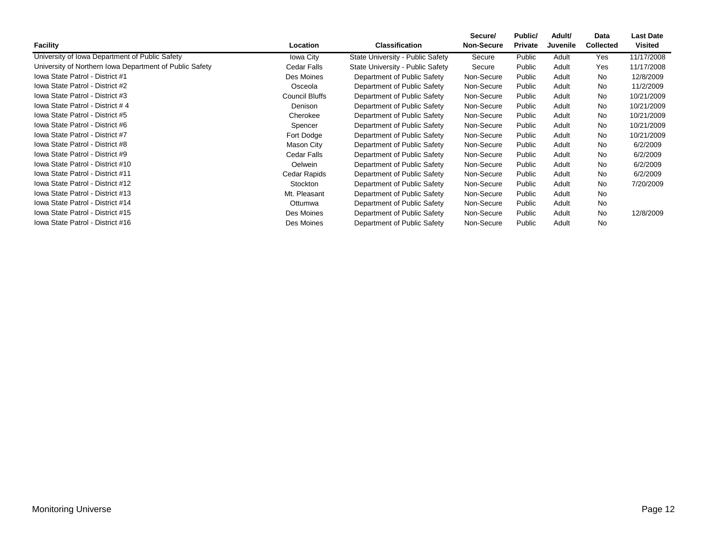| <b>Facility</b>                                         | Location              | <b>Classification</b>            | Secure/<br><b>Non-Secure</b> | Public/<br><b>Private</b> | Adult/<br>Juvenile | Data<br><b>Collected</b> | <b>Last Date</b><br><b>Visited</b> |
|---------------------------------------------------------|-----------------------|----------------------------------|------------------------------|---------------------------|--------------------|--------------------------|------------------------------------|
| University of Iowa Department of Public Safety          | Iowa City             | State University - Public Safety | Secure                       | Public                    | Adult              | Yes                      | 11/17/2008                         |
| University of Northern Iowa Department of Public Safety | Cedar Falls           | State University - Public Safety | Secure                       | Public                    | Adult              | Yes                      | 11/17/2008                         |
| Iowa State Patrol - District #1                         | Des Moines            | Department of Public Safety      | Non-Secure                   | Public                    | Adult              | <b>No</b>                | 12/8/2009                          |
| Iowa State Patrol - District #2                         | Osceola               | Department of Public Safety      | Non-Secure                   | Public                    | Adult              | <b>No</b>                | 11/2/2009                          |
| Iowa State Patrol - District #3                         | <b>Council Bluffs</b> | Department of Public Safety      | Non-Secure                   | Public                    | Adult              | <b>No</b>                | 10/21/2009                         |
| Iowa State Patrol - District #4                         | Denison               | Department of Public Safety      | Non-Secure                   | Public                    | Adult              | <b>No</b>                | 10/21/2009                         |
| Iowa State Patrol - District #5                         | Cherokee              | Department of Public Safety      | Non-Secure                   | Public                    | Adult              | <b>No</b>                | 10/21/2009                         |
| Iowa State Patrol - District #6                         | Spencer               | Department of Public Safety      | Non-Secure                   | Public                    | Adult              | <b>No</b>                | 10/21/2009                         |
| Iowa State Patrol - District #7                         | Fort Dodge            | Department of Public Safety      | Non-Secure                   | Public                    | Adult              | <b>No</b>                | 10/21/2009                         |
| Iowa State Patrol - District #8                         | Mason City            | Department of Public Safety      | Non-Secure                   | Public                    | Adult              | <b>No</b>                | 6/2/2009                           |
| Iowa State Patrol - District #9                         | Cedar Falls           | Department of Public Safety      | Non-Secure                   | Public                    | Adult              | <b>No</b>                | 6/2/2009                           |
| Iowa State Patrol - District #10                        | <b>Oelwein</b>        | Department of Public Safety      | Non-Secure                   | Public                    | Adult              | No                       | 6/2/2009                           |
| Iowa State Patrol - District #11                        | Cedar Rapids          | Department of Public Safety      | Non-Secure                   | Public                    | Adult              | <b>No</b>                | 6/2/2009                           |
| Iowa State Patrol - District #12                        | Stockton              | Department of Public Safety      | Non-Secure                   | Public                    | Adult              | <b>No</b>                | 7/20/2009                          |
| Iowa State Patrol - District #13                        | Mt. Pleasant          | Department of Public Safety      | Non-Secure                   | Public                    | Adult              | <b>No</b>                |                                    |
| Iowa State Patrol - District #14                        | Ottumwa               | Department of Public Safety      | Non-Secure                   | Public                    | Adult              | No                       |                                    |
| Iowa State Patrol - District #15                        | Des Moines            | Department of Public Safety      | Non-Secure                   | Public                    | Adult              | <b>No</b>                | 12/8/2009                          |
| lowa State Patrol - District #16                        | Des Moines            | Department of Public Safety      | Non-Secure                   | Public                    | Adult              | <b>No</b>                |                                    |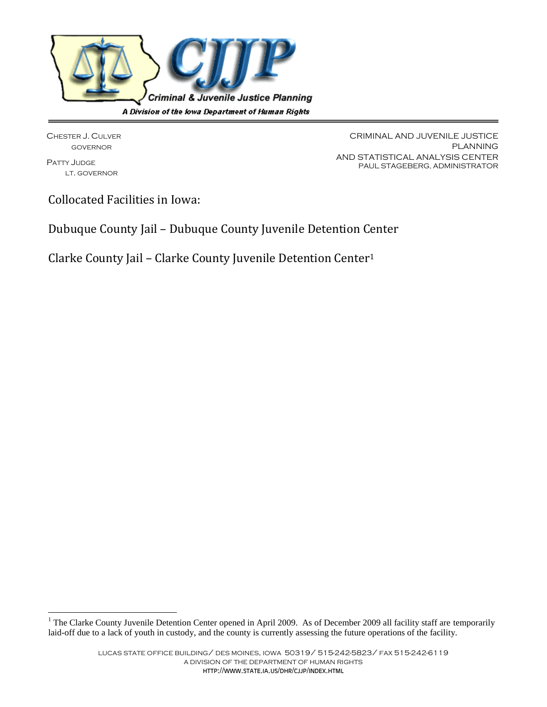

CHESTER J. CULVER GOVERNOR

PATTY JUDGE LT. GOVERNOR

 $\overline{\phantom{a}}$ 

CRIMINAL AND JUVENILE JUSTICE PLANNING AND STATISTICAL ANALYSIS CENTER PAUL STAGEBERG, ADMINISTRATOR

Collocated Facilities in Iowa:

Dubuque County Jail – Dubuque County Juvenile Detention Center

Clarke County Jail – Clarke County Juvenile Detention Center<sup>1</sup>

<sup>&</sup>lt;sup>1</sup> The Clarke County Juvenile Detention Center opened in April 2009. As of December 2009 all facility staff are temporarily laid-off due to a lack of youth in custody, and the county is currently assessing the future operations of the facility.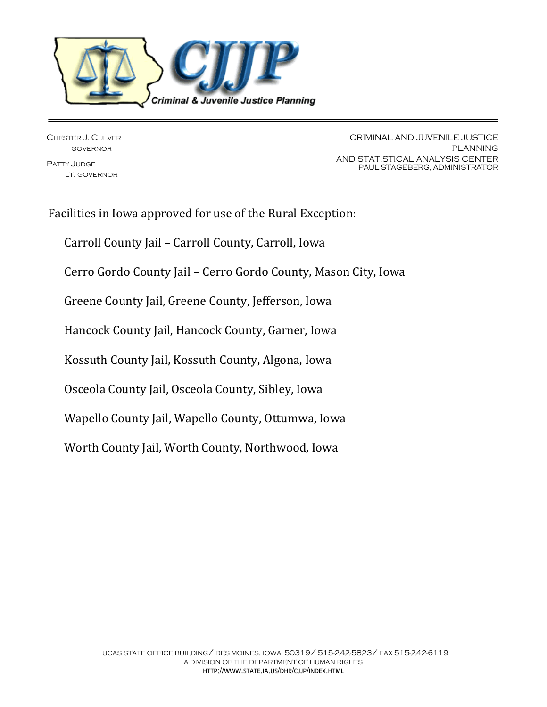

CHESTER J. CULVER GOVERNOR PATTY JUDGE

LT. GOVERNOR

CRIMINAL AND JUVENILE JUSTICE PLANNING AND STATISTICAL ANALYSIS CENTER PAUL STAGEBERG, ADMINISTRATOR

Facilities in Iowa approved for use of the Rural Exception: Carroll County Jail – Carroll County, Carroll, Iowa Cerro Gordo County Jail – Cerro Gordo County, Mason City, Iowa Greene County Jail, Greene County, Jefferson, Iowa Hancock County Jail, Hancock County, Garner, Iowa Kossuth County Jail, Kossuth County, Algona, Iowa Osceola County Jail, Osceola County, Sibley, Iowa Wapello County Jail, Wapello County, Ottumwa, Iowa Worth County Jail, Worth County, Northwood, Iowa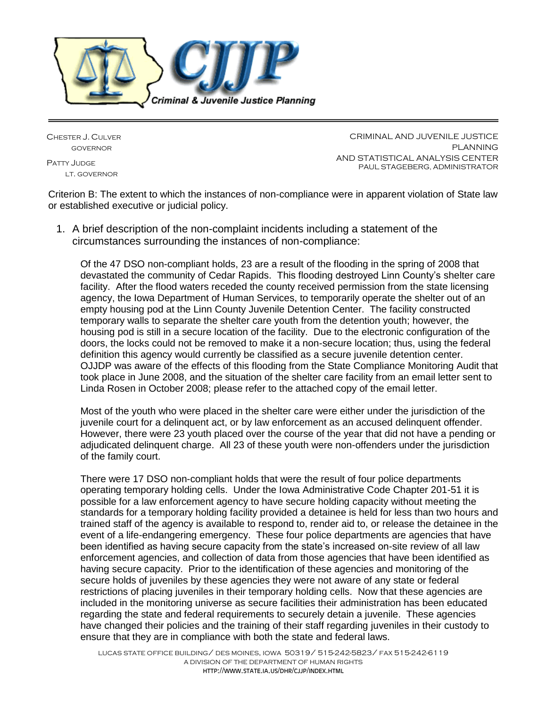

CHESTER J. CULVER GOVERNOR

PATTY JUDGE LT. GOVERNOR

CRIMINAL AND JUVENILE JUSTICE PLANNING AND STATISTICAL ANALYSIS CENTER PAUL STAGEBERG, ADMINISTRATOR

Criterion B: The extent to which the instances of non-compliance were in apparent violation of State law or established executive or judicial policy.

1. A brief description of the non-complaint incidents including a statement of the circumstances surrounding the instances of non-compliance:

Of the 47 DSO non-compliant holds, 23 are a result of the flooding in the spring of 2008 that devastated the community of Cedar Rapids. This flooding destroyed Linn County's shelter care facility. After the flood waters receded the county received permission from the state licensing agency, the Iowa Department of Human Services, to temporarily operate the shelter out of an empty housing pod at the Linn County Juvenile Detention Center. The facility constructed temporary walls to separate the shelter care youth from the detention youth; however, the housing pod is still in a secure location of the facility. Due to the electronic configuration of the doors, the locks could not be removed to make it a non-secure location; thus, using the federal definition this agency would currently be classified as a secure juvenile detention center. OJJDP was aware of the effects of this flooding from the State Compliance Monitoring Audit that took place in June 2008, and the situation of the shelter care facility from an email letter sent to Linda Rosen in October 2008; please refer to the attached copy of the email letter.

Most of the youth who were placed in the shelter care were either under the jurisdiction of the juvenile court for a delinquent act, or by law enforcement as an accused delinquent offender. However, there were 23 youth placed over the course of the year that did not have a pending or adjudicated delinquent charge. All 23 of these youth were non-offenders under the jurisdiction of the family court.

There were 17 DSO non-compliant holds that were the result of four police departments operating temporary holding cells. Under the Iowa Administrative Code Chapter 201-51 it is possible for a law enforcement agency to have secure holding capacity without meeting the standards for a temporary holding facility provided a detainee is held for less than two hours and trained staff of the agency is available to respond to, render aid to, or release the detainee in the event of a life-endangering emergency. These four police departments are agencies that have been identified as having secure capacity from the state's increased on-site review of all law enforcement agencies, and collection of data from those agencies that have been identified as having secure capacity. Prior to the identification of these agencies and monitoring of the secure holds of juveniles by these agencies they were not aware of any state or federal restrictions of placing juveniles in their temporary holding cells. Now that these agencies are included in the monitoring universe as secure facilities their administration has been educated regarding the state and federal requirements to securely detain a juvenile. These agencies have changed their policies and the training of their staff regarding juveniles in their custody to ensure that they are in compliance with both the state and federal laws.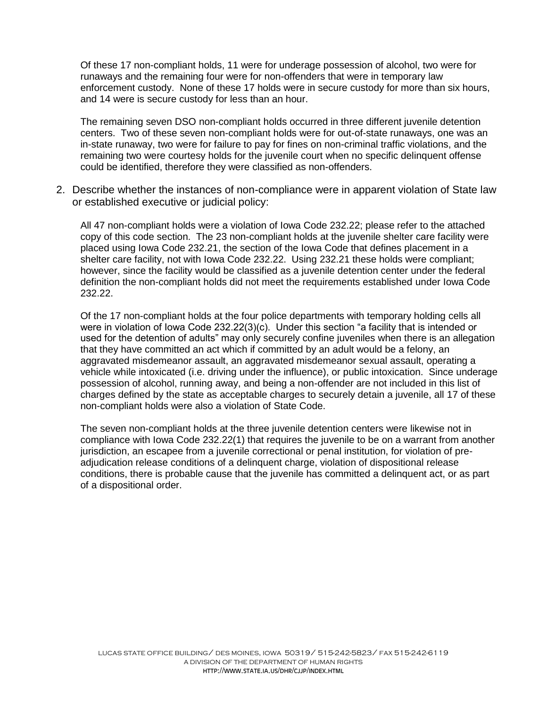Of these 17 non-compliant holds, 11 were for underage possession of alcohol, two were for runaways and the remaining four were for non-offenders that were in temporary law enforcement custody. None of these 17 holds were in secure custody for more than six hours, and 14 were is secure custody for less than an hour.

The remaining seven DSO non-compliant holds occurred in three different juvenile detention centers. Two of these seven non-compliant holds were for out-of-state runaways, one was an in-state runaway, two were for failure to pay for fines on non-criminal traffic violations, and the remaining two were courtesy holds for the juvenile court when no specific delinquent offense could be identified, therefore they were classified as non-offenders.

2. Describe whether the instances of non-compliance were in apparent violation of State law or established executive or judicial policy:

All 47 non-compliant holds were a violation of Iowa Code 232.22; please refer to the attached copy of this code section. The 23 non-compliant holds at the juvenile shelter care facility were placed using Iowa Code 232.21, the section of the Iowa Code that defines placement in a shelter care facility, not with Iowa Code 232.22. Using 232.21 these holds were compliant; however, since the facility would be classified as a juvenile detention center under the federal definition the non-compliant holds did not meet the requirements established under Iowa Code 232.22.

Of the 17 non-compliant holds at the four police departments with temporary holding cells all were in violation of Iowa Code 232.22(3)(c). Under this section "a facility that is intended or used for the detention of adults" may only securely confine juveniles when there is an allegation that they have committed an act which if committed by an adult would be a felony, an aggravated misdemeanor assault, an aggravated misdemeanor sexual assault, operating a vehicle while intoxicated (i.e. driving under the influence), or public intoxication. Since underage possession of alcohol, running away, and being a non-offender are not included in this list of charges defined by the state as acceptable charges to securely detain a juvenile, all 17 of these non-compliant holds were also a violation of State Code.

The seven non-compliant holds at the three juvenile detention centers were likewise not in compliance with Iowa Code 232.22(1) that requires the juvenile to be on a warrant from another jurisdiction, an escapee from a juvenile correctional or penal institution, for violation of preadjudication release conditions of a delinquent charge, violation of dispositional release conditions, there is probable cause that the juvenile has committed a delinquent act, or as part of a dispositional order.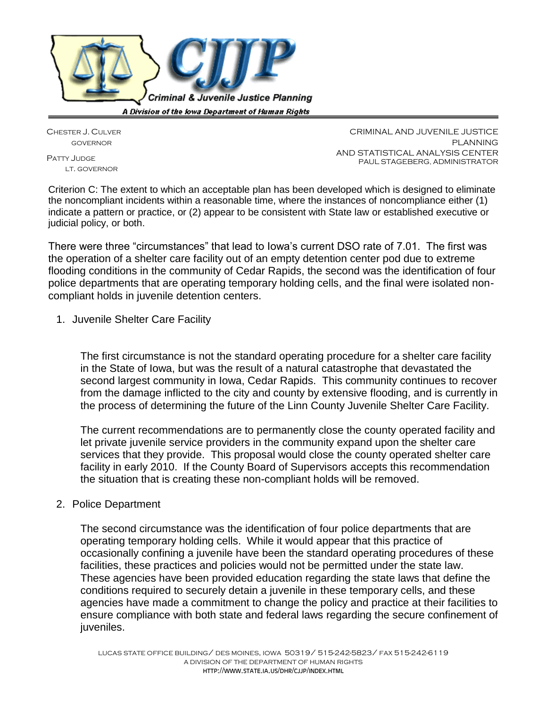

CHESTER J. CULVER GOVERNOR PATTY JUDGE LT. GOVERNOR

CRIMINAL AND JUVENILE JUSTICE PI ANNING AND STATISTICAL ANALYSIS CENTER PAUL STAGEBERG, ADMINISTRATOR

Criterion C: The extent to which an acceptable plan has been developed which is designed to eliminate the noncompliant incidents within a reasonable time, where the instances of noncompliance either (1) indicate a pattern or practice, or (2) appear to be consistent with State law or established executive or judicial policy, or both.

There were three "circumstances" that lead to Iowa's current DSO rate of 7.01. The first was the operation of a shelter care facility out of an empty detention center pod due to extreme flooding conditions in the community of Cedar Rapids, the second was the identification of four police departments that are operating temporary holding cells, and the final were isolated noncompliant holds in juvenile detention centers.

1. Juvenile Shelter Care Facility

The first circumstance is not the standard operating procedure for a shelter care facility in the State of Iowa, but was the result of a natural catastrophe that devastated the second largest community in Iowa, Cedar Rapids. This community continues to recover from the damage inflicted to the city and county by extensive flooding, and is currently in the process of determining the future of the Linn County Juvenile Shelter Care Facility.

The current recommendations are to permanently close the county operated facility and let private juvenile service providers in the community expand upon the shelter care services that they provide. This proposal would close the county operated shelter care facility in early 2010. If the County Board of Supervisors accepts this recommendation the situation that is creating these non-compliant holds will be removed.

#### 2. Police Department

The second circumstance was the identification of four police departments that are operating temporary holding cells. While it would appear that this practice of occasionally confining a juvenile have been the standard operating procedures of these facilities, these practices and policies would not be permitted under the state law. These agencies have been provided education regarding the state laws that define the conditions required to securely detain a juvenile in these temporary cells, and these agencies have made a commitment to change the policy and practice at their facilities to ensure compliance with both state and federal laws regarding the secure confinement of iuveniles.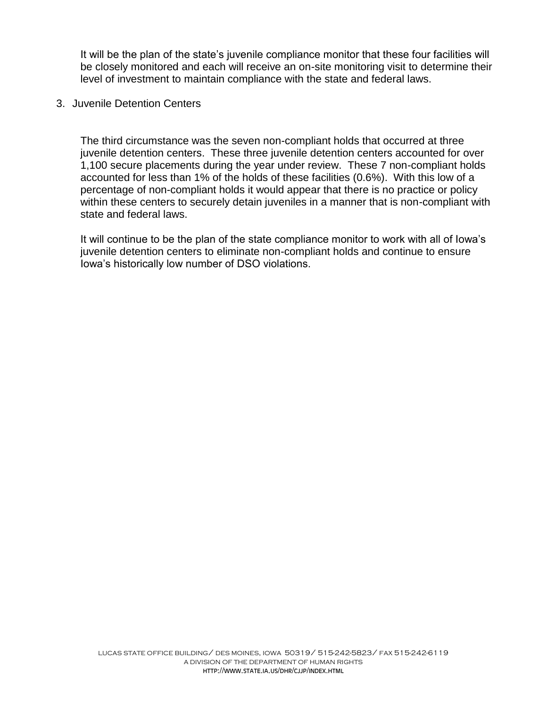It will be the plan of the state's juvenile compliance monitor that these four facilities will be closely monitored and each will receive an on-site monitoring visit to determine their level of investment to maintain compliance with the state and federal laws.

#### 3. Juvenile Detention Centers

The third circumstance was the seven non-compliant holds that occurred at three juvenile detention centers. These three juvenile detention centers accounted for over 1,100 secure placements during the year under review. These 7 non-compliant holds accounted for less than 1% of the holds of these facilities (0.6%). With this low of a percentage of non-compliant holds it would appear that there is no practice or policy within these centers to securely detain juveniles in a manner that is non-compliant with state and federal laws.

It will continue to be the plan of the state compliance monitor to work with all of Iowa's juvenile detention centers to eliminate non-compliant holds and continue to ensure Iowa's historically low number of DSO violations.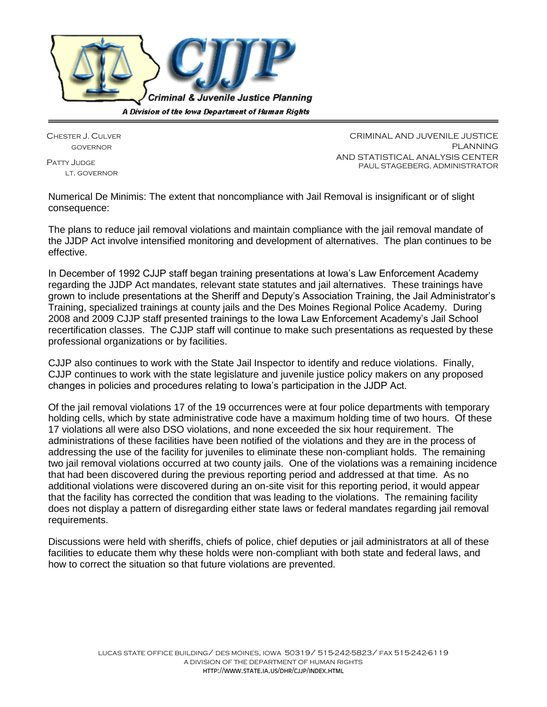

CHESTER J. CULVER GOVERNOR

PATTY **JUDGE** LT. GOVERNOR

CRIMINAL AND JUVENILE JUSTICE PLANNING AND STATISTICAL ANALYSIS CENTER PAUL STAGEBERG, ADMINISTRATOR

Numerical De Minimis: The extent that noncompliance with Jail Removal is insignificant or of slight consequence:

The plans to reduce jail removal violations and maintain compliance with the jail removal mandate of the JJDP Act involve intensified monitoring and development of alternatives. The plan continues to be effective.

In December of 1992 CJJP staff began training presentations at Iowa's Law Enforcement Academy regarding the JJDP Act mandates, relevant state statutes and jail alternatives. These trainings have grown to include presentations at the Sheriff and Deputy's Association Training, the Jail Administrator's Training, specialized trainings at county jails and the Des Moines Regional Police Academy. During 2008 and 2009 CJJP staff presented trainings to the Iowa Law Enforcement Academy's Jail School recertification classes. The CJJP staff will continue to make such presentations as requested by these professional organizations or by facilities.

CJJP also continues to work with the State Jail Inspector to identify and reduce violations. Finally, CJJP continues to work with the state legislature and juvenile justice policy makers on any proposed changes in policies and procedures relating to Iowa's participation in the JJDP Act.

Of the jail removal violations 17 of the 19 occurrences were at four police departments with temporary holding cells, which by state administrative code have a maximum holding time of two hours. Of these 17 violations all were also DSO violations, and none exceeded the six hour requirement. The administrations of these facilities have been notified of the violations and they are in the process of addressing the use of the facility for juveniles to eliminate these non-compliant holds. The remaining two jail removal violations occurred at two county jails. One of the violations was a remaining incidence that had been discovered during the previous reporting period and addressed at that time. As no additional violations were discovered during an on-site visit for this reporting period, it would appear that the facility has corrected the condition that was leading to the violations. The remaining facility does not display a pattern of disregarding either state laws or federal mandates regarding jail removal requirements.

Discussions were held with sheriffs, chiefs of police, chief deputies or jail administrators at all of these facilities to educate them why these holds were non-compliant with both state and federal laws, and how to correct the situation so that future violations are prevented.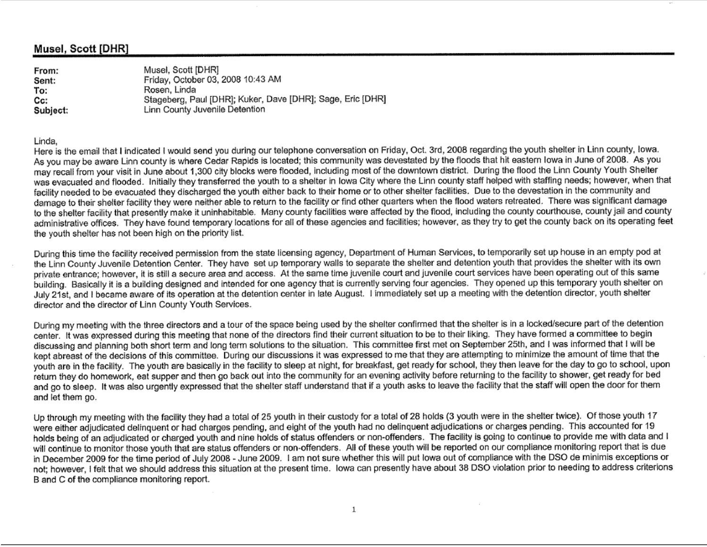#### Musel, Scott [DHR]

Musel, Scott [DHR] From: Friday, October 03, 2008 10:43 AM Sent: To: Rosen, Linda Stageberg, Paul [DHR]; Kuker, Dave [DHR]; Sage, Eric [DHR] Cc: Linn County Juvenile Detention Subject:

#### Linda,

Here is the email that I indicated I would send you during our telephone conversation on Friday, Oct. 3rd, 2008 regarding the youth shelter in Linn county, lowa. As you may be aware Linn county is where Cedar Rapids is located; this community was devestated by the floods that hit eastern lowa in June of 2008. As you may recall from your visit in June about 1,300 city blocks were flooded, including most of the downtown district. During the flood the Linn County Youth Shelter was evacuated and flooded. Initially they transferred the youth to a shelter in lowa City where the Linn county staff helped with staffing needs; however, when that facility needed to be evacuated they discharged the vouth either back to their home or to other shelter facilities. Due to the devestation in the community and damage to their shelter facility they were neither able to return to the facility or find other quarters when the flood waters retreated. There was significant damage to the shelter facility that presently make it uninhabitable. Many county facilities were affected by the flood, including the county courthouse, county jail and county administrative offices. They have found temporary locations for all of these agencies and facilities; however, as they try to get the county back on its operating feet the youth shelter has not been high on the priority list.

During this time the facility received permission from the state licensing agency, Department of Human Services, to temporarily set up house in an empty pod at the Linn County Juvenile Detention Center. They have set up temporary walls to separate the shelter and detention youth that provides the shelter with its own private entrance; however, it is still a secure area and access. At the same time juvenile court and juvenile court services have been operating out of this same building. Basically it is a building designed and intended for one agency that is currently serving four agencies. They opened up this temporary youth shelter on July 21st, and I became aware of its operation at the detention center in late August. I immediately set up a meeting with the detention director, youth shelter director and the director of Linn County Youth Services.

During my meeting with the three directors and a tour of the space being used by the shelter confirmed that the shelter is in a locked/secure part of the detention center. It was expressed during this meeting that none of the directors find their current situation to be to their liking. They have formed a committee to begin discussing and planning both short term and long term solutions to the situation. This committee first met on September 25th, and I was informed that I will be kept abreast of the decisions of this committee. During our discussions it was expressed to me that they are attempting to minimize the amount of time that the youth are in the facility. The youth are basically in the facility to sleep at night, for breakfast, get ready for school, they then leave for the day to go to school, upon return they do homework, eat supper and then go back out into the community for an evening activity before returning to the facility to shower, get ready for bed and go to sleep. It was also urgently expressed that the shelter staff understand that if a youth asks to leave the facility that the staff will open the door for them and let them go.

Up through my meeting with the facility they had a total of 25 youth in their custody for a total of 28 holds (3 youth were in the shelter twice). Of those youth 17 were either adjudicated delinquent or had charges pending, and eight of the youth had no delinquent adjudications or charges pending. This accounted for 19 holds being of an adjudicated or charged youth and nine holds of status offenders or non-offenders. The facility is going to continue to provide me with data and I will continue to monitor those youth that are status offenders or non-offenders. All of these youth will be reported on our compliance monitoring report that is due in December 2009 for the time period of July 2008 - June 2009. I am not sure whether this will put lowa out of compliance with the DSO de minimis exceptions or not; however, I felt that we should address this situation at the present time. Iowa can presently have about 38 DSO violation prior to needing to address criterions B and C of the compliance monitoring report.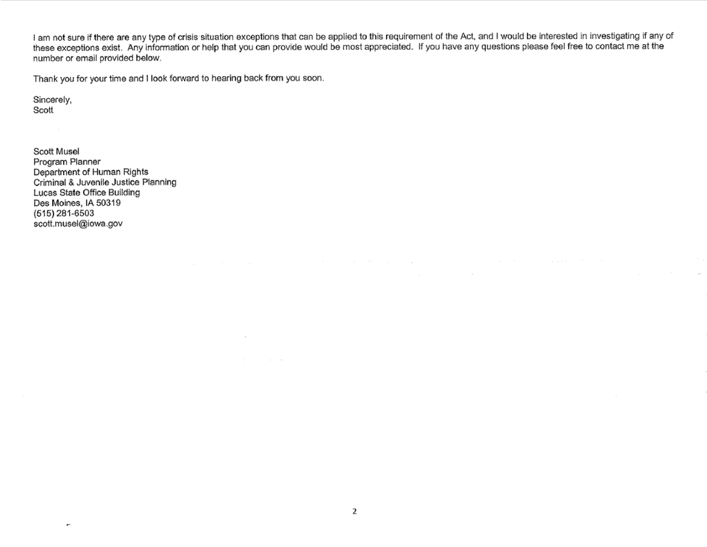I am not sure if there are any type of crisis situation exceptions that can be applied to this requirement of the Act, and I would be interested in investigating if any of these exceptions exist. Any information or help that you can provide would be most appreciated. If you have any questions please feel free to contact me at the number or email provided below.

the control of the control of the control of

and the control of the con-

 $\sim$ 

Thank you for your time and I look forward to hearing back from you soon.

 $\sim$ 

and the control of

Sincerely, Scott

Scott Musel Program Planner Department of Human Rights Criminal & Juvenile Justice Planning Lucas State Office Building Des Moines, IA 50319  $(515)$  281-6503 scott.musel@iowa.gov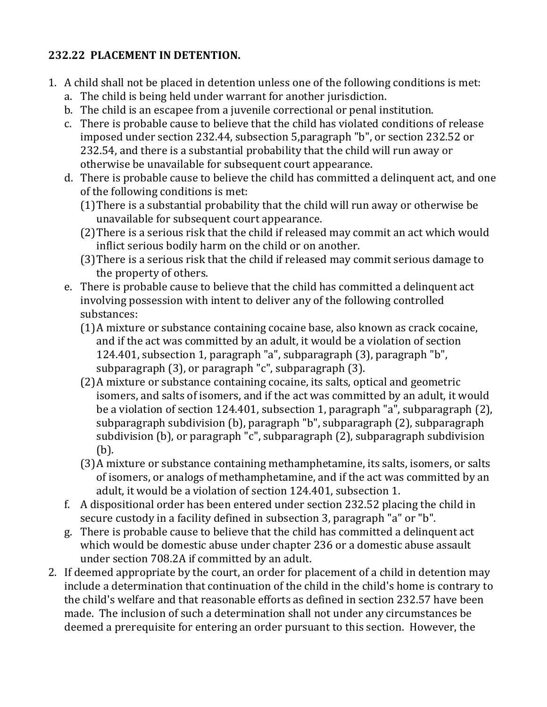## **232.22 PLACEMENT IN DETENTION.**

- 1. A child shall not be placed in detention unless one of the following conditions is met:
	- a. The child is being held under warrant for another jurisdiction.
	- b. The child is an escapee from a juvenile correctional or penal institution.
	- c. There is probable cause to believe that the child has violated conditions of release imposed under section 232.44, subsection 5,paragraph "b", or section 232.52 or 232.54, and there is a substantial probability that the child will run away or otherwise be unavailable for subsequent court appearance.
	- d. There is probable cause to believe the child has committed a delinquent act, and one of the following conditions is met:
		- (1)There is a substantial probability that the child will run away or otherwise be unavailable for subsequent court appearance.
		- (2)There is a serious risk that the child if released may commit an act which would inflict serious bodily harm on the child or on another.
		- (3)There is a serious risk that the child if released may commit serious damage to the property of others.
	- e. There is probable cause to believe that the child has committed a delinquent act involving possession with intent to deliver any of the following controlled substances:
		- (1)A mixture or substance containing cocaine base, also known as crack cocaine, and if the act was committed by an adult, it would be a violation of section 124.401, subsection 1, paragraph "a", subparagraph (3), paragraph "b", subparagraph (3), or paragraph "c", subparagraph (3).
		- (2)A mixture or substance containing cocaine, its salts, optical and geometric isomers, and salts of isomers, and if the act was committed by an adult, it would be a violation of section 124.401, subsection 1, paragraph "a", subparagraph (2), subparagraph subdivision (b), paragraph "b", subparagraph (2), subparagraph subdivision (b), or paragraph "c", subparagraph (2), subparagraph subdivision (b).
		- (3)A mixture or substance containing methamphetamine, its salts, isomers, or salts of isomers, or analogs of methamphetamine, and if the act was committed by an adult, it would be a violation of section 124.401, subsection 1.
	- f. A dispositional order has been entered under section 232.52 placing the child in secure custody in a facility defined in subsection 3, paragraph "a" or "b".
	- g. There is probable cause to believe that the child has committed a delinquent act which would be domestic abuse under chapter 236 or a domestic abuse assault under section 708.2A if committed by an adult.
- 2. If deemed appropriate by the court, an order for placement of a child in detention may include a determination that continuation of the child in the child's home is contrary to the child's welfare and that reasonable efforts as defined in section 232.57 have been made. The inclusion of such a determination shall not under any circumstances be deemed a prerequisite for entering an order pursuant to this section. However, the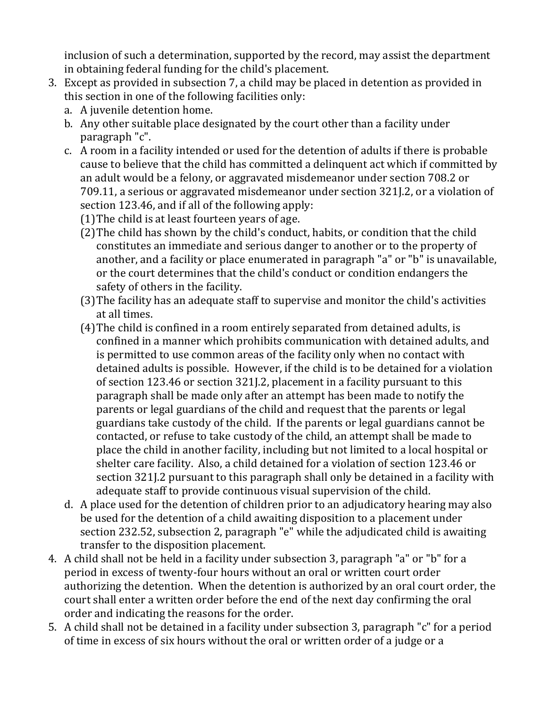inclusion of such a determination, supported by the record, may assist the department in obtaining federal funding for the child's placement.

- 3. Except as provided in subsection 7, a child may be placed in detention as provided in this section in one of the following facilities only:
	- a. A juvenile detention home.
	- b. Any other suitable place designated by the court other than a facility under paragraph "c".
	- c. A room in a facility intended or used for the detention of adults if there is probable cause to believe that the child has committed a delinquent act which if committed by an adult would be a felony, or aggravated misdemeanor under section 708.2 or 709.11, a serious or aggravated misdemeanor under section 321J.2, or a violation of section 123.46, and if all of the following apply:
		- (1)The child is at least fourteen years of age.
		- (2)The child has shown by the child's conduct, habits, or condition that the child constitutes an immediate and serious danger to another or to the property of another, and a facility or place enumerated in paragraph "a" or "b" is unavailable, or the court determines that the child's conduct or condition endangers the safety of others in the facility.
		- (3)The facility has an adequate staff to supervise and monitor the child's activities at all times.
		- (4)The child is confined in a room entirely separated from detained adults, is confined in a manner which prohibits communication with detained adults, and is permitted to use common areas of the facility only when no contact with detained adults is possible. However, if the child is to be detained for a violation of section 123.46 or section 321J.2, placement in a facility pursuant to this paragraph shall be made only after an attempt has been made to notify the parents or legal guardians of the child and request that the parents or legal guardians take custody of the child. If the parents or legal guardians cannot be contacted, or refuse to take custody of the child, an attempt shall be made to place the child in another facility, including but not limited to a local hospital or shelter care facility. Also, a child detained for a violation of section 123.46 or section 321J.2 pursuant to this paragraph shall only be detained in a facility with adequate staff to provide continuous visual supervision of the child.
	- d. A place used for the detention of children prior to an adjudicatory hearing may also be used for the detention of a child awaiting disposition to a placement under section 232.52, subsection 2, paragraph "e" while the adjudicated child is awaiting transfer to the disposition placement.
- 4. A child shall not be held in a facility under subsection 3, paragraph "a" or "b" for a period in excess of twenty-four hours without an oral or written court order authorizing the detention. When the detention is authorized by an oral court order, the court shall enter a written order before the end of the next day confirming the oral order and indicating the reasons for the order.
- 5. A child shall not be detained in a facility under subsection 3, paragraph "c" for a period of time in excess of six hours without the oral or written order of a judge or a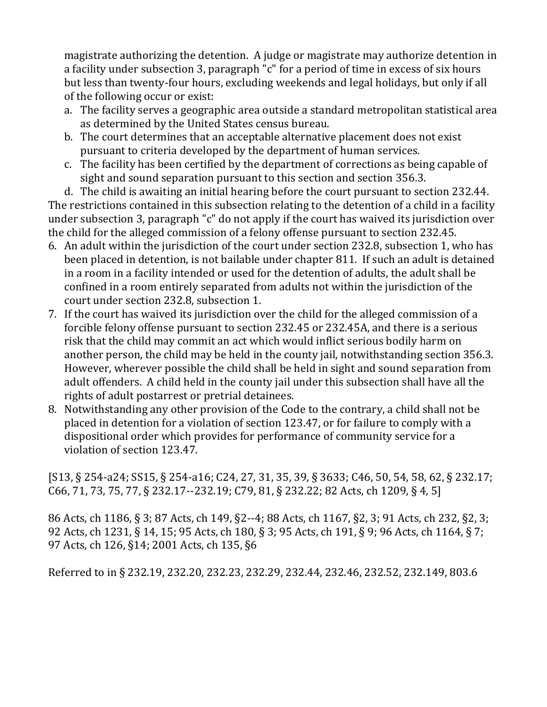magistrate authorizing the detention. A judge or magistrate may authorize detention in a facility under subsection 3, paragraph "c" for a period of time in excess of six hours but less than twenty-four hours, excluding weekends and legal holidays, but only if all of the following occur or exist:

- a. The facility serves a geographic area outside a standard metropolitan statistical area as determined by the United States census bureau.
- b. The court determines that an acceptable alternative placement does not exist pursuant to criteria developed by the department of human services.
- c. The facility has been certified by the department of corrections as being capable of sight and sound separation pursuant to this section and section 356.3.

d. The child is awaiting an initial hearing before the court pursuant to section 232.44. The restrictions contained in this subsection relating to the detention of a child in a facility under subsection 3, paragraph "c" do not apply if the court has waived its jurisdiction over the child for the alleged commission of a felony offense pursuant to section 232.45.

- 6. An adult within the jurisdiction of the court under section 232.8, subsection 1, who has been placed in detention, is not bailable under chapter 811. If such an adult is detained in a room in a facility intended or used for the detention of adults, the adult shall be confined in a room entirely separated from adults not within the jurisdiction of the court under section 232.8, subsection 1.
- 7. If the court has waived its jurisdiction over the child for the alleged commission of a forcible felony offense pursuant to section 232.45 or 232.45A, and there is a serious risk that the child may commit an act which would inflict serious bodily harm on another person, the child may be held in the county jail, notwithstanding section 356.3. However, wherever possible the child shall be held in sight and sound separation from adult offenders. A child held in the county jail under this subsection shall have all the rights of adult postarrest or pretrial detainees.
- 8. Notwithstanding any other provision of the Code to the contrary, a child shall not be placed in detention for a violation of section 123.47, or for failure to comply with a dispositional order which provides for performance of community service for a violation of section 123.47.

[S13, § 254-a24; SS15, § 254-a16; C24, 27, 31, 35, 39, § 3633; C46, 50, 54, 58, 62, § 232.17; C66, 71, 73, 75, 77, § 232.17--232.19; C79, 81, § 232.22; 82 Acts, ch 1209, § 4, 5]

86 Acts, ch 1186, § 3; 87 Acts, ch 149, §2--4; 88 Acts, ch 1167, §2, 3; 91 Acts, ch 232, §2, 3; 92 Acts, ch 1231, § 14, 15; 95 Acts, ch 180, § 3; 95 Acts, ch 191, § 9; 96 Acts, ch 1164, § 7; 97 Acts, ch 126, §14; 2001 Acts, ch 135, §6

Referred to in § 232.19, 232.20, 232.23, 232.29, 232.44, 232.46, 232.52, 232.149, 803.6